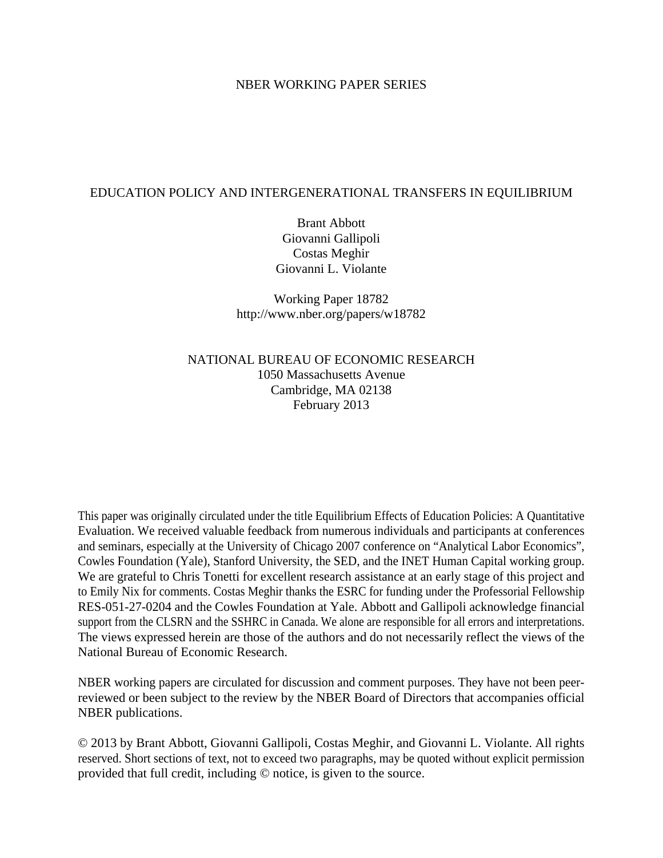#### NBER WORKING PAPER SERIES

#### EDUCATION POLICY AND INTERGENERATIONAL TRANSFERS IN EQUILIBRIUM

Brant Abbott Giovanni Gallipoli Costas Meghir Giovanni L. Violante

Working Paper 18782 http://www.nber.org/papers/w18782

NATIONAL BUREAU OF ECONOMIC RESEARCH 1050 Massachusetts Avenue Cambridge, MA 02138 February 2013

This paper was originally circulated under the title Equilibrium Effects of Education Policies: A Quantitative Evaluation. We received valuable feedback from numerous individuals and participants at conferences and seminars, especially at the University of Chicago 2007 conference on "Analytical Labor Economics", Cowles Foundation (Yale), Stanford University, the SED, and the INET Human Capital working group. We are grateful to Chris Tonetti for excellent research assistance at an early stage of this project and to Emily Nix for comments. Costas Meghir thanks the ESRC for funding under the Professorial Fellowship RES-051-27-0204 and the Cowles Foundation at Yale. Abbott and Gallipoli acknowledge financial support from the CLSRN and the SSHRC in Canada. We alone are responsible for all errors and interpretations. The views expressed herein are those of the authors and do not necessarily reflect the views of the National Bureau of Economic Research.

NBER working papers are circulated for discussion and comment purposes. They have not been peerreviewed or been subject to the review by the NBER Board of Directors that accompanies official NBER publications.

© 2013 by Brant Abbott, Giovanni Gallipoli, Costas Meghir, and Giovanni L. Violante. All rights reserved. Short sections of text, not to exceed two paragraphs, may be quoted without explicit permission provided that full credit, including © notice, is given to the source.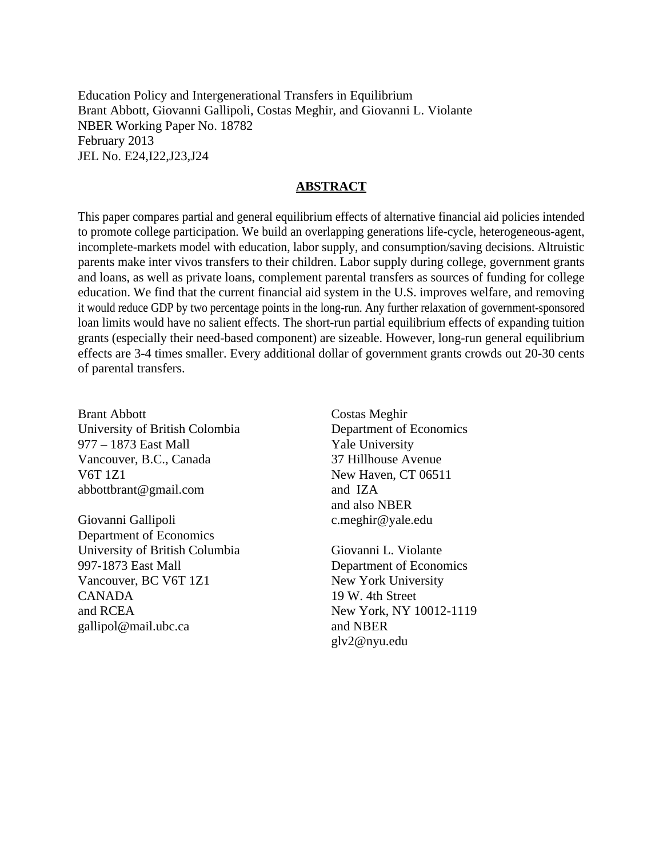Education Policy and Intergenerational Transfers in Equilibrium Brant Abbott, Giovanni Gallipoli, Costas Meghir, and Giovanni L. Violante NBER Working Paper No. 18782 February 2013 JEL No. E24,I22,J23,J24

#### **ABSTRACT**

This paper compares partial and general equilibrium effects of alternative financial aid policies intended to promote college participation. We build an overlapping generations life-cycle, heterogeneous-agent, incomplete-markets model with education, labor supply, and consumption/saving decisions. Altruistic parents make inter vivos transfers to their children. Labor supply during college, government grants and loans, as well as private loans, complement parental transfers as sources of funding for college education. We find that the current financial aid system in the U.S. improves welfare, and removing it would reduce GDP by two percentage points in the long-run. Any further relaxation of government-sponsored loan limits would have no salient effects. The short-run partial equilibrium effects of expanding tuition grants (especially their need-based component) are sizeable. However, long-run general equilibrium effects are 3-4 times smaller. Every additional dollar of government grants crowds out 20-30 cents of parental transfers.

Brant Abbott University of British Colombia 977 – 1873 East Mall Vancouver, B.C., Canada V6T 1Z1 abbottbrant@gmail.com

Giovanni Gallipoli Department of Economics University of British Columbia 997-1873 East Mall Vancouver, BC V6T 1Z1 CANADA and RCEA gallipol@mail.ubc.ca

Costas Meghir Department of Economics Yale University 37 Hillhouse Avenue New Haven, CT 06511 and IZA and also NBER c.meghir@yale.edu

Giovanni L. Violante Department of Economics New York University 19 W. 4th Street New York, NY 10012-1119 and NBER glv2@nyu.edu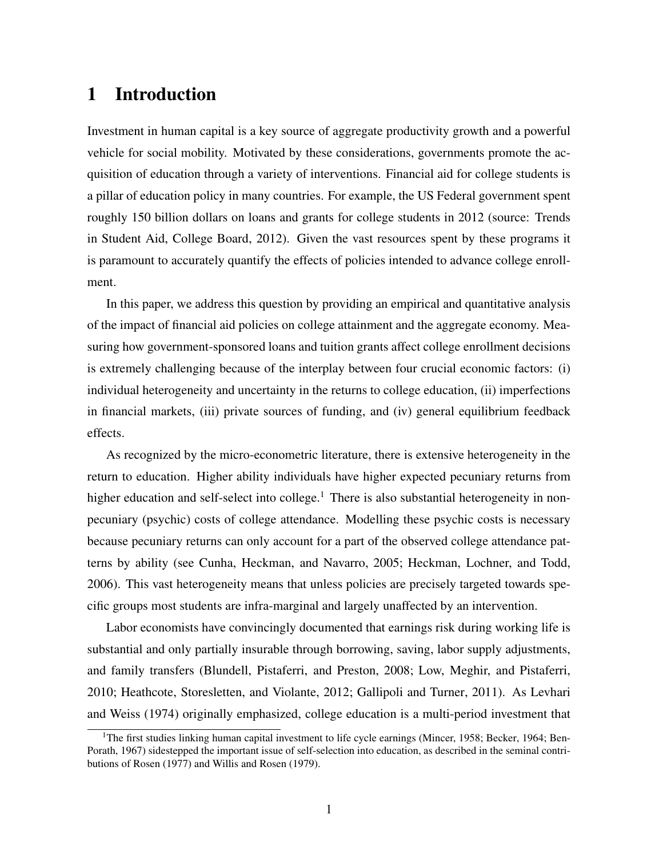# 1 Introduction

Investment in human capital is a key source of aggregate productivity growth and a powerful vehicle for social mobility. Motivated by these considerations, governments promote the acquisition of education through a variety of interventions. Financial aid for college students is a pillar of education policy in many countries. For example, the US Federal government spent roughly 150 billion dollars on loans and grants for college students in 2012 (source: Trends in Student Aid, College Board, 2012). Given the vast resources spent by these programs it is paramount to accurately quantify the effects of policies intended to advance college enrollment.

In this paper, we address this question by providing an empirical and quantitative analysis of the impact of financial aid policies on college attainment and the aggregate economy. Measuring how government-sponsored loans and tuition grants affect college enrollment decisions is extremely challenging because of the interplay between four crucial economic factors: (i) individual heterogeneity and uncertainty in the returns to college education, (ii) imperfections in financial markets, (iii) private sources of funding, and (iv) general equilibrium feedback effects.

As recognized by the micro-econometric literature, there is extensive heterogeneity in the return to education. Higher ability individuals have higher expected pecuniary returns from higher education and self-select into college.<sup>1</sup> There is also substantial heterogeneity in nonpecuniary (psychic) costs of college attendance. Modelling these psychic costs is necessary because pecuniary returns can only account for a part of the observed college attendance patterns by ability (see Cunha, Heckman, and Navarro, 2005; Heckman, Lochner, and Todd, 2006). This vast heterogeneity means that unless policies are precisely targeted towards specific groups most students are infra-marginal and largely unaffected by an intervention.

Labor economists have convincingly documented that earnings risk during working life is substantial and only partially insurable through borrowing, saving, labor supply adjustments, and family transfers (Blundell, Pistaferri, and Preston, 2008; Low, Meghir, and Pistaferri, 2010; Heathcote, Storesletten, and Violante, 2012; Gallipoli and Turner, 2011). As Levhari and Weiss (1974) originally emphasized, college education is a multi-period investment that

<sup>&</sup>lt;sup>1</sup>The first studies linking human capital investment to life cycle earnings (Mincer, 1958; Becker, 1964; Ben-Porath, 1967) sidestepped the important issue of self-selection into education, as described in the seminal contributions of Rosen (1977) and Willis and Rosen (1979).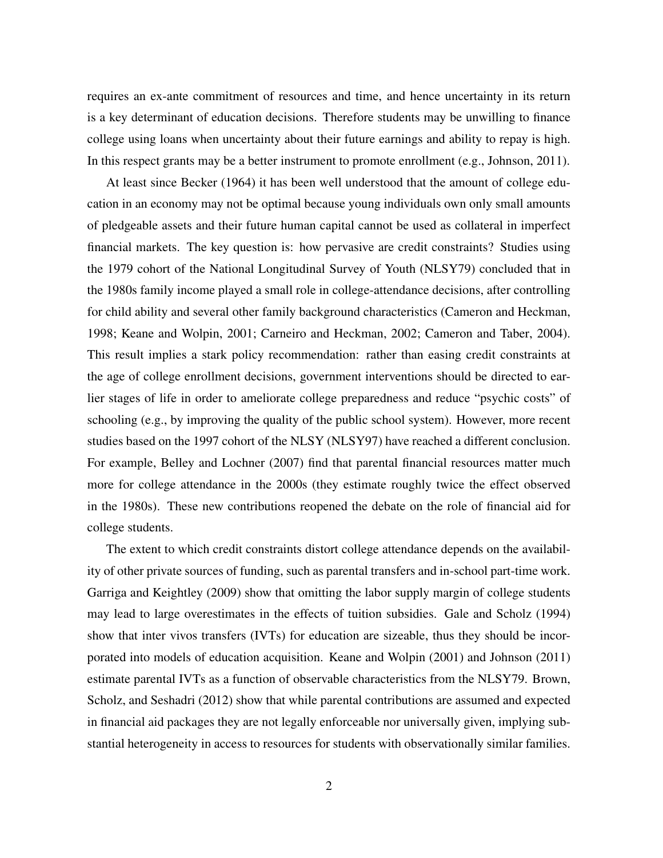requires an ex-ante commitment of resources and time, and hence uncertainty in its return is a key determinant of education decisions. Therefore students may be unwilling to finance college using loans when uncertainty about their future earnings and ability to repay is high. In this respect grants may be a better instrument to promote enrollment (e.g., Johnson, 2011).

At least since Becker (1964) it has been well understood that the amount of college education in an economy may not be optimal because young individuals own only small amounts of pledgeable assets and their future human capital cannot be used as collateral in imperfect financial markets. The key question is: how pervasive are credit constraints? Studies using the 1979 cohort of the National Longitudinal Survey of Youth (NLSY79) concluded that in the 1980s family income played a small role in college-attendance decisions, after controlling for child ability and several other family background characteristics (Cameron and Heckman, 1998; Keane and Wolpin, 2001; Carneiro and Heckman, 2002; Cameron and Taber, 2004). This result implies a stark policy recommendation: rather than easing credit constraints at the age of college enrollment decisions, government interventions should be directed to earlier stages of life in order to ameliorate college preparedness and reduce "psychic costs" of schooling (e.g., by improving the quality of the public school system). However, more recent studies based on the 1997 cohort of the NLSY (NLSY97) have reached a different conclusion. For example, Belley and Lochner (2007) find that parental financial resources matter much more for college attendance in the 2000s (they estimate roughly twice the effect observed in the 1980s). These new contributions reopened the debate on the role of financial aid for college students.

The extent to which credit constraints distort college attendance depends on the availability of other private sources of funding, such as parental transfers and in-school part-time work. Garriga and Keightley (2009) show that omitting the labor supply margin of college students may lead to large overestimates in the effects of tuition subsidies. Gale and Scholz (1994) show that inter vivos transfers (IVTs) for education are sizeable, thus they should be incorporated into models of education acquisition. Keane and Wolpin (2001) and Johnson (2011) estimate parental IVTs as a function of observable characteristics from the NLSY79. Brown, Scholz, and Seshadri (2012) show that while parental contributions are assumed and expected in financial aid packages they are not legally enforceable nor universally given, implying substantial heterogeneity in access to resources for students with observationally similar families.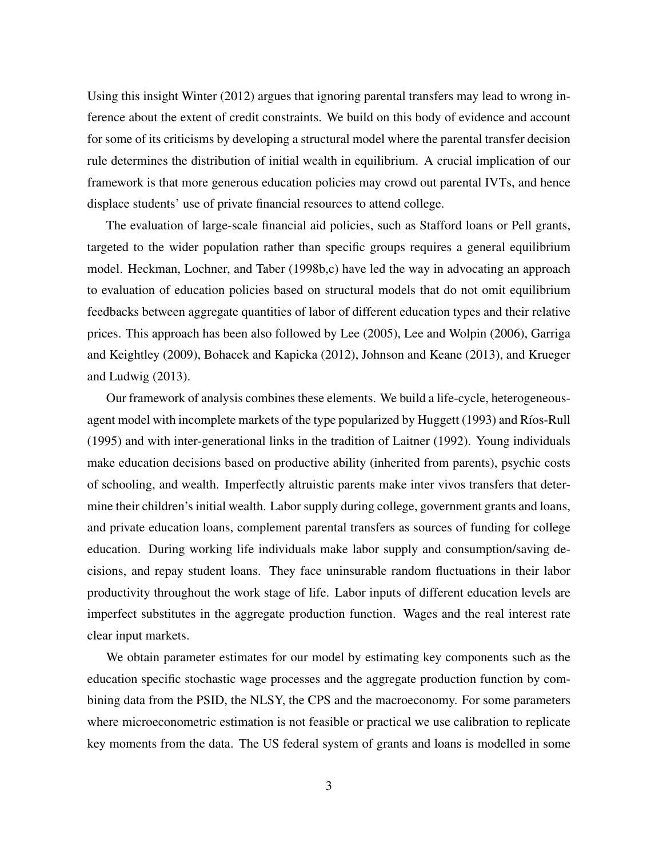Using this insight Winter (2012) argues that ignoring parental transfers may lead to wrong inference about the extent of credit constraints. We build on this body of evidence and account for some of its criticisms by developing a structural model where the parental transfer decision rule determines the distribution of initial wealth in equilibrium. A crucial implication of our framework is that more generous education policies may crowd out parental IVTs, and hence displace students' use of private financial resources to attend college.

The evaluation of large-scale financial aid policies, such as Stafford loans or Pell grants, targeted to the wider population rather than specific groups requires a general equilibrium model. Heckman, Lochner, and Taber (1998b,c) have led the way in advocating an approach to evaluation of education policies based on structural models that do not omit equilibrium feedbacks between aggregate quantities of labor of different education types and their relative prices. This approach has been also followed by Lee (2005), Lee and Wolpin (2006), Garriga and Keightley (2009), Bohacek and Kapicka (2012), Johnson and Keane (2013), and Krueger and Ludwig (2013).

Our framework of analysis combines these elements. We build a life-cycle, heterogeneousagent model with incomplete markets of the type popularized by Huggett (1993) and Ríos-Rull (1995) and with inter-generational links in the tradition of Laitner (1992). Young individuals make education decisions based on productive ability (inherited from parents), psychic costs of schooling, and wealth. Imperfectly altruistic parents make inter vivos transfers that determine their children's initial wealth. Labor supply during college, government grants and loans, and private education loans, complement parental transfers as sources of funding for college education. During working life individuals make labor supply and consumption/saving decisions, and repay student loans. They face uninsurable random fluctuations in their labor productivity throughout the work stage of life. Labor inputs of different education levels are imperfect substitutes in the aggregate production function. Wages and the real interest rate clear input markets.

We obtain parameter estimates for our model by estimating key components such as the education specific stochastic wage processes and the aggregate production function by combining data from the PSID, the NLSY, the CPS and the macroeconomy. For some parameters where microeconometric estimation is not feasible or practical we use calibration to replicate key moments from the data. The US federal system of grants and loans is modelled in some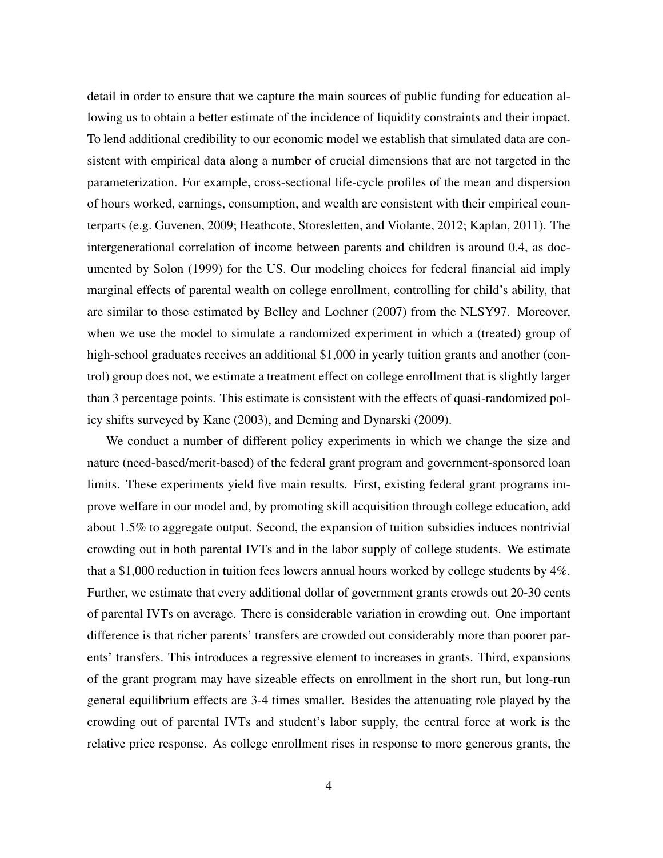detail in order to ensure that we capture the main sources of public funding for education allowing us to obtain a better estimate of the incidence of liquidity constraints and their impact. To lend additional credibility to our economic model we establish that simulated data are consistent with empirical data along a number of crucial dimensions that are not targeted in the parameterization. For example, cross-sectional life-cycle profiles of the mean and dispersion of hours worked, earnings, consumption, and wealth are consistent with their empirical counterparts (e.g. Guvenen, 2009; Heathcote, Storesletten, and Violante, 2012; Kaplan, 2011). The intergenerational correlation of income between parents and children is around 0.4, as documented by Solon (1999) for the US. Our modeling choices for federal financial aid imply marginal effects of parental wealth on college enrollment, controlling for child's ability, that are similar to those estimated by Belley and Lochner (2007) from the NLSY97. Moreover, when we use the model to simulate a randomized experiment in which a (treated) group of high-school graduates receives an additional \$1,000 in yearly tuition grants and another (control) group does not, we estimate a treatment effect on college enrollment that is slightly larger than 3 percentage points. This estimate is consistent with the effects of quasi-randomized policy shifts surveyed by Kane (2003), and Deming and Dynarski (2009).

We conduct a number of different policy experiments in which we change the size and nature (need-based/merit-based) of the federal grant program and government-sponsored loan limits. These experiments yield five main results. First, existing federal grant programs improve welfare in our model and, by promoting skill acquisition through college education, add about 1.5% to aggregate output. Second, the expansion of tuition subsidies induces nontrivial crowding out in both parental IVTs and in the labor supply of college students. We estimate that a \$1,000 reduction in tuition fees lowers annual hours worked by college students by 4%. Further, we estimate that every additional dollar of government grants crowds out 20-30 cents of parental IVTs on average. There is considerable variation in crowding out. One important difference is that richer parents' transfers are crowded out considerably more than poorer parents' transfers. This introduces a regressive element to increases in grants. Third, expansions of the grant program may have sizeable effects on enrollment in the short run, but long-run general equilibrium effects are 3-4 times smaller. Besides the attenuating role played by the crowding out of parental IVTs and student's labor supply, the central force at work is the relative price response. As college enrollment rises in response to more generous grants, the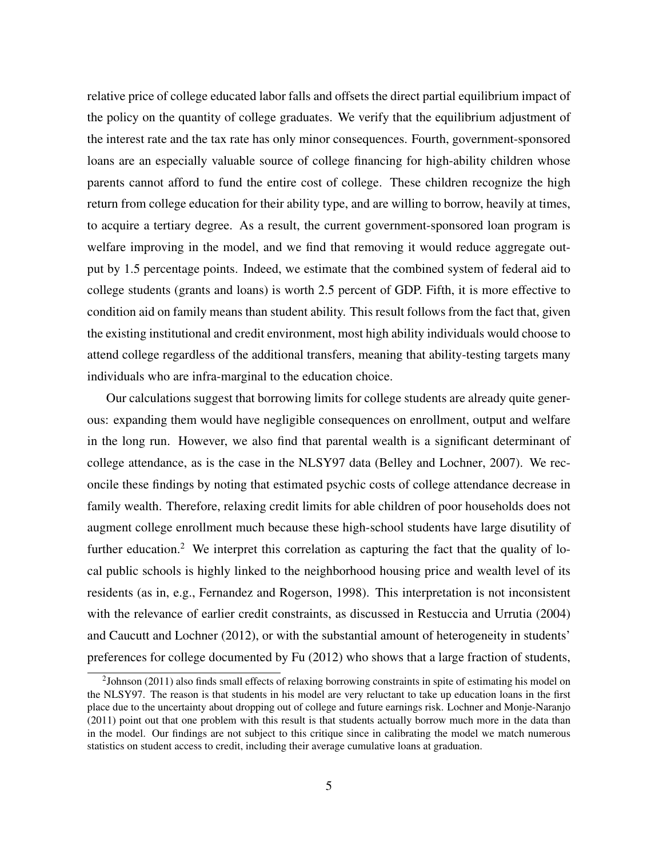relative price of college educated labor falls and offsets the direct partial equilibrium impact of the policy on the quantity of college graduates. We verify that the equilibrium adjustment of the interest rate and the tax rate has only minor consequences. Fourth, government-sponsored loans are an especially valuable source of college financing for high-ability children whose parents cannot afford to fund the entire cost of college. These children recognize the high return from college education for their ability type, and are willing to borrow, heavily at times, to acquire a tertiary degree. As a result, the current government-sponsored loan program is welfare improving in the model, and we find that removing it would reduce aggregate output by 1.5 percentage points. Indeed, we estimate that the combined system of federal aid to college students (grants and loans) is worth 2.5 percent of GDP. Fifth, it is more effective to condition aid on family means than student ability. This result follows from the fact that, given the existing institutional and credit environment, most high ability individuals would choose to attend college regardless of the additional transfers, meaning that ability-testing targets many individuals who are infra-marginal to the education choice.

Our calculations suggest that borrowing limits for college students are already quite generous: expanding them would have negligible consequences on enrollment, output and welfare in the long run. However, we also find that parental wealth is a significant determinant of college attendance, as is the case in the NLSY97 data (Belley and Lochner, 2007). We reconcile these findings by noting that estimated psychic costs of college attendance decrease in family wealth. Therefore, relaxing credit limits for able children of poor households does not augment college enrollment much because these high-school students have large disutility of further education.<sup>2</sup> We interpret this correlation as capturing the fact that the quality of local public schools is highly linked to the neighborhood housing price and wealth level of its residents (as in, e.g., Fernandez and Rogerson, 1998). This interpretation is not inconsistent with the relevance of earlier credit constraints, as discussed in Restuccia and Urrutia (2004) and Caucutt and Lochner (2012), or with the substantial amount of heterogeneity in students' preferences for college documented by Fu (2012) who shows that a large fraction of students,

 $2$ Johnson (2011) also finds small effects of relaxing borrowing constraints in spite of estimating his model on the NLSY97. The reason is that students in his model are very reluctant to take up education loans in the first place due to the uncertainty about dropping out of college and future earnings risk. Lochner and Monje-Naranjo (2011) point out that one problem with this result is that students actually borrow much more in the data than in the model. Our findings are not subject to this critique since in calibrating the model we match numerous statistics on student access to credit, including their average cumulative loans at graduation.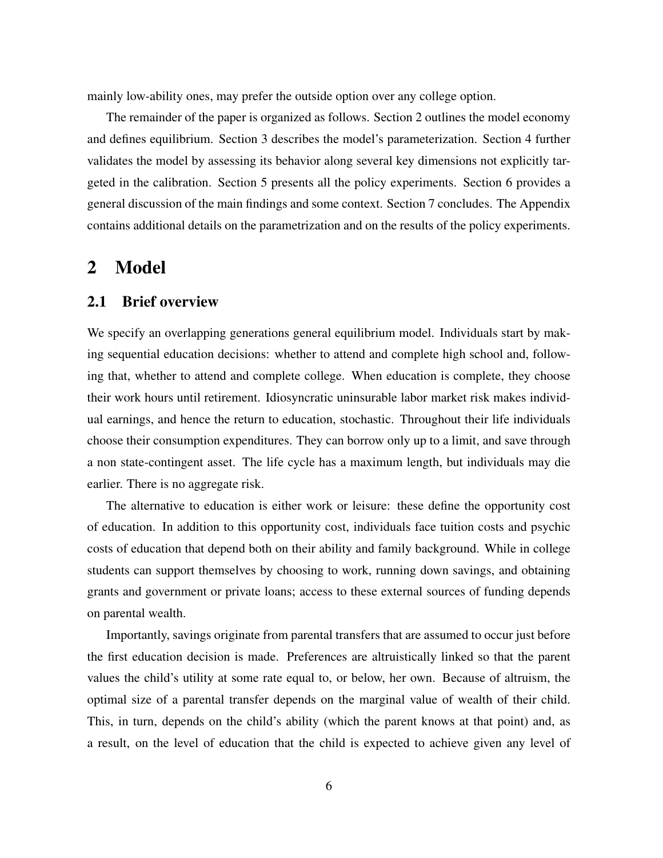mainly low-ability ones, may prefer the outside option over any college option.

The remainder of the paper is organized as follows. Section 2 outlines the model economy and defines equilibrium. Section 3 describes the model's parameterization. Section 4 further validates the model by assessing its behavior along several key dimensions not explicitly targeted in the calibration. Section 5 presents all the policy experiments. Section 6 provides a general discussion of the main findings and some context. Section 7 concludes. The Appendix contains additional details on the parametrization and on the results of the policy experiments.

# 2 Model

## 2.1 Brief overview

We specify an overlapping generations general equilibrium model. Individuals start by making sequential education decisions: whether to attend and complete high school and, following that, whether to attend and complete college. When education is complete, they choose their work hours until retirement. Idiosyncratic uninsurable labor market risk makes individual earnings, and hence the return to education, stochastic. Throughout their life individuals choose their consumption expenditures. They can borrow only up to a limit, and save through a non state-contingent asset. The life cycle has a maximum length, but individuals may die earlier. There is no aggregate risk.

The alternative to education is either work or leisure: these define the opportunity cost of education. In addition to this opportunity cost, individuals face tuition costs and psychic costs of education that depend both on their ability and family background. While in college students can support themselves by choosing to work, running down savings, and obtaining grants and government or private loans; access to these external sources of funding depends on parental wealth.

Importantly, savings originate from parental transfers that are assumed to occur just before the first education decision is made. Preferences are altruistically linked so that the parent values the child's utility at some rate equal to, or below, her own. Because of altruism, the optimal size of a parental transfer depends on the marginal value of wealth of their child. This, in turn, depends on the child's ability (which the parent knows at that point) and, as a result, on the level of education that the child is expected to achieve given any level of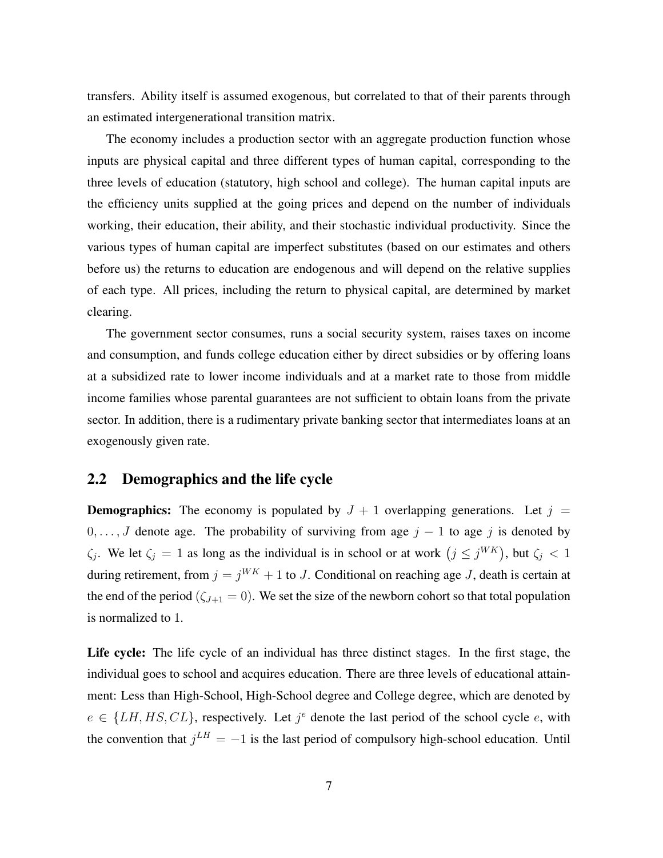transfers. Ability itself is assumed exogenous, but correlated to that of their parents through an estimated intergenerational transition matrix.

The economy includes a production sector with an aggregate production function whose inputs are physical capital and three different types of human capital, corresponding to the three levels of education (statutory, high school and college). The human capital inputs are the efficiency units supplied at the going prices and depend on the number of individuals working, their education, their ability, and their stochastic individual productivity. Since the various types of human capital are imperfect substitutes (based on our estimates and others before us) the returns to education are endogenous and will depend on the relative supplies of each type. All prices, including the return to physical capital, are determined by market clearing.

The government sector consumes, runs a social security system, raises taxes on income and consumption, and funds college education either by direct subsidies or by offering loans at a subsidized rate to lower income individuals and at a market rate to those from middle income families whose parental guarantees are not sufficient to obtain loans from the private sector. In addition, there is a rudimentary private banking sector that intermediates loans at an exogenously given rate.

#### 2.2 Demographics and the life cycle

**Demographics:** The economy is populated by  $J + 1$  overlapping generations. Let  $j =$ 0, ..., *J* denote age. The probability of surviving from age  $j - 1$  to age j is denoted by  $\zeta_j$ . We let  $\zeta_j = 1$  as long as the individual is in school or at work  $(j \leq j^{WK})$ , but  $\zeta_j < 1$ during retirement, from  $j = j^{WK} + 1$  to J. Conditional on reaching age J, death is certain at the end of the period  $(\zeta_{J+1} = 0)$ . We set the size of the newborn cohort so that total population is normalized to 1.

Life cycle: The life cycle of an individual has three distinct stages. In the first stage, the individual goes to school and acquires education. There are three levels of educational attainment: Less than High-School, High-School degree and College degree, which are denoted by  $e \in \{LH, HS, CL\}$ , respectively. Let  $j^e$  denote the last period of the school cycle  $e$ , with the convention that  $j<sup>LH</sup> = -1$  is the last period of compulsory high-school education. Until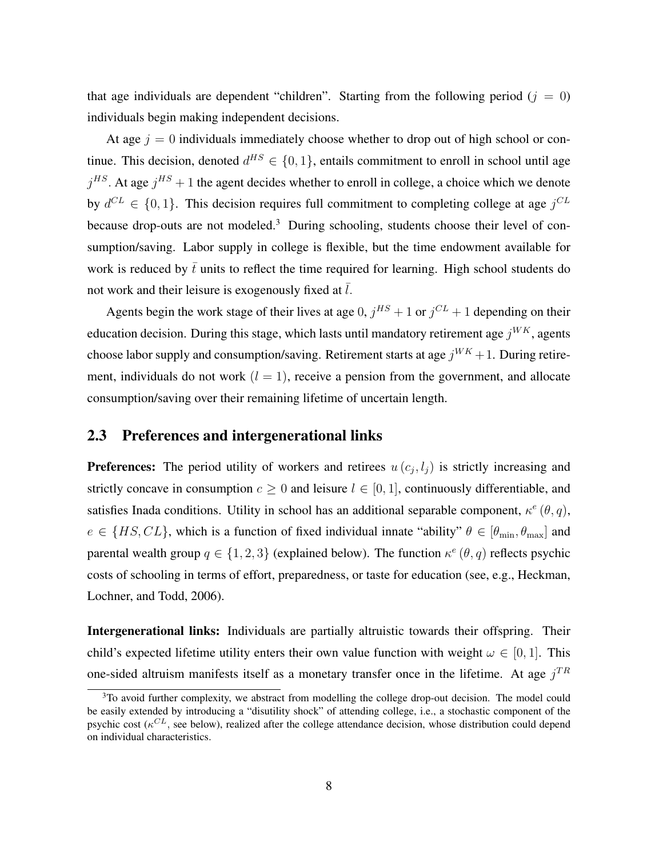that age individuals are dependent "children". Starting from the following period ( $j = 0$ ) individuals begin making independent decisions.

At age  $j = 0$  individuals immediately choose whether to drop out of high school or continue. This decision, denoted  $d^{HS} \in \{0, 1\}$ , entails commitment to enroll in school until age  $j^{HS}$ . At age  $j^{HS} + 1$  the agent decides whether to enroll in college, a choice which we denote by  $d^{CL} \in \{0, 1\}$ . This decision requires full commitment to completing college at age  $j^{CL}$ because drop-outs are not modeled.<sup>3</sup> During schooling, students choose their level of consumption/saving. Labor supply in college is flexible, but the time endowment available for work is reduced by  $\bar{t}$  units to reflect the time required for learning. High school students do not work and their leisure is exogenously fixed at  $\overline{l}$ .

Agents begin the work stage of their lives at age 0,  $j^{HS} + 1$  or  $j^{CL} + 1$  depending on their education decision. During this stage, which lasts until mandatory retirement age  $j^{WK}$ , agents choose labor supply and consumption/saving. Retirement starts at age  $j^{WK} + 1$ . During retirement, individuals do not work  $(l = 1)$ , receive a pension from the government, and allocate consumption/saving over their remaining lifetime of uncertain length.

## 2.3 Preferences and intergenerational links

**Preferences:** The period utility of workers and retirees  $u(c_j, l_j)$  is strictly increasing and strictly concave in consumption  $c > 0$  and leisure  $l \in [0, 1]$ , continuously differentiable, and satisfies Inada conditions. Utility in school has an additional separable component,  $\kappa^e(\theta, q)$ ,  $e \in \{HS, CL\}$ , which is a function of fixed individual innate "ability"  $\theta \in [\theta_{\min}, \theta_{\max}]$  and parental wealth group  $q \in \{1, 2, 3\}$  (explained below). The function  $\kappa^e(\theta, q)$  reflects psychic costs of schooling in terms of effort, preparedness, or taste for education (see, e.g., Heckman, Lochner, and Todd, 2006).

Intergenerational links: Individuals are partially altruistic towards their offspring. Their child's expected lifetime utility enters their own value function with weight  $\omega \in [0, 1]$ . This one-sided altruism manifests itself as a monetary transfer once in the lifetime. At age  $j^{TR}$ 

 $3$ To avoid further complexity, we abstract from modelling the college drop-out decision. The model could be easily extended by introducing a "disutility shock" of attending college, i.e., a stochastic component of the psychic cost ( $\kappa^{CL}$ , see below), realized after the college attendance decision, whose distribution could depend on individual characteristics.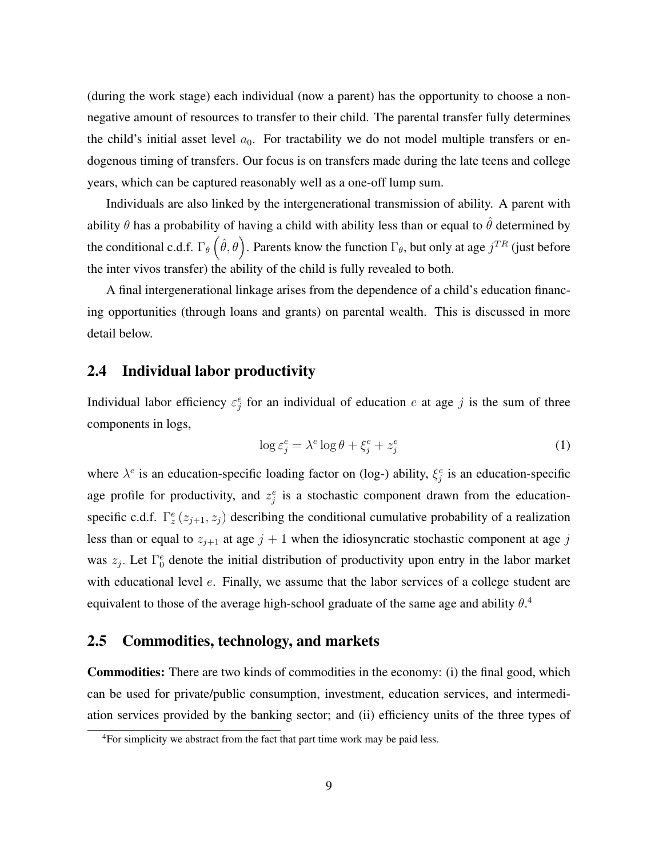(during the work stage) each individual (now a parent) has the opportunity to choose a nonnegative amount of resources to transfer to their child. The parental transfer fully determines the child's initial asset level  $a_0$ . For tractability we do not model multiple transfers or endogenous timing of transfers. Our focus is on transfers made during the late teens and college years, which can be captured reasonably well as a one-off lump sum.

Individuals are also linked by the intergenerational transmission of ability. A parent with ability  $\theta$  has a probability of having a child with ability less than or equal to  $\hat{\theta}$  determined by the conditional c.d.f.  $\Gamma_\theta\left(\hat{\theta},\theta\right)$ . Parents know the function  $\Gamma_\theta$ , but only at age  $j^{TR}$  (just before the inter vivos transfer) the ability of the child is fully revealed to both.

A final intergenerational linkage arises from the dependence of a child's education financing opportunities (through loans and grants) on parental wealth. This is discussed in more detail below.

### 2.4 Individual labor productivity

Individual labor efficiency  $\varepsilon_j^e$  for an individual of education e at age j is the sum of three components in logs,

$$
\log \varepsilon_j^e = \lambda^e \log \theta + \xi_j^e + z_j^e \tag{1}
$$

where  $\lambda^e$  is an education-specific loading factor on (log-) ability,  $\xi_j^e$  is an education-specific age profile for productivity, and  $z_j^e$  is a stochastic component drawn from the educationspecific c.d.f.  $\Gamma_z^e(z_{j+1}, z_j)$  describing the conditional cumulative probability of a realization less than or equal to  $z_{j+1}$  at age  $j + 1$  when the idiosyncratic stochastic component at age j was  $z_j$ . Let  $\Gamma_0^e$  denote the initial distribution of productivity upon entry in the labor market with educational level  $e$ . Finally, we assume that the labor services of a college student are equivalent to those of the average high-school graduate of the same age and ability  $\theta$ .<sup>4</sup>

#### 2.5 Commodities, technology, and markets

Commodities: There are two kinds of commodities in the economy: (i) the final good, which can be used for private/public consumption, investment, education services, and intermediation services provided by the banking sector; and (ii) efficiency units of the three types of

<sup>&</sup>lt;sup>4</sup>For simplicity we abstract from the fact that part time work may be paid less.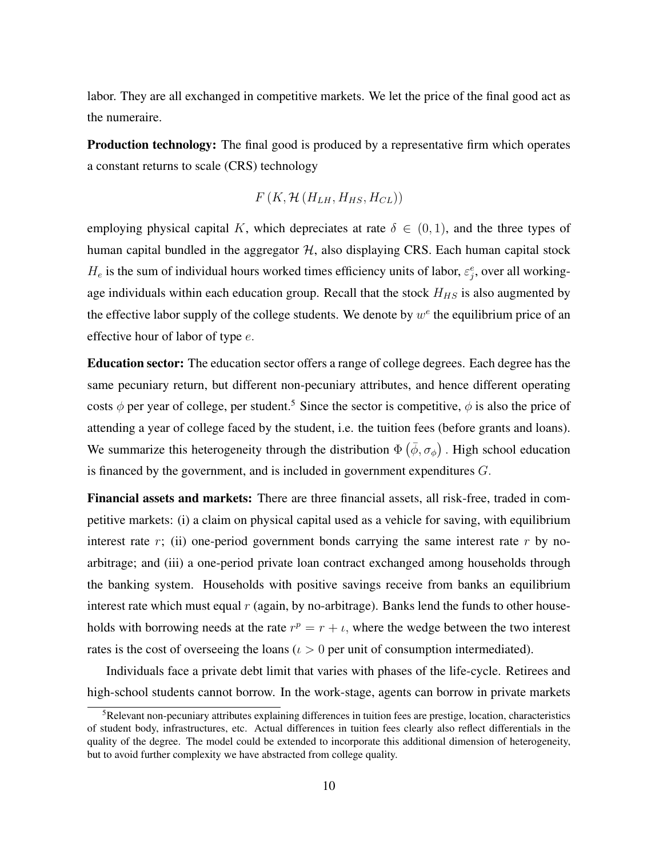labor. They are all exchanged in competitive markets. We let the price of the final good act as the numeraire.

**Production technology:** The final good is produced by a representative firm which operates a constant returns to scale (CRS) technology

$$
F(K, \mathcal{H}(H_{LH}, H_{HS}, H_{CL}))
$$

employing physical capital K, which depreciates at rate  $\delta \in (0,1)$ , and the three types of human capital bundled in the aggregator  $H$ , also displaying CRS. Each human capital stock  $H_e$  is the sum of individual hours worked times efficiency units of labor,  $\varepsilon_j^e$ , over all workingage individuals within each education group. Recall that the stock  $H_{HS}$  is also augmented by the effective labor supply of the college students. We denote by  $w^e$  the equilibrium price of an effective hour of labor of type e.

Education sector: The education sector offers a range of college degrees. Each degree has the same pecuniary return, but different non-pecuniary attributes, and hence different operating costs  $\phi$  per year of college, per student.<sup>5</sup> Since the sector is competitive,  $\phi$  is also the price of attending a year of college faced by the student, i.e. the tuition fees (before grants and loans). We summarize this heterogeneity through the distribution  $\Phi(\bar{\phi}, \sigma_{\phi})$ . High school education is financed by the government, and is included in government expenditures G.

Financial assets and markets: There are three financial assets, all risk-free, traded in competitive markets: (i) a claim on physical capital used as a vehicle for saving, with equilibrium interest rate  $r$ ; (ii) one-period government bonds carrying the same interest rate  $r$  by noarbitrage; and (iii) a one-period private loan contract exchanged among households through the banking system. Households with positive savings receive from banks an equilibrium interest rate which must equal  $r$  (again, by no-arbitrage). Banks lend the funds to other households with borrowing needs at the rate  $r^p = r + \iota$ , where the wedge between the two interest rates is the cost of overseeing the loans ( $\iota > 0$  per unit of consumption intermediated).

Individuals face a private debt limit that varies with phases of the life-cycle. Retirees and high-school students cannot borrow. In the work-stage, agents can borrow in private markets

<sup>&</sup>lt;sup>5</sup>Relevant non-pecuniary attributes explaining differences in tuition fees are prestige, location, characteristics of student body, infrastructures, etc. Actual differences in tuition fees clearly also reflect differentials in the quality of the degree. The model could be extended to incorporate this additional dimension of heterogeneity, but to avoid further complexity we have abstracted from college quality.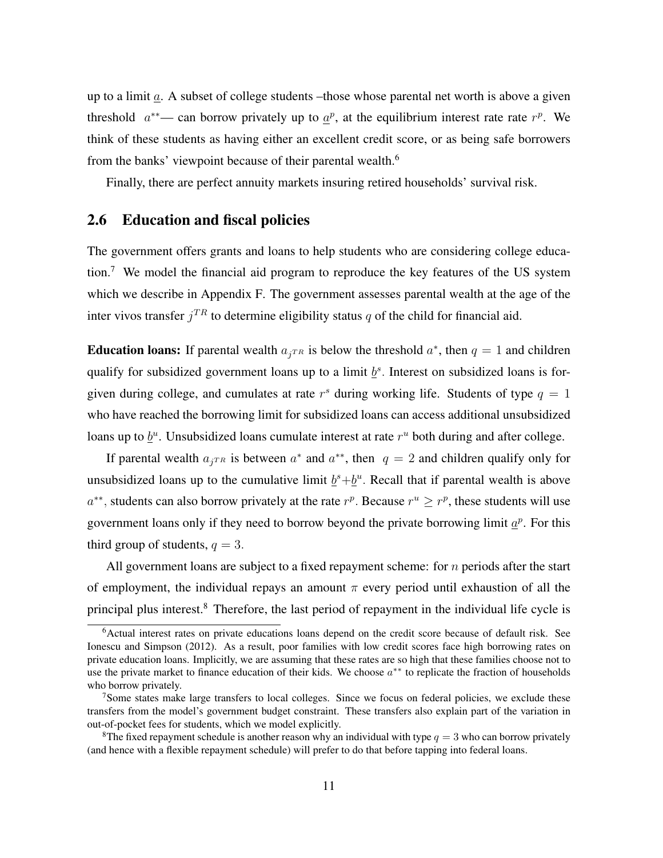up to a limit  $a$ . A subset of college students –those whose parental net worth is above a given threshold  $a^{**}$ — can borrow privately up to  $a^p$ , at the equilibrium interest rate rate  $r^p$ . We think of these students as having either an excellent credit score, or as being safe borrowers from the banks' viewpoint because of their parental wealth.<sup>6</sup>

Finally, there are perfect annuity markets insuring retired households' survival risk.

### 2.6 Education and fiscal policies

The government offers grants and loans to help students who are considering college education.<sup>7</sup> We model the financial aid program to reproduce the key features of the US system which we describe in Appendix F. The government assesses parental wealth at the age of the inter vivos transfer  $j^{TR}$  to determine eligibility status q of the child for financial aid.

**Education loans:** If parental wealth  $a_j r R$  is below the threshold  $a^*$ , then  $q = 1$  and children qualify for subsidized government loans up to a limit  $\underline{b}^s$ . Interest on subsidized loans is forgiven during college, and cumulates at rate  $r<sup>s</sup>$  during working life. Students of type  $q = 1$ who have reached the borrowing limit for subsidized loans can access additional unsubsidized loans up to  $\underline{b}^u$ . Unsubsidized loans cumulate interest at rate  $r^u$  both during and after college.

If parental wealth  $a_j r R$  is between  $a^*$  and  $a^{**}$ , then  $q = 2$  and children qualify only for unsubsidized loans up to the cumulative limit  $\underline{b}^s + \underline{b}^u$ . Recall that if parental wealth is above  $a^{**}$ , students can also borrow privately at the rate  $r^p$ . Because  $r^u \geq r^p$ , these students will use government loans only if they need to borrow beyond the private borrowing limit  $\underline{a}^p$ . For this third group of students,  $q = 3$ .

All government loans are subject to a fixed repayment scheme: for  $n$  periods after the start of employment, the individual repays an amount  $\pi$  every period until exhaustion of all the principal plus interest.<sup>8</sup> Therefore, the last period of repayment in the individual life cycle is

<sup>6</sup>Actual interest rates on private educations loans depend on the credit score because of default risk. See Ionescu and Simpson (2012). As a result, poor families with low credit scores face high borrowing rates on private education loans. Implicitly, we are assuming that these rates are so high that these families choose not to use the private market to finance education of their kids. We choose  $a^{**}$  to replicate the fraction of households who borrow privately.

 $<sup>7</sup>$ Some states make large transfers to local colleges. Since we focus on federal policies, we exclude these</sup> transfers from the model's government budget constraint. These transfers also explain part of the variation in out-of-pocket fees for students, which we model explicitly.

<sup>&</sup>lt;sup>8</sup>The fixed repayment schedule is another reason why an individual with type  $q = 3$  who can borrow privately (and hence with a flexible repayment schedule) will prefer to do that before tapping into federal loans.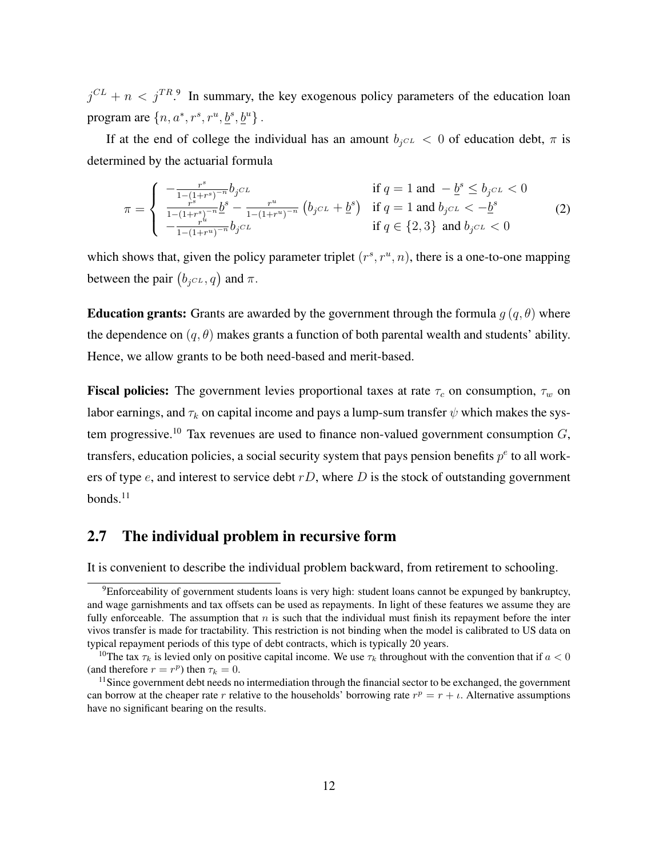$j^{CL} + n < j^{TR, 9}$  In summary, the key exogenous policy parameters of the education loan program are  $\{n, a^*, r^s, r^u, \underline{b}^s, \underline{b}^u\}$ .

If at the end of college the individual has an amount  $b<sub>j</sub>CL < 0$  of education debt,  $\pi$  is determined by the actuarial formula

$$
\pi = \begin{cases}\n-\frac{r^s}{1 - (1 + r^s)^{-n}} b_j c_L & \text{if } q = 1 \text{ and } -\underline{b}^s \le b_j c_L < 0 \\
\frac{r^s}{1 - (1 + r^s)^{-n}} \underline{b}^s - \frac{r^u}{1 - (1 + r^u)^{-n}} \left( b_j c_L + \underline{b}^s \right) & \text{if } q = 1 \text{ and } b_j c_L < -\underline{b}^s \\
-\frac{r^u}{1 - (1 + r^u)^{-n}} b_j c_L & \text{if } q \in \{2, 3\} \text{ and } b_j c_L < 0\n\end{cases} \tag{2}
$$

which shows that, given the policy parameter triplet  $(r^s, r^u, n)$ , there is a one-to-one mapping between the pair  $(b_j c_l, q)$  and  $\pi$ .

**Education grants:** Grants are awarded by the government through the formula  $g(q, \theta)$  where the dependence on  $(q, \theta)$  makes grants a function of both parental wealth and students' ability. Hence, we allow grants to be both need-based and merit-based.

**Fiscal policies:** The government levies proportional taxes at rate  $\tau_c$  on consumption,  $\tau_w$  on labor earnings, and  $\tau_k$  on capital income and pays a lump-sum transfer  $\psi$  which makes the system progressive.<sup>10</sup> Tax revenues are used to finance non-valued government consumption  $G$ , transfers, education policies, a social security system that pays pension benefits  $p^e$  to all workers of type e, and interest to service debt  $rD$ , where D is the stock of outstanding government bonds. $^{11}$ 

### 2.7 The individual problem in recursive form

It is convenient to describe the individual problem backward, from retirement to schooling.

<sup>&</sup>lt;sup>9</sup>Enforceability of government students loans is very high: student loans cannot be expunged by bankruptcy, and wage garnishments and tax offsets can be used as repayments. In light of these features we assume they are fully enforceable. The assumption that  $n$  is such that the individual must finish its repayment before the inter vivos transfer is made for tractability. This restriction is not binding when the model is calibrated to US data on typical repayment periods of this type of debt contracts, which is typically 20 years.

<sup>&</sup>lt;sup>10</sup>The tax  $\tau_k$  is levied only on positive capital income. We use  $\tau_k$  throughout with the convention that if  $a < 0$ (and therefore  $r = r^p$ ) then  $\tau_k = 0$ .

 $<sup>11</sup>$  Since government debt needs no intermediation through the financial sector to be exchanged, the government</sup> can borrow at the cheaper rate r relative to the households' borrowing rate  $r^p = r + \iota$ . Alternative assumptions have no significant bearing on the results.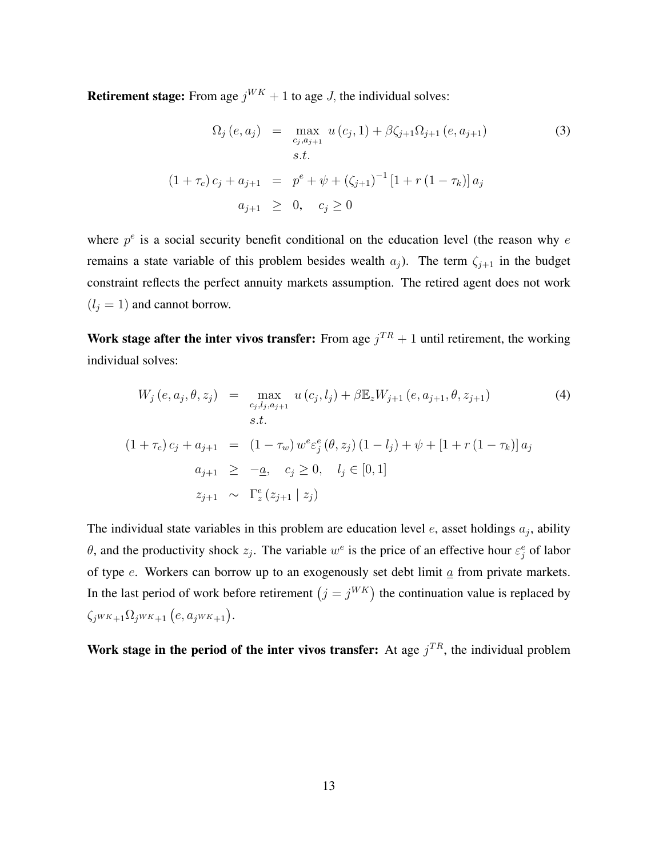**Retirement stage:** From age  $j^{WK} + 1$  to age *J*, the individual solves:

$$
\Omega_j(e, a_j) = \max_{\substack{c_j, a_{j+1} \\ s.t.}} u(c_j, 1) + \beta \zeta_{j+1} \Omega_{j+1}(e, a_{j+1})
$$
\n(3)  
\n
$$
s.t.
$$
\n
$$
(1 + \tau_c) c_j + a_{j+1} = p^e + \psi + (\zeta_{j+1})^{-1} [1 + r(1 - \tau_k)] a_j
$$
\n
$$
a_{j+1} \geq 0, \quad c_j \geq 0
$$

where  $p^e$  is a social security benefit conditional on the education level (the reason why e remains a state variable of this problem besides wealth  $a_j$ ). The term  $\zeta_{j+1}$  in the budget constraint reflects the perfect annuity markets assumption. The retired agent does not work  $(l_j = 1)$  and cannot borrow.

Work stage after the inter vivos transfer: From age  $j^{TR} + 1$  until retirement, the working individual solves:

$$
W_j(e, a_j, \theta, z_j) = \max_{c_j, l_j, a_{j+1}} u(c_j, l_j) + \beta \mathbb{E}_z W_{j+1}(e, a_{j+1}, \theta, z_{j+1})
$$
  
s.t.  

$$
(1 + \tau_c) c_j + a_{j+1} = (1 - \tau_w) w^e \varepsilon_j^e (\theta, z_j) (1 - l_j) + \psi + [1 + r (1 - \tau_k)] a_j
$$
  

$$
a_{j+1} \geq -\underline{a}, \quad c_j \geq 0, \quad l_j \in [0, 1]
$$
  

$$
z_{j+1} \sim \Gamma_z^e(z_{j+1} | z_j)
$$
 (4)

The individual state variables in this problem are education level  $e$ , asset holdings  $a_j$ , ability θ, and the productivity shock  $z_j$ . The variable  $w^e$  is the price of an effective hour  $\varepsilon^e_j$  of labor of type  $e$ . Workers can borrow up to an exogenously set debt limit  $a$  from private markets. In the last period of work before retirement  $(j = j^{WK})$  the continuation value is replaced by  $\zeta_{j^{WK}+1} \Omega_{j^{WK}+1} (e, a_{j^{WK}+1}).$ 

Work stage in the period of the inter vivos transfer: At age  $j^{TR}$ , the individual problem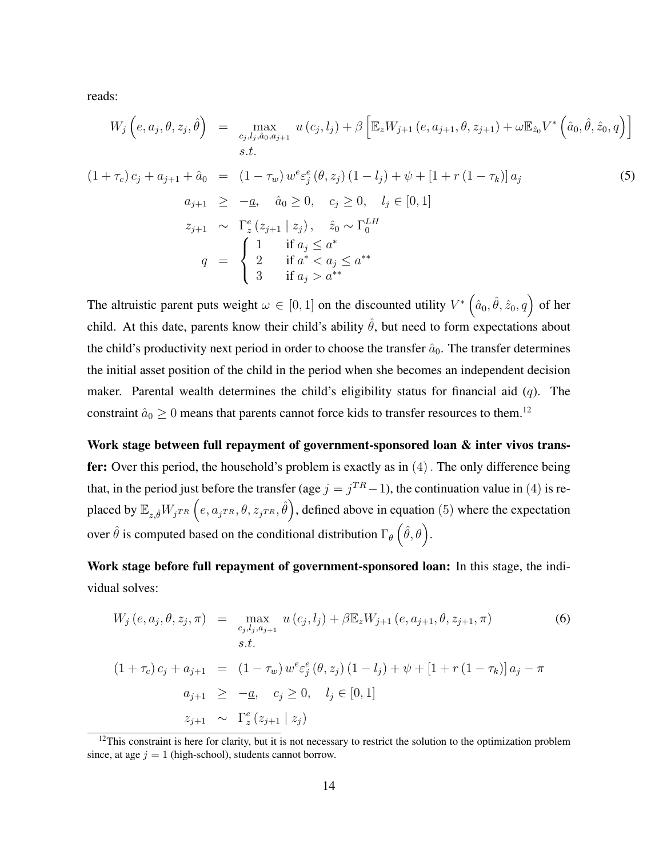reads:

$$
W_j\left(e, a_j, \theta, z_j, \hat{\theta}\right) = \max_{\substack{c_j, l_j, \hat{a}_0, a_{j+1} \\ s.t.}} u(c_j, l_j) + \beta \left[\mathbb{E}_z W_{j+1}\left(e, a_{j+1}, \theta, z_{j+1}\right) + \omega \mathbb{E}_{\hat{z}_0} V^*\left(\hat{a}_0, \hat{\theta}, \hat{z}_0, q\right)\right]
$$
  
s.t.  

$$
(1 + \tau_c)c_j + a_{j+1} + \hat{a}_0 = (1 - \tau_w) w^e \varepsilon_j^e(\theta, z_j) (1 - l_j) + \psi + [1 + r(1 - \tau_k)] a_j
$$

$$
a_{j+1} \ge -\underline{a}, \quad \hat{a}_0 \ge 0, \quad c_j \ge 0, \quad l_j \in [0, 1]
$$

$$
z_{j+1} \sim \Gamma_z^e(z_{j+1} | z_j), \quad \hat{z}_0 \sim \Gamma_0^{LH}
$$

$$
q = \begin{cases} 1 & \text{if } a_j \le a^* \\ 2 & \text{if } a^* < a_j \le a^{**} \\ 3 & \text{if } a_j > a^{**} \end{cases}
$$
(5)

The altruistic parent puts weight  $\omega \in [0,1]$  on the discounted utility  $V^* (\hat{a}_0, \hat{\theta}, \hat{z}_0, q)$  of her child. At this date, parents know their child's ability  $\hat{\theta}$ , but need to form expectations about the child's productivity next period in order to choose the transfer  $\hat{a}_0$ . The transfer determines the initial asset position of the child in the period when she becomes an independent decision maker. Parental wealth determines the child's eligibility status for financial aid  $(q)$ . The constraint  $\hat{a}_0 \ge 0$  means that parents cannot force kids to transfer resources to them.<sup>12</sup>

Work stage between full repayment of government-sponsored loan & inter vivos transfer: Over this period, the household's problem is exactly as in (4). The only difference being that, in the period just before the transfer (age  $j = j^{TR} - 1$ ), the continuation value in (4) is replaced by  $\mathbb{E}_{z,\hat{\theta}}W_{j^{TR}}\left(e,a_{j^{TR}},\theta,z_{j^{TR}},\hat{\theta}\right)$ , defined above in equation (5) where the expectation over  $\hat{\theta}$  is computed based on the conditional distribution  $\Gamma_{\theta}(\hat{\theta}, \theta)$ .

Work stage before full repayment of government-sponsored loan: In this stage, the individual solves:

$$
W_j(e, a_j, \theta, z_j, \pi) = \max_{c_j, l_j, a_{j+1}} u(c_j, l_j) + \beta \mathbb{E}_z W_{j+1}(e, a_{j+1}, \theta, z_{j+1}, \pi)
$$
  
s.t.  

$$
(1 + \tau_c)c_j + a_{j+1} = (1 - \tau_w) w^e \varepsilon_j^e(\theta, z_j) (1 - l_j) + \psi + [1 + r(1 - \tau_k)] a_j - \pi
$$
  

$$
a_{j+1} \geq -\underline{a}, \quad c_j \geq 0, \quad l_j \in [0, 1]
$$
  

$$
z_{j+1} \sim \Gamma_z^e(z_{j+1} | z_j)
$$
 (6)

 $12$ This constraint is here for clarity, but it is not necessary to restrict the solution to the optimization problem since, at age  $j = 1$  (high-school), students cannot borrow.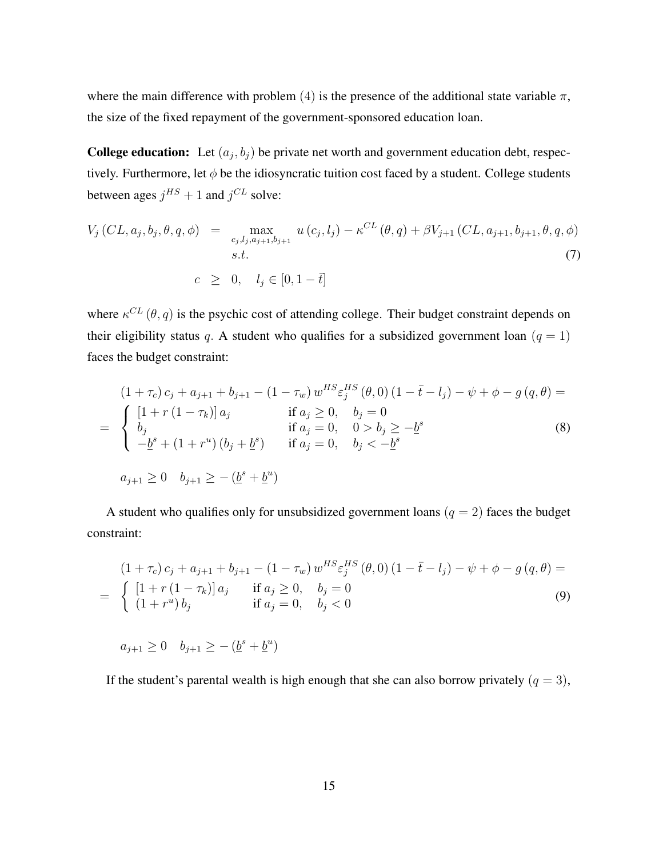where the main difference with problem (4) is the presence of the additional state variable  $\pi$ , the size of the fixed repayment of the government-sponsored education loan.

**College education:** Let  $(a_j, b_j)$  be private net worth and government education debt, respectively. Furthermore, let  $\phi$  be the idiosyncratic tuition cost faced by a student. College students between ages  $j^{HS} + 1$  and  $j^{CL}$  solve:

$$
V_j(CL, a_j, b_j, \theta, q, \phi) = \max_{\substack{c_j, l_j, a_{j+1}, b_{j+1} \\ s.t.}} u(c_j, l_j) - \kappa^{CL}(\theta, q) + \beta V_{j+1}(CL, a_{j+1}, b_{j+1}, \theta, q, \phi)
$$
\n
$$
(7)
$$

where  $\kappa^{CL}(\theta, q)$  is the psychic cost of attending college. Their budget constraint depends on their eligibility status q. A student who qualifies for a subsidized government loan  $(q = 1)$ faces the budget constraint:

$$
(1 + \tau_c) c_j + a_{j+1} + b_{j+1} - (1 - \tau_w) w^{HS} \varepsilon_j^{HS} (\theta, 0) (1 - \bar{t} - l_j) - \psi + \phi - g (q, \theta) =
$$
  
\n
$$
= \begin{cases} [1 + r (1 - \tau_k)] a_j & \text{if } a_j \ge 0, b_j = 0\\ b_j & \text{if } a_j = 0, 0 > b_j \ge -b^s\\ -b^s + (1 + r^u) (b_j + b^s) & \text{if } a_j = 0, b_j < -b^s \end{cases}
$$
(8)  
\n
$$
a_{j+1} \ge 0 \quad b_{j+1} \ge -(\underline{b}^s + \underline{b}^u)
$$

A student who qualifies only for unsubsidized government loans  $(q = 2)$  faces the budget constraint:

$$
(1 + \tau_c) c_j + a_{j+1} + b_{j+1} - (1 - \tau_w) w^{HS} \varepsilon_j^{HS} (\theta, 0) (1 - \bar{t} - l_j) - \psi + \phi - g (q, \theta) =
$$
  
\n
$$
= \begin{cases} [1 + r (1 - \tau_k)] a_j & \text{if } a_j \ge 0, b_j = 0\\ (1 + r^u) b_j & \text{if } a_j = 0, b_j < 0 \end{cases}
$$
  
\n
$$
a_{j+1} \ge 0 \quad b_{j+1} \ge -(\underline{b}^s + \underline{b}^u)
$$
\n(9)

If the student's parental wealth is high enough that she can also borrow privately  $(q = 3)$ ,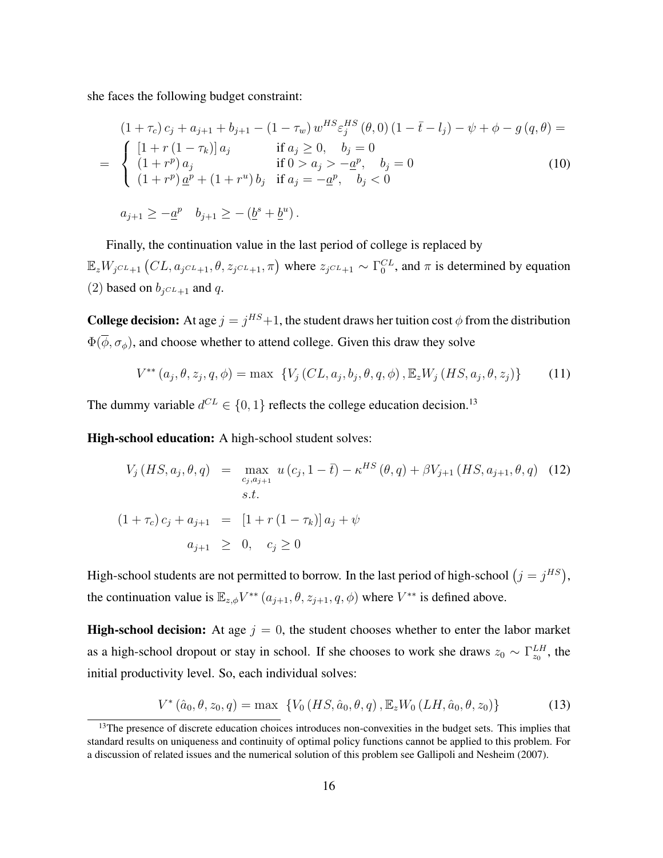she faces the following budget constraint:

$$
(1 + \tau_c) c_j + a_{j+1} + b_{j+1} - (1 - \tau_w) w^{HS} \varepsilon_j^{HS} (\theta, 0) (1 - \bar{t} - l_j) - \psi + \phi - g (q, \theta) =
$$
  
\n
$$
= \begin{cases} [1 + r(1 - \tau_k)] a_j & \text{if } a_j \ge 0, b_j = 0 \\ (1 + r^p) a_j & \text{if } 0 > a_j > -\underline{a}^p, b_j = 0 \\ (1 + r^p) \underline{a}^p + (1 + r^u) b_j & \text{if } a_j = -\underline{a}^p, b_j < 0 \end{cases}
$$
(10)  
\n
$$
a_{j+1} \ge -\underline{a}^p b_{j+1} \ge -(\underline{b}^s + \underline{b}^u).
$$

Finally, the continuation value in the last period of college is replaced by  $\mathbb{E}_z W_j c_{L+1} (CL, a_j c_{L+1}, \theta, z_j c_{L+1}, \pi)$  where  $z_j c_{L+1} \sim \Gamma_0^{CL}$ , and  $\pi$  is determined by equation (2) based on  $b_i c_{L+1}$  and q.

**College decision:** At age  $j = j^{HS}+1$ , the student draws her tuition cost  $\phi$  from the distribution  $\Phi(\overline{\phi}, \sigma_{\phi})$ , and choose whether to attend college. Given this draw they solve

$$
V^{**}(a_j, \theta, z_j, q, \phi) = \max \{ V_j(CL, a_j, b_j, \theta, q, \phi), \mathbb{E}_z W_j(HS, a_j, \theta, z_j) \} \tag{11}
$$

The dummy variable  $d^{CL} \in \{0, 1\}$  reflects the college education decision.<sup>13</sup>

High-school education: A high-school student solves:

$$
V_j(HS, a_j, \theta, q) = \max_{\substack{c_j, a_{j+1} \\ s.t.}} u(c_j, 1 - \bar{t}) - \kappa^{HS}(\theta, q) + \beta V_{j+1}(HS, a_{j+1}, \theta, q)
$$
(12)  
s.t.  

$$
(1 + \tau_c)c_j + a_{j+1} = [1 + r(1 - \tau_k)]a_j + \psi
$$
  

$$
a_{j+1} \geq 0, \quad c_j \geq 0
$$

High-school students are not permitted to borrow. In the last period of high-school  $(j = j^{HS})$ , the continuation value is  $\mathbb{E}_{z,\phi}V^{**}(a_{j+1},\theta,z_{j+1},q,\phi)$  where  $V^{**}$  is defined above.

**High-school decision:** At age  $j = 0$ , the student chooses whether to enter the labor market as a high-school dropout or stay in school. If she chooses to work she draws  $z_0 \sim \Gamma_{z_0}^{LH}$ , the initial productivity level. So, each individual solves:

$$
V^*(\hat{a}_0, \theta, z_0, q) = \max \{ V_0(HS, \hat{a}_0, \theta, q), \mathbb{E}_z W_0(LH, \hat{a}_0, \theta, z_0) \}
$$
(13)

<sup>&</sup>lt;sup>13</sup>The presence of discrete education choices introduces non-convexities in the budget sets. This implies that standard results on uniqueness and continuity of optimal policy functions cannot be applied to this problem. For a discussion of related issues and the numerical solution of this problem see Gallipoli and Nesheim (2007).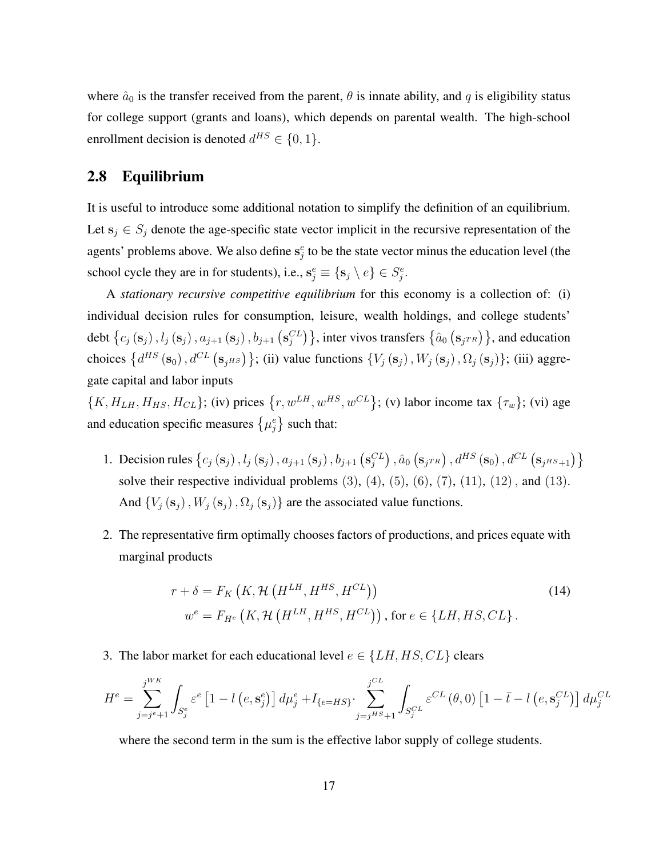where  $\hat{a}_0$  is the transfer received from the parent,  $\theta$  is innate ability, and q is eligibility status for college support (grants and loans), which depends on parental wealth. The high-school enrollment decision is denoted  $d^{HS} \in \{0, 1\}.$ 

### 2.8 Equilibrium

It is useful to introduce some additional notation to simplify the definition of an equilibrium. Let  $s_j \in S_j$  denote the age-specific state vector implicit in the recursive representation of the agents' problems above. We also define  $s_j^e$  to be the state vector minus the education level (the school cycle they are in for students), i.e.,  $s_j^e \equiv \{s_j \setminus e\} \in S_j^e$ .

A *stationary recursive competitive equilibrium* for this economy is a collection of: (i) individual decision rules for consumption, leisure, wealth holdings, and college students' debt  $\{c_j\left(\mathbf{s}_j\right),l_j\left(\mathbf{s}_j\right),a_{j+1}\left(\mathbf{s}_j\right),b_{j+1}\left(\mathbf{s}_j^{CL}\right)\}$ , inter vivos transfers  $\{\hat{a}_0\left(\mathbf{s}_j$ r $\pi\right)\}$ , and education choices  $\{d^{HS}(\mathbf{s}_0), d^{CL}(\mathbf{s}_{j^{HS}})\}$ ; (ii) value functions  $\{V_j(\mathbf{s}_j), W_j(\mathbf{s}_j), \Omega_j(\mathbf{s}_j)\}$ ; (iii) aggregate capital and labor inputs

 $\{K, H_{LH}, H_{HS}, H_{CL}\};$  (iv) prices  $\{r, w^{LH}, w^{HS}, w^{CL}\};$  (v) labor income tax  $\{\tau_w\};$  (vi) age and education specific measures  $\{\mu_j^e\}$  such that:

- 1. Decision rules  $\{c_j(\mathbf{s}_j), l_j(\mathbf{s}_j), a_{j+1}(\mathbf{s}_j), b_{j+1}(\mathbf{s}_j^{CL}), \hat{a}_0(\mathbf{s}_{j^{TR}}), d^{HS}(\mathbf{s}_0), d^{CL}(\mathbf{s}_{j^{HS}+1})\}$ solve their respective individual problems  $(3)$ ,  $(4)$ ,  $(5)$ ,  $(6)$ ,  $(7)$ ,  $(11)$ ,  $(12)$ , and  $(13)$ . And  $\{V_j(\mathbf{s}_j), W_j(\mathbf{s}_j), \Omega_j(\mathbf{s}_j)\}\$ are the associated value functions.
- 2. The representative firm optimally chooses factors of productions, and prices equate with marginal products

$$
r + \delta = F_K \left( K, \mathcal{H} \left( H^{LH}, H^{HS}, H^{CL} \right) \right)
$$
  
\n
$$
w^e = F_{H^e} \left( K, \mathcal{H} \left( H^{LH}, H^{HS}, H^{CL} \right) \right), \text{ for } e \in \{LH, HS, CL\}.
$$
\n(14)

3. The labor market for each educational level  $e \in \{LH, HS, CL\}$  clears

$$
H^{e} = \sum_{j=j^{e}+1}^{j^{WK}} \int_{S_{j}^{e}} \varepsilon^{e} \left[1 - l\left(e, s_{j}^{e}\right)\right] d\mu_{j}^{e} + I_{\{e=HS\}} \sum_{j=j^{HS}+1}^{j^{CL}} \int_{S_{j}^{CL}} \varepsilon^{CL}\left(\theta, 0\right) \left[1 - \bar{t} - l\left(e, s_{j}^{CL}\right)\right] d\mu_{j}^{CL}
$$

where the second term in the sum is the effective labor supply of college students.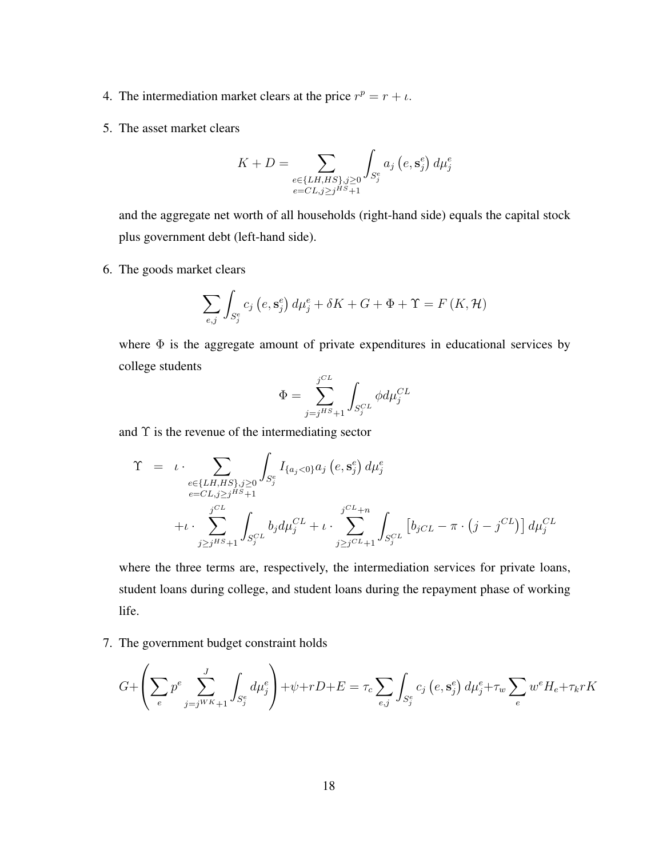- 4. The intermediation market clears at the price  $r^p = r + \iota$ .
- 5. The asset market clears

$$
K + D = \sum_{\substack{e \in \{LH, HS\}, j \ge 0 \\ e = CL, j \ge j^{HS}+1}} \int_{S_j^e} a_j \left(e, s_j^e\right) d\mu_j^e
$$

and the aggregate net worth of all households (right-hand side) equals the capital stock plus government debt (left-hand side).

6. The goods market clears

$$
\sum_{e,j} \int_{S_j^e} c_j \left( e, \mathbf{s}_j^e \right) d\mu_j^e + \delta K + G + \Phi + \Upsilon = F(K, \mathcal{H})
$$

where  $\Phi$  is the aggregate amount of private expenditures in educational services by college students

$$
\Phi = \sum_{j=j^{HS}+1}^{j^{CL}} \int_{S_j^{CL}} \phi d\mu_j^{CL}
$$

and  $\Upsilon$  is the revenue of the intermediating sector

$$
\begin{split} \Upsilon &= \iota \cdot \sum_{e \in \{LH, HS\}, j \ge 0} \int_{S_j^e} I_{\{a_j < 0\}} a_j \left( e, s_j^e \right) d\mu_j^e \\ &= C L_{j} \ge j^{HS} + 1 \\ &+ \iota \cdot \sum_{j \ge j^{HS}+1} \int_{S_j^{CL}} b_j d\mu_j^{CL} + \iota \cdot \sum_{j \ge j^{CL}+1} \int_{S_j^{CL}} \left[ b_{jCL} - \pi \cdot (j - j^{CL}) \right] d\mu_j^{CL} \end{split}
$$

where the three terms are, respectively, the intermediation services for private loans, student loans during college, and student loans during the repayment phase of working life.

7. The government budget constraint holds

$$
G + \left(\sum_{e} p^{e} \sum_{j=j^{WK}+1}^{J} \int_{S_{j}^{e}} d\mu_{j}^{e}\right) + \psi + rD + E = \tau_{c} \sum_{e,j} \int_{S_{j}^{e}} c_{j} \left(e, s_{j}^{e}\right) d\mu_{j}^{e} + \tau_{w} \sum_{e} w^{e} H_{e} + \tau_{k} rK
$$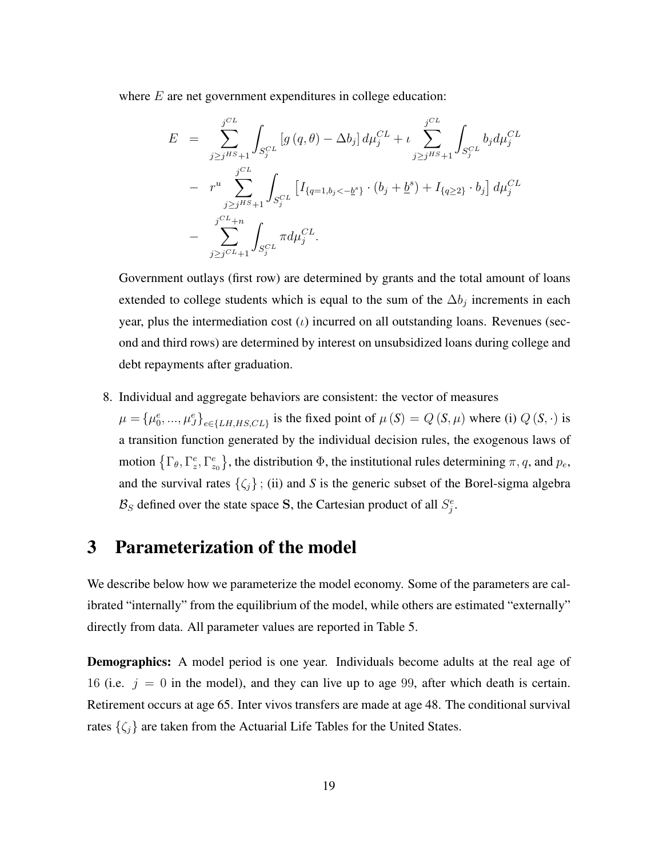where  $E$  are net government expenditures in college education:

$$
E = \sum_{j \geq j^{HS}+1}^{j^{CL}} \int_{S_j^{CL}} [g(q, \theta) - \Delta b_j] d\mu_j^{CL} + \iota \sum_{j \geq j^{HS}+1}^{j^{CL}} \int_{S_j^{CL}} b_j d\mu_j^{CL} - r^u \sum_{j \geq j^{HS}+1}^{j^{CL}} \int_{S_j^{CL}} [I_{\{q=1, b_j < -\underline{b}^s\}} \cdot (b_j + \underline{b}^s) + I_{\{q \geq 2\}} \cdot b_j] d\mu_j^{CL} - \sum_{j \geq j^{CL}+n}^{j^{CL}+n} \int_{S_j^{CL}} \pi d\mu_j^{CL}.
$$

Government outlays (first row) are determined by grants and the total amount of loans extended to college students which is equal to the sum of the  $\Delta b_j$  increments in each year, plus the intermediation cost  $(\iota)$  incurred on all outstanding loans. Revenues (second and third rows) are determined by interest on unsubsidized loans during college and debt repayments after graduation.

8. Individual and aggregate behaviors are consistent: the vector of measures

 $\mu = {\mu_0^e, ..., \mu_J^e}$ <sub>e∈{*LH*,*HS*,*CL*}</sub> is the fixed point of  $\mu(S) = Q(S, \mu)$  where (i)  $Q(S, \cdot)$  is a transition function generated by the individual decision rules, the exogenous laws of motion  $\{\Gamma_\theta, \Gamma^e_z, \Gamma^e_{z_0}\}\)$ , the distribution  $\Phi$ , the institutional rules determining  $\pi, q$ , and  $p_e$ , and the survival rates  $\{\zeta_j\}$ ; (ii) and *S* is the generic subset of the Borel-sigma algebra  $\mathcal{B}_S$  defined over the state space S, the Cartesian product of all  $S_j^e$ .

# 3 Parameterization of the model

We describe below how we parameterize the model economy. Some of the parameters are calibrated "internally" from the equilibrium of the model, while others are estimated "externally" directly from data. All parameter values are reported in Table 5.

Demographics: A model period is one year. Individuals become adults at the real age of 16 (i.e.  $j = 0$  in the model), and they can live up to age 99, after which death is certain. Retirement occurs at age 65. Inter vivos transfers are made at age 48. The conditional survival rates  $\{\zeta_j\}$  are taken from the Actuarial Life Tables for the United States.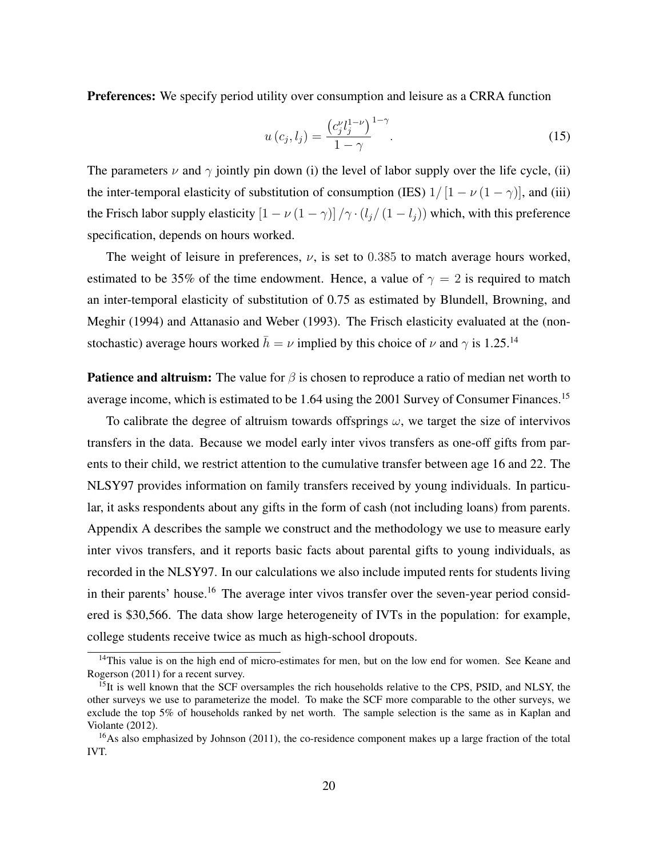Preferences: We specify period utility over consumption and leisure as a CRRA function

$$
u\left(c_j, l_j\right) = \frac{\left(c_j^{\nu} l_j^{1-\nu}\right)^{1-\gamma}}{1-\gamma}.
$$
\n(15)

The parameters  $\nu$  and  $\gamma$  jointly pin down (i) the level of labor supply over the life cycle, (ii) the inter-temporal elasticity of substitution of consumption (IES)  $1/[1 - \nu (1 - \gamma)]$ , and (iii) the Frisch labor supply elasticity  $[1 - \nu (1 - \gamma)] / \gamma \cdot (l_j / (1 - l_j))$  which, with this preference specification, depends on hours worked.

The weight of leisure in preferences,  $\nu$ , is set to 0.385 to match average hours worked, estimated to be 35% of the time endowment. Hence, a value of  $\gamma = 2$  is required to match an inter-temporal elasticity of substitution of 0.75 as estimated by Blundell, Browning, and Meghir (1994) and Attanasio and Weber (1993). The Frisch elasticity evaluated at the (nonstochastic) average hours worked  $\bar{h} = \nu$  implied by this choice of  $\nu$  and  $\gamma$  is 1.25.<sup>14</sup>

**Patience and altruism:** The value for  $\beta$  is chosen to reproduce a ratio of median net worth to average income, which is estimated to be 1.64 using the 2001 Survey of Consumer Finances.<sup>15</sup>

To calibrate the degree of altruism towards offsprings  $\omega$ , we target the size of intervivos transfers in the data. Because we model early inter vivos transfers as one-off gifts from parents to their child, we restrict attention to the cumulative transfer between age 16 and 22. The NLSY97 provides information on family transfers received by young individuals. In particular, it asks respondents about any gifts in the form of cash (not including loans) from parents. Appendix A describes the sample we construct and the methodology we use to measure early inter vivos transfers, and it reports basic facts about parental gifts to young individuals, as recorded in the NLSY97. In our calculations we also include imputed rents for students living in their parents' house.<sup>16</sup> The average inter vivos transfer over the seven-year period considered is \$30,566. The data show large heterogeneity of IVTs in the population: for example, college students receive twice as much as high-school dropouts.

 $14$ This value is on the high end of micro-estimates for men, but on the low end for women. See Keane and Rogerson (2011) for a recent survey.

<sup>&</sup>lt;sup>15</sup>It is well known that the SCF oversamples the rich households relative to the CPS, PSID, and NLSY, the other surveys we use to parameterize the model. To make the SCF more comparable to the other surveys, we exclude the top 5% of households ranked by net worth. The sample selection is the same as in Kaplan and Violante (2012).

<sup>&</sup>lt;sup>16</sup>As also emphasized by Johnson (2011), the co-residence component makes up a large fraction of the total IVT.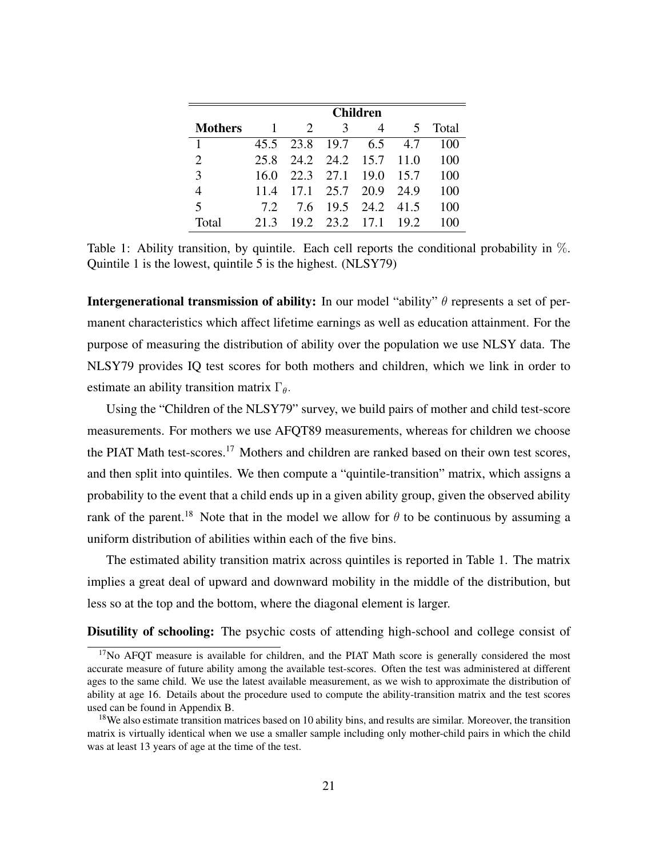|                | <b>Children</b>  |                             |                     |      |         |       |
|----------------|------------------|-----------------------------|---------------------|------|---------|-------|
| <b>Mothers</b> | $\mathbf{1}$     | $\mathcal{D}_{\mathcal{L}}$ | $\mathcal{E}$       | 4    | 5       | Total |
| 1              |                  |                             | 45.5 23.8 19.7 6.5  |      | 4.7     | 100   |
| 2              |                  |                             | 25.8 24.2 24.2 15.7 |      | $-11.0$ | 100   |
| 3              | 16.0             | 22.3 27.1                   |                     | 19.0 | 15.7    | 100   |
| 4              | 11.4             |                             | 17.1 25.7 20.9      |      | 24.9    | 100   |
| 5              | 7.2 <sub>1</sub> |                             | 7.6 19.5            | 24.2 | 41.5    | 100   |
| Total          | 21.3             |                             | 19.2 23.2 17.1      |      | 19.2    | 100   |

Table 1: Ability transition, by quintile. Each cell reports the conditional probability in  $\%$ . Quintile 1 is the lowest, quintile 5 is the highest. (NLSY79)

Intergenerational transmission of ability: In our model "ability"  $\theta$  represents a set of permanent characteristics which affect lifetime earnings as well as education attainment. For the purpose of measuring the distribution of ability over the population we use NLSY data. The NLSY79 provides IQ test scores for both mothers and children, which we link in order to estimate an ability transition matrix  $\Gamma_{\theta}$ .

Using the "Children of the NLSY79" survey, we build pairs of mother and child test-score measurements. For mothers we use AFQT89 measurements, whereas for children we choose the PIAT Math test-scores.<sup>17</sup> Mothers and children are ranked based on their own test scores, and then split into quintiles. We then compute a "quintile-transition" matrix, which assigns a probability to the event that a child ends up in a given ability group, given the observed ability rank of the parent.<sup>18</sup> Note that in the model we allow for  $\theta$  to be continuous by assuming a uniform distribution of abilities within each of the five bins.

The estimated ability transition matrix across quintiles is reported in Table 1. The matrix implies a great deal of upward and downward mobility in the middle of the distribution, but less so at the top and the bottom, where the diagonal element is larger.

Disutility of schooling: The psychic costs of attending high-school and college consist of

 $17$ No AFOT measure is available for children, and the PIAT Math score is generally considered the most accurate measure of future ability among the available test-scores. Often the test was administered at different ages to the same child. We use the latest available measurement, as we wish to approximate the distribution of ability at age 16. Details about the procedure used to compute the ability-transition matrix and the test scores used can be found in Appendix B.

<sup>&</sup>lt;sup>18</sup>We also estimate transition matrices based on 10 ability bins, and results are similar. Moreover, the transition matrix is virtually identical when we use a smaller sample including only mother-child pairs in which the child was at least 13 years of age at the time of the test.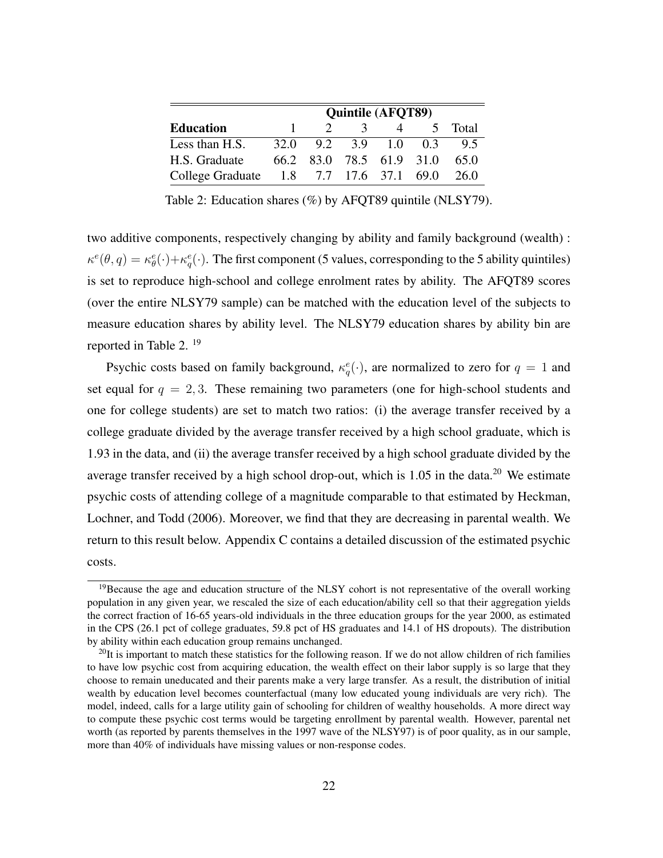|                  | <b>Quintile (AFOT89)</b> |                        |               |                     |     |       |
|------------------|--------------------------|------------------------|---------------|---------------------|-----|-------|
| <b>Education</b> |                          |                        | $\mathcal{R}$ |                     |     | Total |
| Less than H.S.   | 32.0                     | 9.2                    |               | 3.9 1.0             | 0.3 | 95    |
| H.S. Graduate    | 66.2                     |                        |               | 83.0 78.5 61.9 31.0 |     | 65.0  |
| College Graduate |                          | 1.8 7.7 17.6 37.1 69.0 |               |                     |     | 26.0  |

Table 2: Education shares (%) by AFQT89 quintile (NLSY79).

two additive components, respectively changing by ability and family background (wealth) :  $\kappa^e(\theta, q) = \kappa^e_{\theta}(\cdot) + \kappa^e_{q}(\cdot)$ . The first component (5 values, corresponding to the 5 ability quintiles) is set to reproduce high-school and college enrolment rates by ability. The AFQT89 scores (over the entire NLSY79 sample) can be matched with the education level of the subjects to measure education shares by ability level. The NLSY79 education shares by ability bin are reported in Table 2. <sup>19</sup>

Psychic costs based on family background,  $\kappa_q^e(\cdot)$ , are normalized to zero for  $q = 1$  and set equal for  $q = 2, 3$ . These remaining two parameters (one for high-school students and one for college students) are set to match two ratios: (i) the average transfer received by a college graduate divided by the average transfer received by a high school graduate, which is 1.93 in the data, and (ii) the average transfer received by a high school graduate divided by the average transfer received by a high school drop-out, which is  $1.05$  in the data.<sup>20</sup> We estimate psychic costs of attending college of a magnitude comparable to that estimated by Heckman, Lochner, and Todd (2006). Moreover, we find that they are decreasing in parental wealth. We return to this result below. Appendix C contains a detailed discussion of the estimated psychic costs.

<sup>&</sup>lt;sup>19</sup>Because the age and education structure of the NLSY cohort is not representative of the overall working population in any given year, we rescaled the size of each education/ability cell so that their aggregation yields the correct fraction of 16-65 years-old individuals in the three education groups for the year 2000, as estimated in the CPS (26.1 pct of college graduates, 59.8 pct of HS graduates and 14.1 of HS dropouts). The distribution by ability within each education group remains unchanged.

 $^{20}$ It is important to match these statistics for the following reason. If we do not allow children of rich families to have low psychic cost from acquiring education, the wealth effect on their labor supply is so large that they choose to remain uneducated and their parents make a very large transfer. As a result, the distribution of initial wealth by education level becomes counterfactual (many low educated young individuals are very rich). The model, indeed, calls for a large utility gain of schooling for children of wealthy households. A more direct way to compute these psychic cost terms would be targeting enrollment by parental wealth. However, parental net worth (as reported by parents themselves in the 1997 wave of the NLSY97) is of poor quality, as in our sample, more than 40% of individuals have missing values or non-response codes.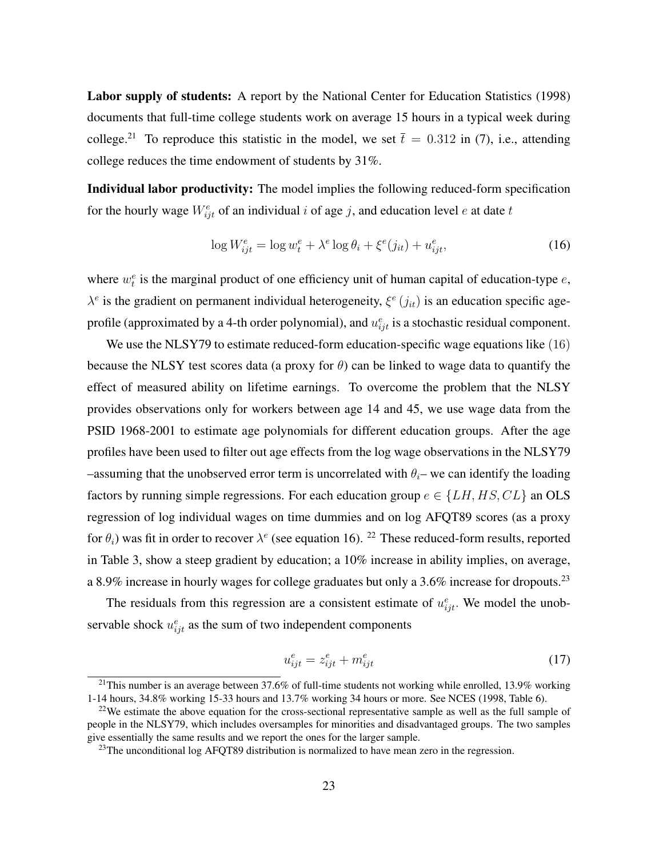Labor supply of students: A report by the National Center for Education Statistics (1998) documents that full-time college students work on average 15 hours in a typical week during college.<sup>21</sup> To reproduce this statistic in the model, we set  $\bar{t} = 0.312$  in (7), i.e., attending college reduces the time endowment of students by 31%.

Individual labor productivity: The model implies the following reduced-form specification for the hourly wage  $W_{ijt}^e$  of an individual i of age j, and education level e at date t

$$
\log W_{ijt}^e = \log w_t^e + \lambda^e \log \theta_i + \xi^e(j_{it}) + u_{ijt}^e,\tag{16}
$$

where  $w_t^e$  is the marginal product of one efficiency unit of human capital of education-type  $e$ ,  $\lambda^e$  is the gradient on permanent individual heterogeneity,  $\xi^e(j_{it})$  is an education specific ageprofile (approximated by a 4-th order polynomial), and  $u_{ijt}^e$  is a stochastic residual component.

We use the NLSY79 to estimate reduced-form education-specific wage equations like (16) because the NLSY test scores data (a proxy for  $\theta$ ) can be linked to wage data to quantify the effect of measured ability on lifetime earnings. To overcome the problem that the NLSY provides observations only for workers between age 14 and 45, we use wage data from the PSID 1968-2001 to estimate age polynomials for different education groups. After the age profiles have been used to filter out age effects from the log wage observations in the NLSY79 –assuming that the unobserved error term is uncorrelated with  $\theta_i$ – we can identify the loading factors by running simple regressions. For each education group  $e \in \{LH, HS, CL\}$  an OLS regression of log individual wages on time dummies and on log AFQT89 scores (as a proxy for  $\theta_i$ ) was fit in order to recover  $\lambda^e$  (see equation 16). <sup>22</sup> These reduced-form results, reported in Table 3, show a steep gradient by education; a 10% increase in ability implies, on average, a 8.9% increase in hourly wages for college graduates but only a 3.6% increase for dropouts.<sup>23</sup>

The residuals from this regression are a consistent estimate of  $u_{ijt}^e$ . We model the unobservable shock  $u_{ijt}^e$  as the sum of two independent components

$$
u_{ijt}^e = z_{ijt}^e + m_{ijt}^e \tag{17}
$$

<sup>&</sup>lt;sup>21</sup>This number is an average between 37.6% of full-time students not working while enrolled, 13.9% working 1-14 hours, 34.8% working 15-33 hours and 13.7% working 34 hours or more. See NCES (1998, Table 6).

 $22$ We estimate the above equation for the cross-sectional representative sample as well as the full sample of people in the NLSY79, which includes oversamples for minorities and disadvantaged groups. The two samples give essentially the same results and we report the ones for the larger sample.

 $^{23}$ The unconditional log AFQT89 distribution is normalized to have mean zero in the regression.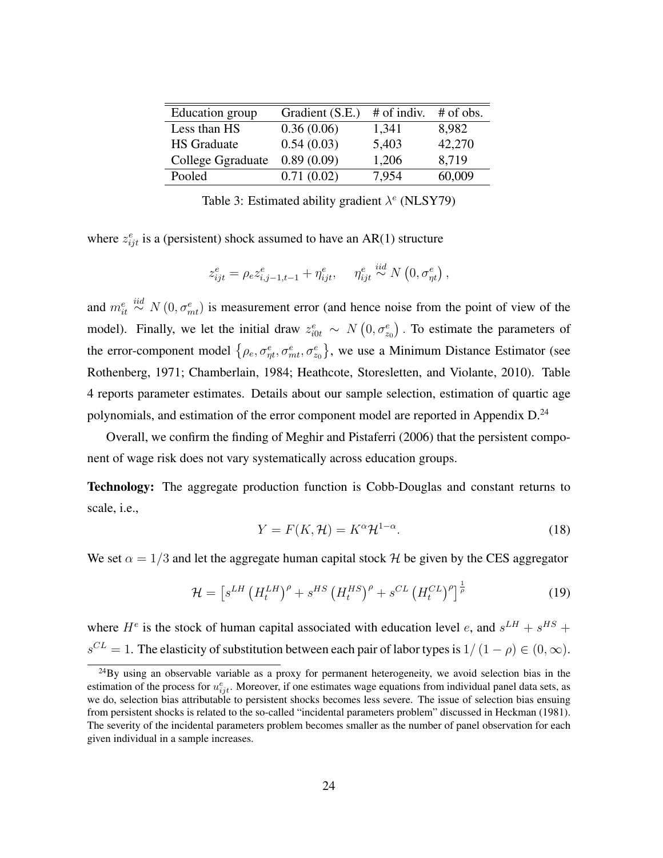| Education group    | Gradient (S.E.) | # of indiv. | # of obs. |
|--------------------|-----------------|-------------|-----------|
| Less than HS       | 0.36(0.06)      | 1,341       | 8.982     |
| <b>HS</b> Graduate | 0.54(0.03)      | 5,403       | 42,270    |
| College Ggraduate  | 0.89(0.09)      | 1,206       | 8.719     |
| Pooled             | 0.71(0.02)      | 7.954       | 60,009    |

Table 3: Estimated ability gradient  $\lambda^e$  (NLSY79)

where  $z_{ijt}^e$  is a (persistent) shock assumed to have an AR(1) structure

$$
z_{ijt}^e = \rho_e z_{i,j-1,t-1}^e + \eta_{ijt}^e, \quad \eta_{ijt}^e \stackrel{iid}{\sim} N\left(0, \sigma_{\eta t}^e\right),
$$

and  $m_{it}^e \stackrel{iid}{\sim} N(0, \sigma_{mt}^e)$  is measurement error (and hence noise from the point of view of the model). Finally, we let the initial draw  $z_{i0t}^e \sim N(0, \sigma_{z_0}^e)$ . To estimate the parameters of the error-component model  $\{\rho_e, \sigma_{\eta t}^e, \sigma_{mt}^e, \sigma_{z_0}^e\}$ , we use a Minimum Distance Estimator (see Rothenberg, 1971; Chamberlain, 1984; Heathcote, Storesletten, and Violante, 2010). Table 4 reports parameter estimates. Details about our sample selection, estimation of quartic age polynomials, and estimation of the error component model are reported in Appendix  $D^{24}$ 

Overall, we confirm the finding of Meghir and Pistaferri (2006) that the persistent component of wage risk does not vary systematically across education groups.

Technology: The aggregate production function is Cobb-Douglas and constant returns to scale, i.e.,

$$
Y = F(K, \mathcal{H}) = K^{\alpha} \mathcal{H}^{1-\alpha}.
$$
 (18)

We set  $\alpha = 1/3$  and let the aggregate human capital stock H be given by the CES aggregator

$$
\mathcal{H} = \left[ s^{LH} \left( H_t^{LH} \right)^{\rho} + s^{HS} \left( H_t^{HS} \right)^{\rho} + s^{CL} \left( H_t^{CL} \right)^{\rho} \right]^{\frac{1}{\rho}}
$$
(19)

where  $H^e$  is the stock of human capital associated with education level e, and  $s^{LH} + s^{HS} +$  $s^{CL} = 1$ . The elasticity of substitution between each pair of labor types is  $1/(1 - \rho) \in (0, \infty)$ .

 $24$ By using an observable variable as a proxy for permanent heterogeneity, we avoid selection bias in the estimation of the process for  $u_{ijt}^e$ . Moreover, if one estimates wage equations from individual panel data sets, as we do, selection bias attributable to persistent shocks becomes less severe. The issue of selection bias ensuing from persistent shocks is related to the so-called "incidental parameters problem" discussed in Heckman (1981). The severity of the incidental parameters problem becomes smaller as the number of panel observation for each given individual in a sample increases.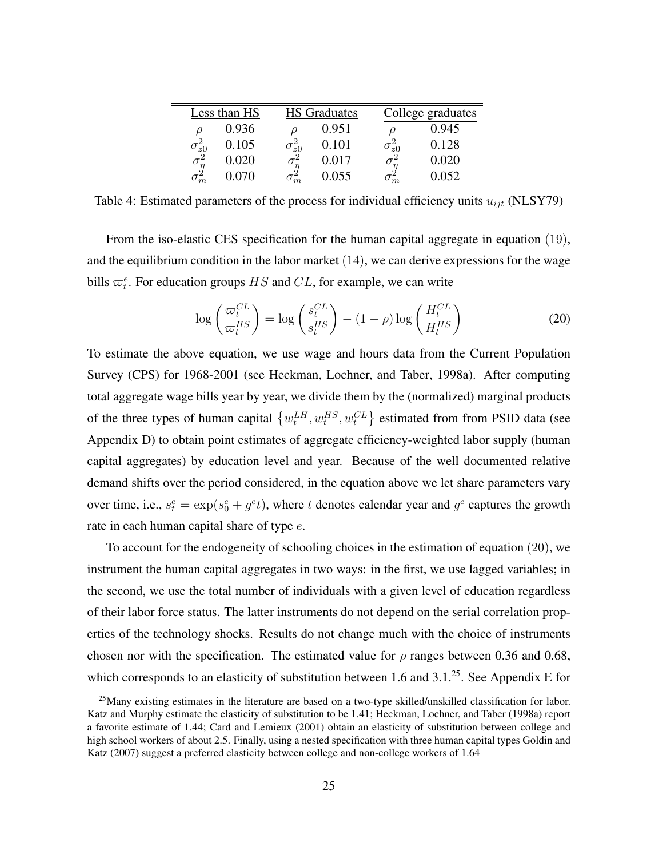|                 | Less than HS |                | <b>HS</b> Graduates |                                         | College graduates |
|-----------------|--------------|----------------|---------------------|-----------------------------------------|-------------------|
|                 | 0.936        |                | 0.951               |                                         | 0.945             |
| $\sigma_{z0}^2$ | 0.105        | z <sub>0</sub> | 0.101               | $\sigma$<br>$\overline{z}$ <sup>0</sup> | 0.128             |
| σ               | 0.020        | η              | 0.017               |                                         | 0.020             |
| $\overline{m}$  |              | m              | 0.055               | m                                       | ) በ52             |

Table 4: Estimated parameters of the process for individual efficiency units  $u_{ijt}$  (NLSY79)

From the iso-elastic CES specification for the human capital aggregate in equation (19), and the equilibrium condition in the labor market  $(14)$ , we can derive expressions for the wage bills  $\varpi_t^e$ . For education groups HS and CL, for example, we can write

$$
\log\left(\frac{\varpi_t^{CL}}{\varpi_t^{HS}}\right) = \log\left(\frac{s_t^{CL}}{s_t^{HS}}\right) - (1-\rho)\log\left(\frac{H_t^{CL}}{H_t^{HS}}\right)
$$
(20)

To estimate the above equation, we use wage and hours data from the Current Population Survey (CPS) for 1968-2001 (see Heckman, Lochner, and Taber, 1998a). After computing total aggregate wage bills year by year, we divide them by the (normalized) marginal products of the three types of human capital  $\{w_t^{LH}, w_t^{HS}, w_t^{CL}\}$  estimated from from PSID data (see Appendix D) to obtain point estimates of aggregate efficiency-weighted labor supply (human capital aggregates) by education level and year. Because of the well documented relative demand shifts over the period considered, in the equation above we let share parameters vary over time, i.e.,  $s_t^e = \exp(s_0^e + g^e t)$ , where t denotes calendar year and  $g^e$  captures the growth rate in each human capital share of type  $e$ .

To account for the endogeneity of schooling choices in the estimation of equation (20), we instrument the human capital aggregates in two ways: in the first, we use lagged variables; in the second, we use the total number of individuals with a given level of education regardless of their labor force status. The latter instruments do not depend on the serial correlation properties of the technology shocks. Results do not change much with the choice of instruments chosen nor with the specification. The estimated value for  $\rho$  ranges between 0.36 and 0.68, which corresponds to an elasticity of substitution between 1.6 and  $3.1<sup>25</sup>$ . See Appendix E for

<sup>&</sup>lt;sup>25</sup>Many existing estimates in the literature are based on a two-type skilled/unskilled classification for labor. Katz and Murphy estimate the elasticity of substitution to be 1.41; Heckman, Lochner, and Taber (1998a) report a favorite estimate of 1.44; Card and Lemieux (2001) obtain an elasticity of substitution between college and high school workers of about 2.5. Finally, using a nested specification with three human capital types Goldin and Katz (2007) suggest a preferred elasticity between college and non-college workers of 1.64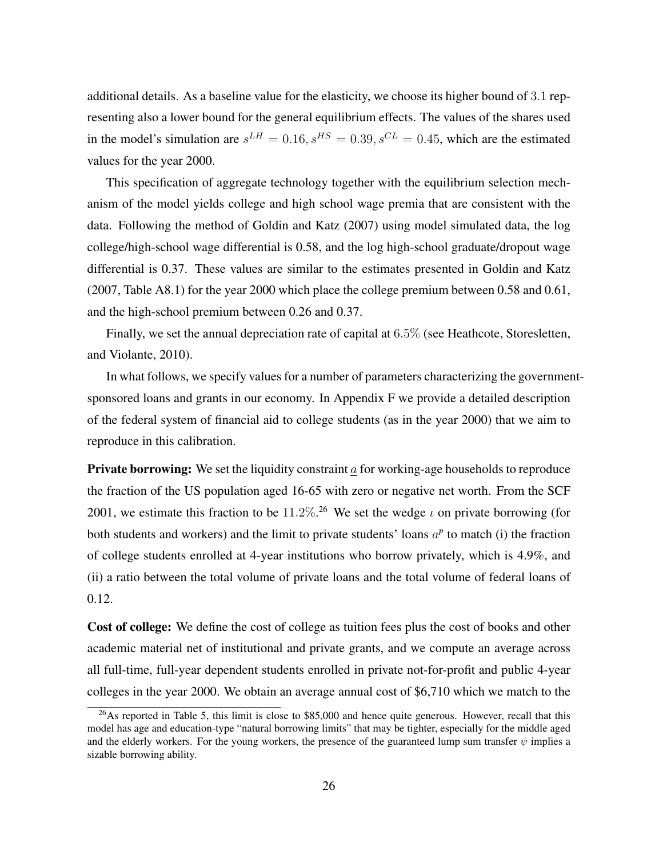additional details. As a baseline value for the elasticity, we choose its higher bound of 3.1 representing also a lower bound for the general equilibrium effects. The values of the shares used in the model's simulation are  $s^{LH} = 0.16$ ,  $s^{HS} = 0.39$ ,  $s^{CL} = 0.45$ , which are the estimated values for the year 2000.

This specification of aggregate technology together with the equilibrium selection mechanism of the model yields college and high school wage premia that are consistent with the data. Following the method of Goldin and Katz (2007) using model simulated data, the log college/high-school wage differential is 0.58, and the log high-school graduate/dropout wage differential is 0.37. These values are similar to the estimates presented in Goldin and Katz (2007, Table A8.1) for the year 2000 which place the college premium between 0.58 and 0.61, and the high-school premium between 0.26 and 0.37.

Finally, we set the annual depreciation rate of capital at 6.5% (see Heathcote, Storesletten, and Violante, 2010).

In what follows, we specify values for a number of parameters characterizing the governmentsponsored loans and grants in our economy. In Appendix F we provide a detailed description of the federal system of financial aid to college students (as in the year 2000) that we aim to reproduce in this calibration.

**Private borrowing:** We set the liquidity constraint  $\alpha$  for working-age households to reproduce the fraction of the US population aged 16-65 with zero or negative net worth. From the SCF 2001, we estimate this fraction to be 11.2%.<sup>26</sup> We set the wedge  $\iota$  on private borrowing (for both students and workers) and the limit to private students' loans  $a^p$  to match (i) the fraction of college students enrolled at 4-year institutions who borrow privately, which is 4.9%, and (ii) a ratio between the total volume of private loans and the total volume of federal loans of 0.12.

Cost of college: We define the cost of college as tuition fees plus the cost of books and other academic material net of institutional and private grants, and we compute an average across all full-time, full-year dependent students enrolled in private not-for-profit and public 4-year colleges in the year 2000. We obtain an average annual cost of \$6,710 which we match to the

 $^{26}$ As reported in Table 5, this limit is close to \$85,000 and hence quite generous. However, recall that this model has age and education-type "natural borrowing limits" that may be tighter, especially for the middle aged and the elderly workers. For the young workers, the presence of the guaranteed lump sum transfer  $\psi$  implies a sizable borrowing ability.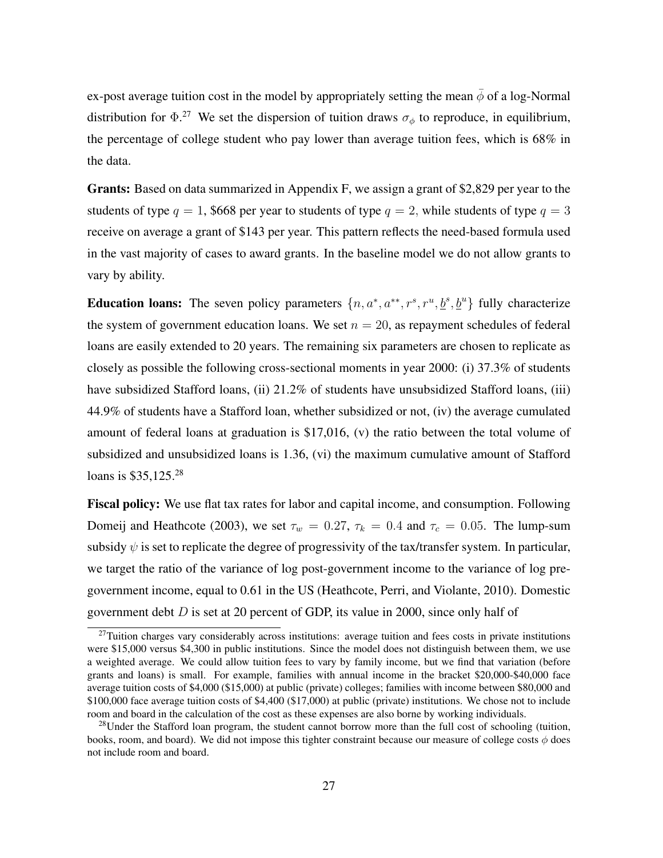ex-post average tuition cost in the model by appropriately setting the mean  $\bar{\phi}$  of a log-Normal distribution for  $\Phi$ <sup>27</sup>. We set the dispersion of tuition draws  $\sigma_{\phi}$  to reproduce, in equilibrium, the percentage of college student who pay lower than average tuition fees, which is 68% in the data.

Grants: Based on data summarized in Appendix F, we assign a grant of \$2,829 per year to the students of type  $q = 1$ , \$668 per year to students of type  $q = 2$ , while students of type  $q = 3$ receive on average a grant of \$143 per year. This pattern reflects the need-based formula used in the vast majority of cases to award grants. In the baseline model we do not allow grants to vary by ability.

**Education loans:** The seven policy parameters  $\{n, a^*, a^{**}, r^s, r^u, \underline{b}^s, \underline{b}^u\}$  fully characterize the system of government education loans. We set  $n = 20$ , as repayment schedules of federal loans are easily extended to 20 years. The remaining six parameters are chosen to replicate as closely as possible the following cross-sectional moments in year 2000: (i) 37.3% of students have subsidized Stafford loans, (ii) 21.2% of students have unsubsidized Stafford loans, (iii) 44.9% of students have a Stafford loan, whether subsidized or not, (iv) the average cumulated amount of federal loans at graduation is \$17,016, (v) the ratio between the total volume of subsidized and unsubsidized loans is 1.36, (vi) the maximum cumulative amount of Stafford loans is \$35,125.<sup>28</sup>

Fiscal policy: We use flat tax rates for labor and capital income, and consumption. Following Domeij and Heathcote (2003), we set  $\tau_w = 0.27$ ,  $\tau_k = 0.4$  and  $\tau_c = 0.05$ . The lump-sum subsidy  $\psi$  is set to replicate the degree of progressivity of the tax/transfer system. In particular, we target the ratio of the variance of log post-government income to the variance of log pregovernment income, equal to 0.61 in the US (Heathcote, Perri, and Violante, 2010). Domestic government debt D is set at 20 percent of GDP, its value in 2000, since only half of

<sup>&</sup>lt;sup>27</sup>Tuition charges vary considerably across institutions: average tuition and fees costs in private institutions were \$15,000 versus \$4,300 in public institutions. Since the model does not distinguish between them, we use a weighted average. We could allow tuition fees to vary by family income, but we find that variation (before grants and loans) is small. For example, families with annual income in the bracket \$20,000-\$40,000 face average tuition costs of \$4,000 (\$15,000) at public (private) colleges; families with income between \$80,000 and \$100,000 face average tuition costs of \$4,400 (\$17,000) at public (private) institutions. We chose not to include room and board in the calculation of the cost as these expenses are also borne by working individuals.

 $^{28}$ Under the Stafford loan program, the student cannot borrow more than the full cost of schooling (tuition, books, room, and board). We did not impose this tighter constraint because our measure of college costs  $\phi$  does not include room and board.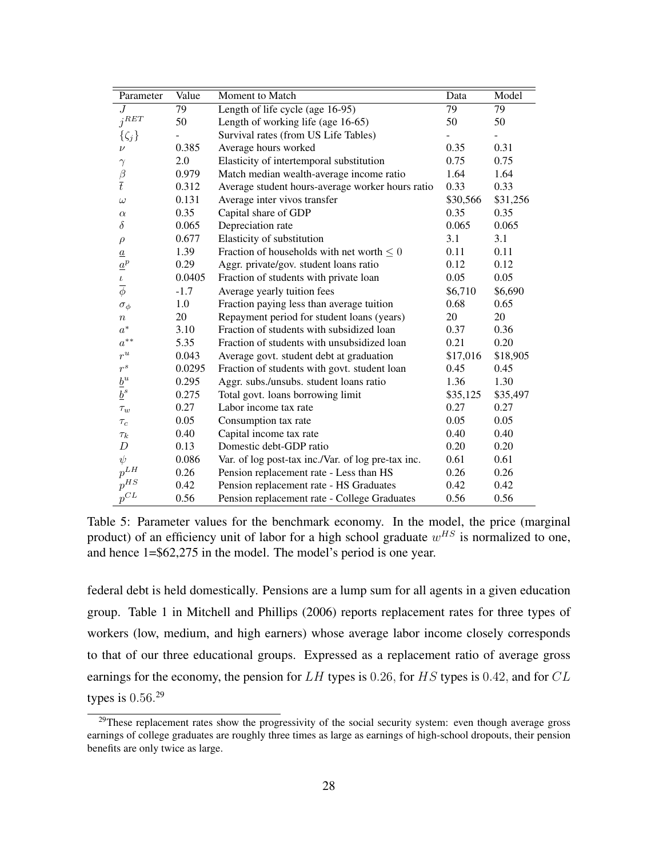| Parameter         | Value  | Moment to Match                                    | Data     | Model    |
|-------------------|--------|----------------------------------------------------|----------|----------|
| $\boldsymbol{J}$  | 79     | Length of life cycle (age 16-95)                   | 79       | 79       |
| $j^{RET}$         | 50     | Length of working life (age 16-65)                 | 50       | 50       |
| $\{\zeta_j\}$     |        | Survival rates (from US Life Tables)               |          |          |
| $\nu$             | 0.385  | Average hours worked                               | 0.35     | 0.31     |
| $\gamma$          | 2.0    | Elasticity of intertemporal substitution           | 0.75     | 0.75     |
| $\frac{\beta}{t}$ | 0.979  | Match median wealth-average income ratio           | 1.64     | 1.64     |
|                   | 0.312  | Average student hours-average worker hours ratio   | 0.33     | 0.33     |
| $\omega$          | 0.131  | Average inter vivos transfer                       | \$30,566 | \$31,256 |
| $\alpha$          | 0.35   | Capital share of GDP                               | 0.35     | 0.35     |
| $\delta$          | 0.065  | Depreciation rate                                  | 0.065    | 0.065    |
| $\rho$            | 0.677  | Elasticity of substitution                         | 3.1      | 3.1      |
| $\underline{a}$   | 1.39   | Fraction of households with net worth $\leq 0$     | 0.11     | 0.11     |
| $\underline{a}^p$ | 0.29   | Aggr. private/gov. student loans ratio             | 0.12     | 0.12     |
| $\iota$           | 0.0405 | Fraction of students with private loan             | 0.05     | 0.05     |
| $\overline{\phi}$ | $-1.7$ | Average yearly tuition fees                        | \$6,710  | \$6,690  |
| $\sigma_{\phi}$   | 1.0    | Fraction paying less than average tuition          | 0.68     | 0.65     |
| $\, n$            | 20     | Repayment period for student loans (years)         | 20       | 20       |
| $a^*$             | 3.10   | Fraction of students with subsidized loan          | 0.37     | 0.36     |
| $a^{**}$          | 5.35   | Fraction of students with unsubsidized loan        | 0.21     | 0.20     |
| $r^u\,$           | 0.043  | Average govt. student debt at graduation           | \$17,016 | \$18,905 |
| $r^s$             | 0.0295 | Fraction of students with govt. student loan       | 0.45     | 0.45     |
| $\underline{b}^u$ | 0.295  | Aggr. subs./unsubs. student loans ratio            | 1.36     | 1.30     |
| $\underline{b}^s$ | 0.275  | Total govt. loans borrowing limit                  | \$35,125 | \$35,497 |
| $\tau_w$          | 0.27   | Labor income tax rate                              | 0.27     | 0.27     |
| $\tau_c$          | 0.05   | Consumption tax rate                               | 0.05     | 0.05     |
| $\tau_k$          | 0.40   | Capital income tax rate                            | 0.40     | 0.40     |
| D                 | 0.13   | Domestic debt-GDP ratio                            | 0.20     | 0.20     |
| $\psi$            | 0.086  | Var. of log post-tax inc./Var. of log pre-tax inc. | 0.61     | 0.61     |
| $p^{LH}$          | 0.26   | Pension replacement rate - Less than HS            | 0.26     | 0.26     |
| $p^{HS}$          | 0.42   | Pension replacement rate - HS Graduates            | 0.42     | 0.42     |
| $p^{CL}$          | 0.56   | Pension replacement rate - College Graduates       | 0.56     | 0.56     |

Table 5: Parameter values for the benchmark economy. In the model, the price (marginal product) of an efficiency unit of labor for a high school graduate  $w^{HS}$  is normalized to one, and hence 1=\$62,275 in the model. The model's period is one year.

federal debt is held domestically. Pensions are a lump sum for all agents in a given education group. Table 1 in Mitchell and Phillips (2006) reports replacement rates for three types of workers (low, medium, and high earners) whose average labor income closely corresponds to that of our three educational groups. Expressed as a replacement ratio of average gross earnings for the economy, the pension for  $LH$  types is 0.26, for  $HS$  types is 0.42, and for  $CL$ types is  $0.56.^29$ 

<sup>&</sup>lt;sup>29</sup>These replacement rates show the progressivity of the social security system: even though average gross earnings of college graduates are roughly three times as large as earnings of high-school dropouts, their pension benefits are only twice as large.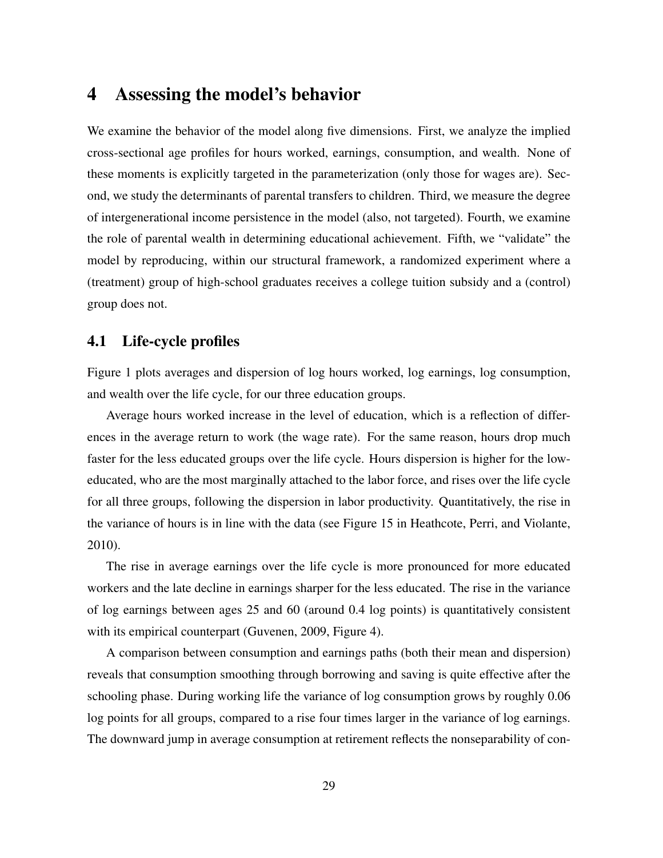# 4 Assessing the model's behavior

We examine the behavior of the model along five dimensions. First, we analyze the implied cross-sectional age profiles for hours worked, earnings, consumption, and wealth. None of these moments is explicitly targeted in the parameterization (only those for wages are). Second, we study the determinants of parental transfers to children. Third, we measure the degree of intergenerational income persistence in the model (also, not targeted). Fourth, we examine the role of parental wealth in determining educational achievement. Fifth, we "validate" the model by reproducing, within our structural framework, a randomized experiment where a (treatment) group of high-school graduates receives a college tuition subsidy and a (control) group does not.

## 4.1 Life-cycle profiles

Figure 1 plots averages and dispersion of log hours worked, log earnings, log consumption, and wealth over the life cycle, for our three education groups.

Average hours worked increase in the level of education, which is a reflection of differences in the average return to work (the wage rate). For the same reason, hours drop much faster for the less educated groups over the life cycle. Hours dispersion is higher for the loweducated, who are the most marginally attached to the labor force, and rises over the life cycle for all three groups, following the dispersion in labor productivity. Quantitatively, the rise in the variance of hours is in line with the data (see Figure 15 in Heathcote, Perri, and Violante, 2010).

The rise in average earnings over the life cycle is more pronounced for more educated workers and the late decline in earnings sharper for the less educated. The rise in the variance of log earnings between ages 25 and 60 (around 0.4 log points) is quantitatively consistent with its empirical counterpart (Guvenen, 2009, Figure 4).

A comparison between consumption and earnings paths (both their mean and dispersion) reveals that consumption smoothing through borrowing and saving is quite effective after the schooling phase. During working life the variance of log consumption grows by roughly 0.06 log points for all groups, compared to a rise four times larger in the variance of log earnings. The downward jump in average consumption at retirement reflects the nonseparability of con-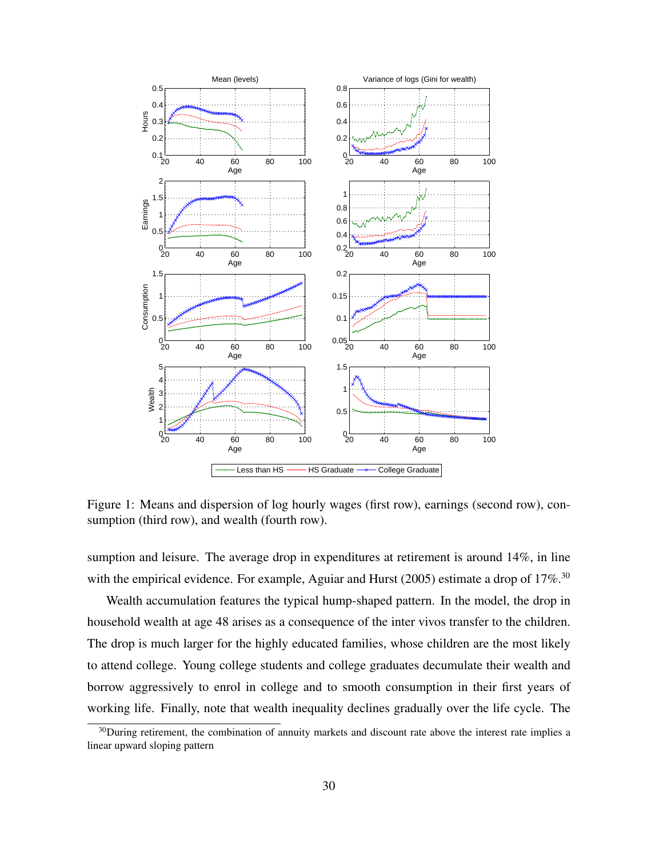

Figure 1: Means and dispersion of log hourly wages (first row), earnings (second row), consumption (third row), and wealth (fourth row).

sumption and leisure. The average drop in expenditures at retirement is around 14%, in line with the empirical evidence. For example, Aguiar and Hurst (2005) estimate a drop of 17%.<sup>30</sup>

Wealth accumulation features the typical hump-shaped pattern. In the model, the drop in household wealth at age 48 arises as a consequence of the inter vivos transfer to the children. The drop is much larger for the highly educated families, whose children are the most likely to attend college. Young college students and college graduates decumulate their wealth and borrow aggressively to enrol in college and to smooth consumption in their first years of working life. Finally, note that wealth inequality declines gradually over the life cycle. The

 $30$ During retirement, the combination of annuity markets and discount rate above the interest rate implies a linear upward sloping pattern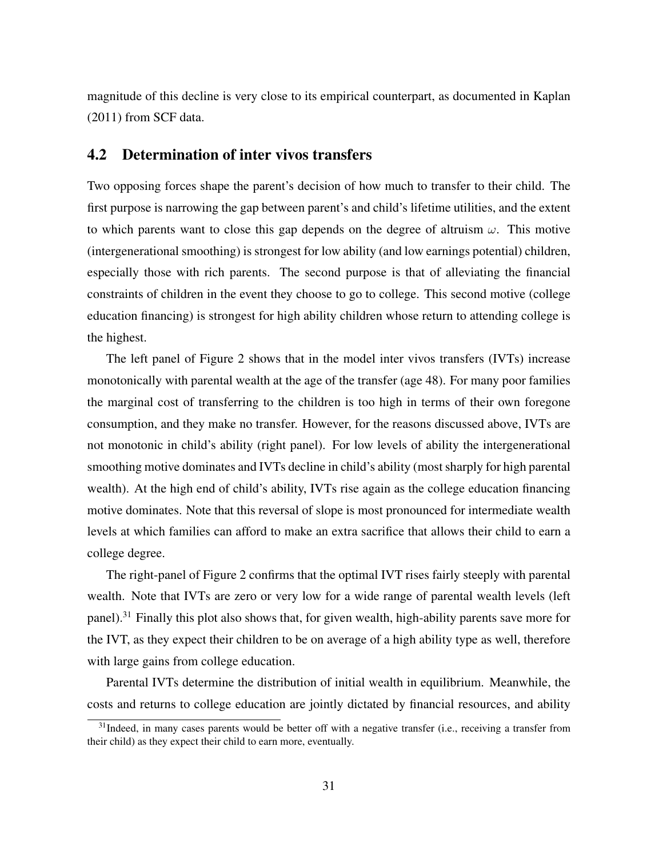magnitude of this decline is very close to its empirical counterpart, as documented in Kaplan (2011) from SCF data.

### 4.2 Determination of inter vivos transfers

Two opposing forces shape the parent's decision of how much to transfer to their child. The first purpose is narrowing the gap between parent's and child's lifetime utilities, and the extent to which parents want to close this gap depends on the degree of altruism  $\omega$ . This motive (intergenerational smoothing) is strongest for low ability (and low earnings potential) children, especially those with rich parents. The second purpose is that of alleviating the financial constraints of children in the event they choose to go to college. This second motive (college education financing) is strongest for high ability children whose return to attending college is the highest.

The left panel of Figure 2 shows that in the model inter vivos transfers (IVTs) increase monotonically with parental wealth at the age of the transfer (age 48). For many poor families the marginal cost of transferring to the children is too high in terms of their own foregone consumption, and they make no transfer. However, for the reasons discussed above, IVTs are not monotonic in child's ability (right panel). For low levels of ability the intergenerational smoothing motive dominates and IVTs decline in child's ability (most sharply for high parental wealth). At the high end of child's ability, IVTs rise again as the college education financing motive dominates. Note that this reversal of slope is most pronounced for intermediate wealth levels at which families can afford to make an extra sacrifice that allows their child to earn a college degree.

The right-panel of Figure 2 confirms that the optimal IVT rises fairly steeply with parental wealth. Note that IVTs are zero or very low for a wide range of parental wealth levels (left panel).<sup>31</sup> Finally this plot also shows that, for given wealth, high-ability parents save more for the IVT, as they expect their children to be on average of a high ability type as well, therefore with large gains from college education.

Parental IVTs determine the distribution of initial wealth in equilibrium. Meanwhile, the costs and returns to college education are jointly dictated by financial resources, and ability

 $31$ Indeed, in many cases parents would be better off with a negative transfer (i.e., receiving a transfer from their child) as they expect their child to earn more, eventually.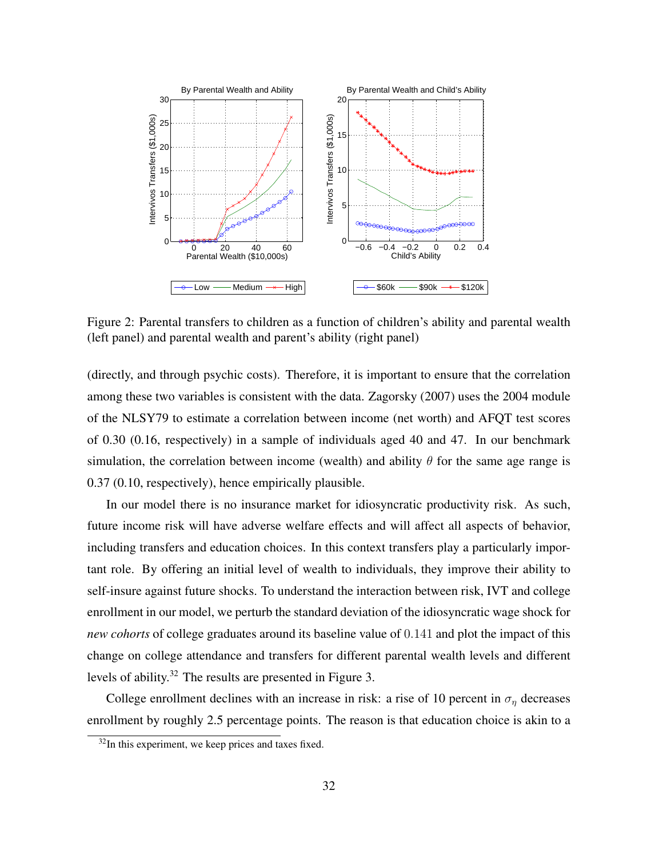

Figure 2: Parental transfers to children as a function of children's ability and parental wealth (left panel) and parental wealth and parent's ability (right panel)

(directly, and through psychic costs). Therefore, it is important to ensure that the correlation among these two variables is consistent with the data. Zagorsky (2007) uses the 2004 module of the NLSY79 to estimate a correlation between income (net worth) and AFQT test scores of 0.30 (0.16, respectively) in a sample of individuals aged 40 and 47. In our benchmark simulation, the correlation between income (wealth) and ability  $\theta$  for the same age range is 0.37 (0.10, respectively), hence empirically plausible.

In our model there is no insurance market for idiosyncratic productivity risk. As such, future income risk will have adverse welfare effects and will affect all aspects of behavior, including transfers and education choices. In this context transfers play a particularly important role. By offering an initial level of wealth to individuals, they improve their ability to self-insure against future shocks. To understand the interaction between risk, IVT and college enrollment in our model, we perturb the standard deviation of the idiosyncratic wage shock for *new cohorts* of college graduates around its baseline value of 0.141 and plot the impact of this change on college attendance and transfers for different parental wealth levels and different levels of ability.<sup>32</sup> The results are presented in Figure 3.

College enrollment declines with an increase in risk: a rise of 10 percent in  $\sigma_n$  decreases enrollment by roughly 2.5 percentage points. The reason is that education choice is akin to a

<sup>&</sup>lt;sup>32</sup>In this experiment, we keep prices and taxes fixed.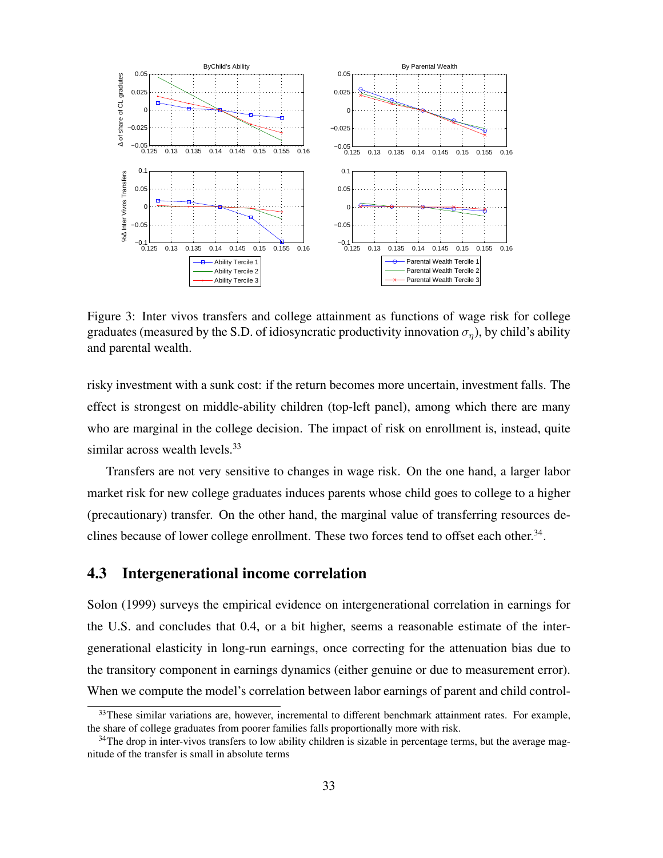

Figure 3: Inter vivos transfers and college attainment as functions of wage risk for college graduates (measured by the S.D. of idiosyncratic productivity innovation  $\sigma_n$ ), by child's ability and parental wealth.

risky investment with a sunk cost: if the return becomes more uncertain, investment falls. The effect is strongest on middle-ability children (top-left panel), among which there are many who are marginal in the college decision. The impact of risk on enrollment is, instead, quite similar across wealth levels.<sup>33</sup>

Transfers are not very sensitive to changes in wage risk. On the one hand, a larger labor market risk for new college graduates induces parents whose child goes to college to a higher (precautionary) transfer. On the other hand, the marginal value of transferring resources declines because of lower college enrollment. These two forces tend to offset each other. $34$ .

#### 4.3 Intergenerational income correlation

Solon (1999) surveys the empirical evidence on intergenerational correlation in earnings for the U.S. and concludes that 0.4, or a bit higher, seems a reasonable estimate of the intergenerational elasticity in long-run earnings, once correcting for the attenuation bias due to the transitory component in earnings dynamics (either genuine or due to measurement error). When we compute the model's correlation between labor earnings of parent and child control-

<sup>&</sup>lt;sup>33</sup>These similar variations are, however, incremental to different benchmark attainment rates. For example, the share of college graduates from poorer families falls proportionally more with risk.

<sup>&</sup>lt;sup>34</sup>The drop in inter-vivos transfers to low ability children is sizable in percentage terms, but the average magnitude of the transfer is small in absolute terms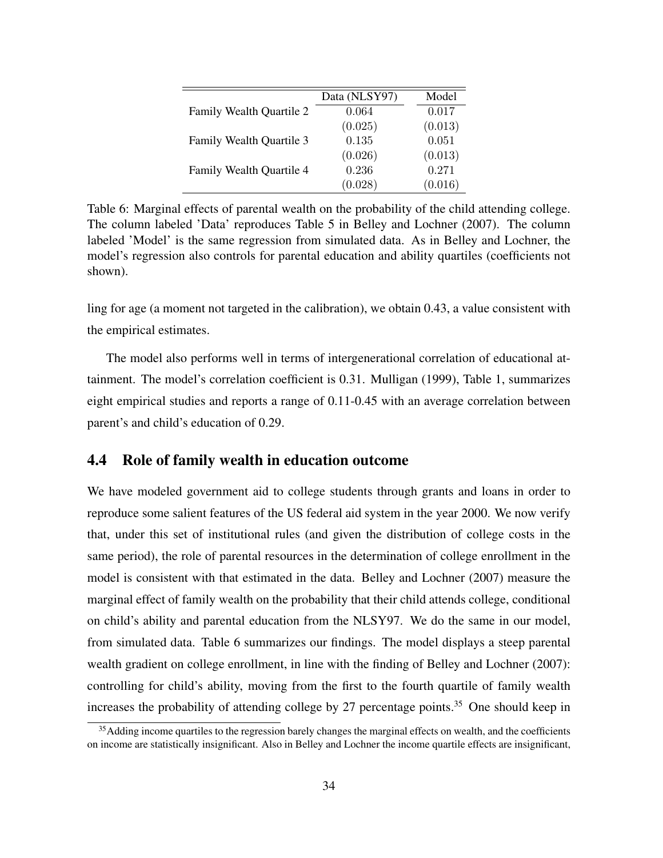|                          | Data (NLSY97) | Model   |
|--------------------------|---------------|---------|
| Family Wealth Quartile 2 | 0.064         | 0.017   |
|                          | (0.025)       | (0.013) |
| Family Wealth Quartile 3 | 0.135         | 0.051   |
|                          | (0.026)       | (0.013) |
| Family Wealth Quartile 4 | 0.236         | 0.271   |
|                          | (0.028)       | (0.016) |

Table 6: Marginal effects of parental wealth on the probability of the child attending college. The column labeled 'Data' reproduces Table 5 in Belley and Lochner (2007). The column labeled 'Model' is the same regression from simulated data. As in Belley and Lochner, the model's regression also controls for parental education and ability quartiles (coefficients not shown).

ling for age (a moment not targeted in the calibration), we obtain 0.43, a value consistent with the empirical estimates.

The model also performs well in terms of intergenerational correlation of educational attainment. The model's correlation coefficient is 0.31. Mulligan (1999), Table 1, summarizes eight empirical studies and reports a range of 0.11-0.45 with an average correlation between parent's and child's education of 0.29.

### 4.4 Role of family wealth in education outcome

We have modeled government aid to college students through grants and loans in order to reproduce some salient features of the US federal aid system in the year 2000. We now verify that, under this set of institutional rules (and given the distribution of college costs in the same period), the role of parental resources in the determination of college enrollment in the model is consistent with that estimated in the data. Belley and Lochner (2007) measure the marginal effect of family wealth on the probability that their child attends college, conditional on child's ability and parental education from the NLSY97. We do the same in our model, from simulated data. Table 6 summarizes our findings. The model displays a steep parental wealth gradient on college enrollment, in line with the finding of Belley and Lochner (2007): controlling for child's ability, moving from the first to the fourth quartile of family wealth increases the probability of attending college by 27 percentage points.<sup>35</sup> One should keep in

<sup>&</sup>lt;sup>35</sup>Adding income quartiles to the regression barely changes the marginal effects on wealth, and the coefficients on income are statistically insignificant. Also in Belley and Lochner the income quartile effects are insignificant,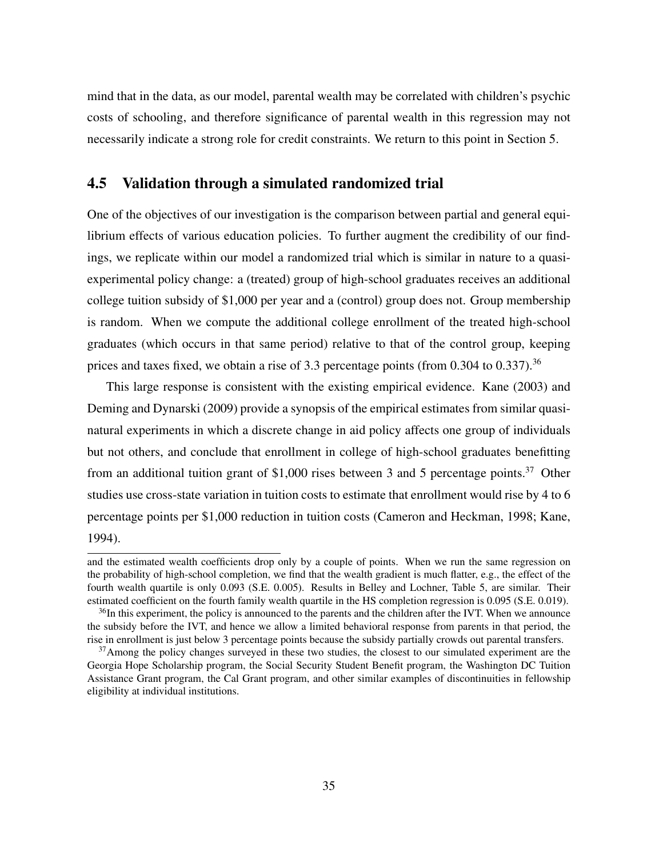mind that in the data, as our model, parental wealth may be correlated with children's psychic costs of schooling, and therefore significance of parental wealth in this regression may not necessarily indicate a strong role for credit constraints. We return to this point in Section 5.

### 4.5 Validation through a simulated randomized trial

One of the objectives of our investigation is the comparison between partial and general equilibrium effects of various education policies. To further augment the credibility of our findings, we replicate within our model a randomized trial which is similar in nature to a quasiexperimental policy change: a (treated) group of high-school graduates receives an additional college tuition subsidy of \$1,000 per year and a (control) group does not. Group membership is random. When we compute the additional college enrollment of the treated high-school graduates (which occurs in that same period) relative to that of the control group, keeping prices and taxes fixed, we obtain a rise of 3.3 percentage points (from 0.304 to 0.337).<sup>36</sup>

This large response is consistent with the existing empirical evidence. Kane (2003) and Deming and Dynarski (2009) provide a synopsis of the empirical estimates from similar quasinatural experiments in which a discrete change in aid policy affects one group of individuals but not others, and conclude that enrollment in college of high-school graduates benefitting from an additional tuition grant of \$1,000 rises between 3 and 5 percentage points.<sup>37</sup> Other studies use cross-state variation in tuition costs to estimate that enrollment would rise by 4 to 6 percentage points per \$1,000 reduction in tuition costs (Cameron and Heckman, 1998; Kane, 1994).

and the estimated wealth coefficients drop only by a couple of points. When we run the same regression on the probability of high-school completion, we find that the wealth gradient is much flatter, e.g., the effect of the fourth wealth quartile is only 0.093 (S.E. 0.005). Results in Belley and Lochner, Table 5, are similar. Their estimated coefficient on the fourth family wealth quartile in the HS completion regression is 0.095 (S.E. 0.019).

<sup>&</sup>lt;sup>36</sup>In this experiment, the policy is announced to the parents and the children after the IVT. When we announce the subsidy before the IVT, and hence we allow a limited behavioral response from parents in that period, the rise in enrollment is just below 3 percentage points because the subsidy partially crowds out parental transfers.

 $37$ Among the policy changes surveyed in these two studies, the closest to our simulated experiment are the Georgia Hope Scholarship program, the Social Security Student Benefit program, the Washington DC Tuition Assistance Grant program, the Cal Grant program, and other similar examples of discontinuities in fellowship eligibility at individual institutions.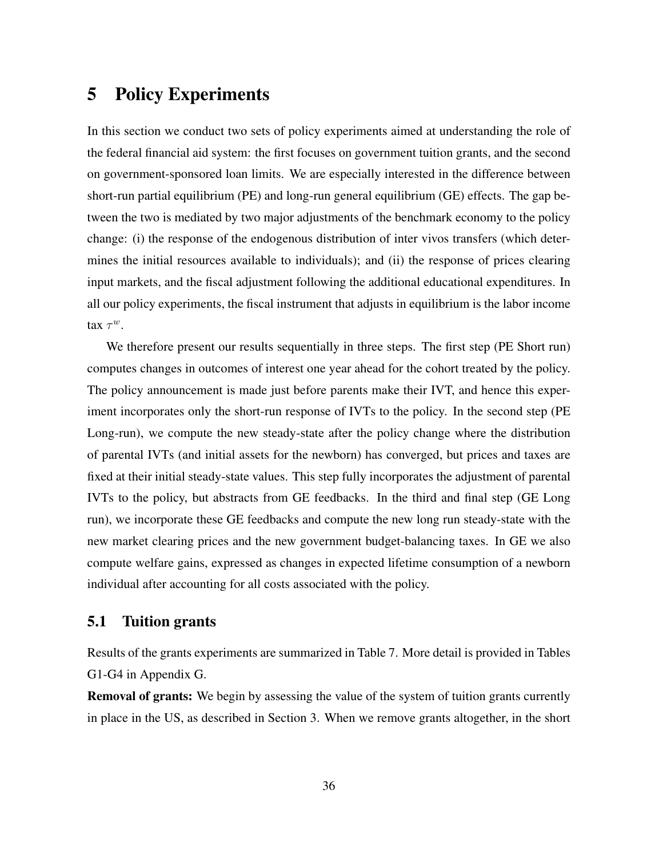## 5 Policy Experiments

In this section we conduct two sets of policy experiments aimed at understanding the role of the federal financial aid system: the first focuses on government tuition grants, and the second on government-sponsored loan limits. We are especially interested in the difference between short-run partial equilibrium (PE) and long-run general equilibrium (GE) effects. The gap between the two is mediated by two major adjustments of the benchmark economy to the policy change: (i) the response of the endogenous distribution of inter vivos transfers (which determines the initial resources available to individuals); and (ii) the response of prices clearing input markets, and the fiscal adjustment following the additional educational expenditures. In all our policy experiments, the fiscal instrument that adjusts in equilibrium is the labor income tax  $\tau^w$ .

We therefore present our results sequentially in three steps. The first step (PE Short run) computes changes in outcomes of interest one year ahead for the cohort treated by the policy. The policy announcement is made just before parents make their IVT, and hence this experiment incorporates only the short-run response of IVTs to the policy. In the second step (PE Long-run), we compute the new steady-state after the policy change where the distribution of parental IVTs (and initial assets for the newborn) has converged, but prices and taxes are fixed at their initial steady-state values. This step fully incorporates the adjustment of parental IVTs to the policy, but abstracts from GE feedbacks. In the third and final step (GE Long run), we incorporate these GE feedbacks and compute the new long run steady-state with the new market clearing prices and the new government budget-balancing taxes. In GE we also compute welfare gains, expressed as changes in expected lifetime consumption of a newborn individual after accounting for all costs associated with the policy.

### 5.1 Tuition grants

Results of the grants experiments are summarized in Table 7. More detail is provided in Tables G1-G4 in Appendix G.

Removal of grants: We begin by assessing the value of the system of tuition grants currently in place in the US, as described in Section 3. When we remove grants altogether, in the short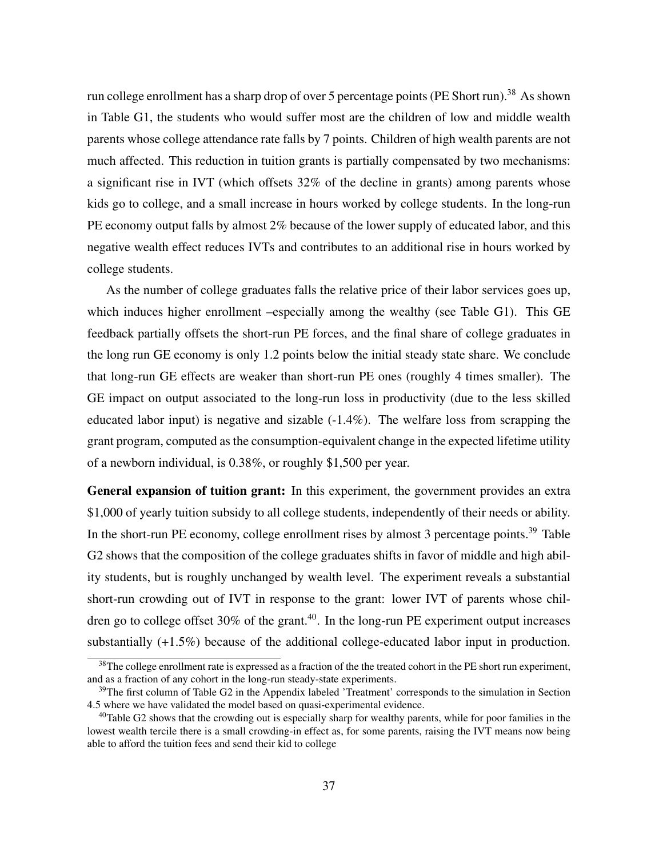run college enrollment has a sharp drop of over 5 percentage points (PE Short run).<sup>38</sup> As shown in Table G1, the students who would suffer most are the children of low and middle wealth parents whose college attendance rate falls by 7 points. Children of high wealth parents are not much affected. This reduction in tuition grants is partially compensated by two mechanisms: a significant rise in IVT (which offsets 32% of the decline in grants) among parents whose kids go to college, and a small increase in hours worked by college students. In the long-run PE economy output falls by almost 2% because of the lower supply of educated labor, and this negative wealth effect reduces IVTs and contributes to an additional rise in hours worked by college students.

As the number of college graduates falls the relative price of their labor services goes up, which induces higher enrollment –especially among the wealthy (see Table G1). This GE feedback partially offsets the short-run PE forces, and the final share of college graduates in the long run GE economy is only 1.2 points below the initial steady state share. We conclude that long-run GE effects are weaker than short-run PE ones (roughly 4 times smaller). The GE impact on output associated to the long-run loss in productivity (due to the less skilled educated labor input) is negative and sizable  $(-1.4\%)$ . The welfare loss from scrapping the grant program, computed as the consumption-equivalent change in the expected lifetime utility of a newborn individual, is 0.38%, or roughly \$1,500 per year.

General expansion of tuition grant: In this experiment, the government provides an extra \$1,000 of yearly tuition subsidy to all college students, independently of their needs or ability. In the short-run PE economy, college enrollment rises by almost 3 percentage points.<sup>39</sup> Table G2 shows that the composition of the college graduates shifts in favor of middle and high ability students, but is roughly unchanged by wealth level. The experiment reveals a substantial short-run crowding out of IVT in response to the grant: lower IVT of parents whose children go to college offset  $30\%$  of the grant.<sup>40</sup>. In the long-run PE experiment output increases substantially (+1.5%) because of the additional college-educated labor input in production.

 $38$ The college enrollment rate is expressed as a fraction of the the treated cohort in the PE short run experiment, and as a fraction of any cohort in the long-run steady-state experiments.

<sup>&</sup>lt;sup>39</sup>The first column of Table G2 in the Appendix labeled 'Treatment' corresponds to the simulation in Section 4.5 where we have validated the model based on quasi-experimental evidence.

 $40$ Table G2 shows that the crowding out is especially sharp for wealthy parents, while for poor families in the lowest wealth tercile there is a small crowding-in effect as, for some parents, raising the IVT means now being able to afford the tuition fees and send their kid to college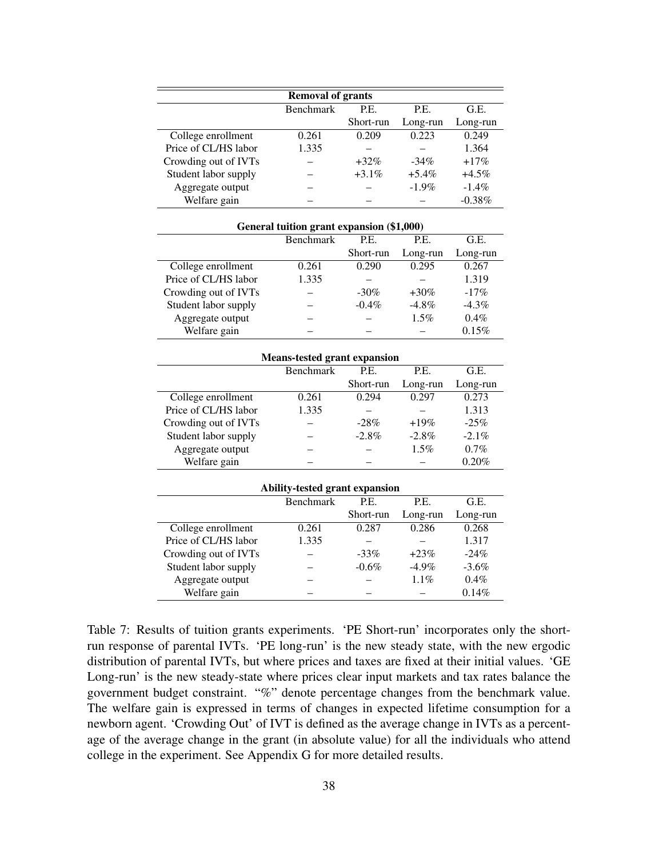| <b>Removal of grants</b>                    |       |           |          |           |  |  |  |  |  |  |
|---------------------------------------------|-------|-----------|----------|-----------|--|--|--|--|--|--|
| <b>Benchmark</b><br>PE <sub>c</sub><br>P.E. |       |           |          |           |  |  |  |  |  |  |
|                                             |       | Short-run | Long-run | Long-run  |  |  |  |  |  |  |
| College enrollment                          | 0.261 | 0.209     | 0.223    | 0.249     |  |  |  |  |  |  |
| Price of CL/HS labor                        | 1.335 |           |          | 1.364     |  |  |  |  |  |  |
| Crowding out of IVTs                        |       | $+32\%$   | $-34%$   | $+17%$    |  |  |  |  |  |  |
| Student labor supply                        |       | $+3.1\%$  | $+5.4\%$ | $+4.5\%$  |  |  |  |  |  |  |
| Aggregate output                            |       |           | $-1.9\%$ | $-1.4\%$  |  |  |  |  |  |  |
| Welfare gain                                |       |           |          | $-0.38\%$ |  |  |  |  |  |  |

| General tuition grant expansion (\$1,000) |                  |           |          |          |  |  |  |  |  |  |
|-------------------------------------------|------------------|-----------|----------|----------|--|--|--|--|--|--|
|                                           | <b>Benchmark</b> | PE.       | P.E.     | G.E.     |  |  |  |  |  |  |
|                                           |                  | Short-run | Long-run | Long-run |  |  |  |  |  |  |
| College enrollment                        | 0.261            | 0.290     | 0.295    | 0.267    |  |  |  |  |  |  |
| Price of CL/HS labor                      | 1.335            |           |          | 1.319    |  |  |  |  |  |  |
| Crowding out of IVTs                      |                  | $-30\%$   | $+30\%$  | $-17%$   |  |  |  |  |  |  |
| Student labor supply                      |                  | $-0.4\%$  | $-4.8\%$ | $-4.3\%$ |  |  |  |  |  |  |
| Aggregate output                          |                  |           | 1.5%     | $0.4\%$  |  |  |  |  |  |  |
| Welfare gain                              |                  |           |          | 0.15%    |  |  |  |  |  |  |

| <b>Means-tested grant expansion</b> |                  |           |          |          |  |  |  |  |  |  |
|-------------------------------------|------------------|-----------|----------|----------|--|--|--|--|--|--|
|                                     | <b>Benchmark</b> | P.E.      | P.E.     | G.E.     |  |  |  |  |  |  |
|                                     |                  | Short-run | Long-run | Long-run |  |  |  |  |  |  |
| College enrollment                  | 0.261            | 0.294     | 0.297    | 0.273    |  |  |  |  |  |  |
| Price of CL/HS labor                | 1.335            |           |          | 1.313    |  |  |  |  |  |  |
| Crowding out of IVTs                |                  | $-28\%$   | $+19%$   | $-25%$   |  |  |  |  |  |  |
| Student labor supply                |                  | $-2.8\%$  | $-2.8\%$ | $-2.1\%$ |  |  |  |  |  |  |
| Aggregate output                    |                  |           | $1.5\%$  | $0.7\%$  |  |  |  |  |  |  |
| Welfare gain                        |                  |           |          | 0.20%    |  |  |  |  |  |  |

| Ability-tested grant expansion |                  |           |          |          |  |  |  |  |  |  |
|--------------------------------|------------------|-----------|----------|----------|--|--|--|--|--|--|
|                                | <b>Benchmark</b> | PE.       | P.E.     | G.E.     |  |  |  |  |  |  |
|                                |                  | Short-run | Long-run | Long-run |  |  |  |  |  |  |
| College enrollment             | 0.261            | 0.287     | 0.286    | 0.268    |  |  |  |  |  |  |
| Price of CL/HS labor           | 1.335            |           |          | 1.317    |  |  |  |  |  |  |
| Crowding out of IVTs           |                  | $-33\%$   | $+23\%$  | $-24\%$  |  |  |  |  |  |  |
| Student labor supply           |                  | $-0.6\%$  | $-4.9\%$ | $-3.6\%$ |  |  |  |  |  |  |
| Aggregate output               |                  |           | $1.1\%$  | $0.4\%$  |  |  |  |  |  |  |
| Welfare gain                   |                  |           |          | 0.14%    |  |  |  |  |  |  |

Table 7: Results of tuition grants experiments. 'PE Short-run' incorporates only the shortrun response of parental IVTs. 'PE long-run' is the new steady state, with the new ergodic distribution of parental IVTs, but where prices and taxes are fixed at their initial values. 'GE Long-run' is the new steady-state where prices clear input markets and tax rates balance the government budget constraint. "%" denote percentage changes from the benchmark value. The welfare gain is expressed in terms of changes in expected lifetime consumption for a newborn agent. 'Crowding Out' of IVT is defined as the average change in IVTs as a percentage of the average change in the grant (in absolute value) for all the individuals who attend college in the experiment. See Appendix G for more detailed results.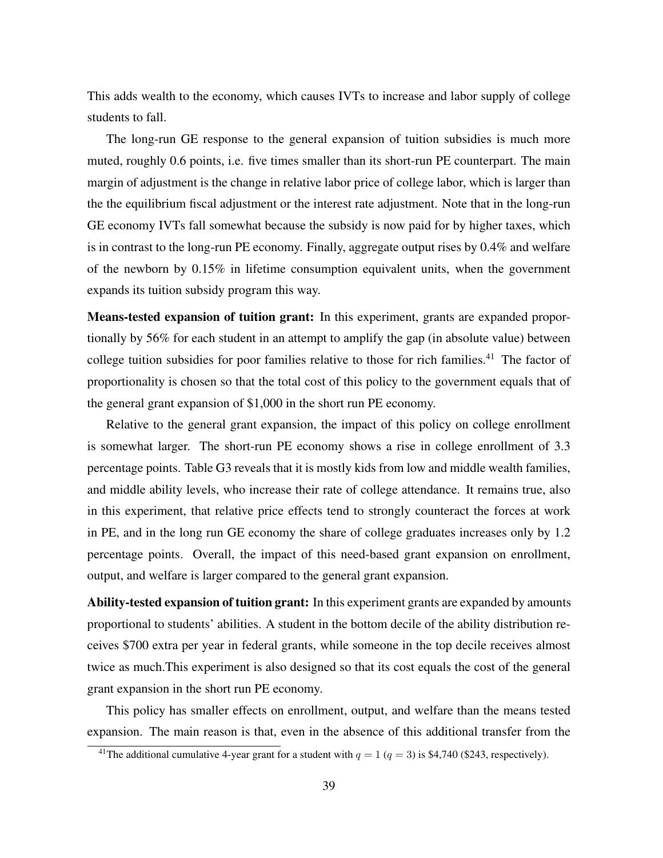This adds wealth to the economy, which causes IVTs to increase and labor supply of college students to fall.

The long-run GE response to the general expansion of tuition subsidies is much more muted, roughly 0.6 points, i.e. five times smaller than its short-run PE counterpart. The main margin of adjustment is the change in relative labor price of college labor, which is larger than the the equilibrium fiscal adjustment or the interest rate adjustment. Note that in the long-run GE economy IVTs fall somewhat because the subsidy is now paid for by higher taxes, which is in contrast to the long-run PE economy. Finally, aggregate output rises by 0.4% and welfare of the newborn by  $0.15\%$  in lifetime consumption equivalent units, when the government expands its tuition subsidy program this way.

Means-tested expansion of tuition grant: In this experiment, grants are expanded proportionally by 56% for each student in an attempt to amplify the gap (in absolute value) between college tuition subsidies for poor families relative to those for rich families.<sup>41</sup> The factor of proportionality is chosen so that the total cost of this policy to the government equals that of the general grant expansion of \$1,000 in the short run PE economy.

Relative to the general grant expansion, the impact of this policy on college enrollment is somewhat larger. The short-run PE economy shows a rise in college enrollment of 3.3 percentage points. Table G3 reveals that it is mostly kids from low and middle wealth families, and middle ability levels, who increase their rate of college attendance. It remains true, also in this experiment, that relative price effects tend to strongly counteract the forces at work in PE, and in the long run GE economy the share of college graduates increases only by 1.2 percentage points. Overall, the impact of this need-based grant expansion on enrollment, output, and welfare is larger compared to the general grant expansion.

Ability-tested expansion of tuition grant: In this experiment grants are expanded by amounts proportional to students' abilities. A student in the bottom decile of the ability distribution receives \$700 extra per year in federal grants, while someone in the top decile receives almost twice as much.This experiment is also designed so that its cost equals the cost of the general grant expansion in the short run PE economy.

This policy has smaller effects on enrollment, output, and welfare than the means tested expansion. The main reason is that, even in the absence of this additional transfer from the

<sup>&</sup>lt;sup>41</sup>The additional cumulative 4-year grant for a student with  $q = 1$  ( $q = 3$ ) is \$4,740 (\$243, respectively).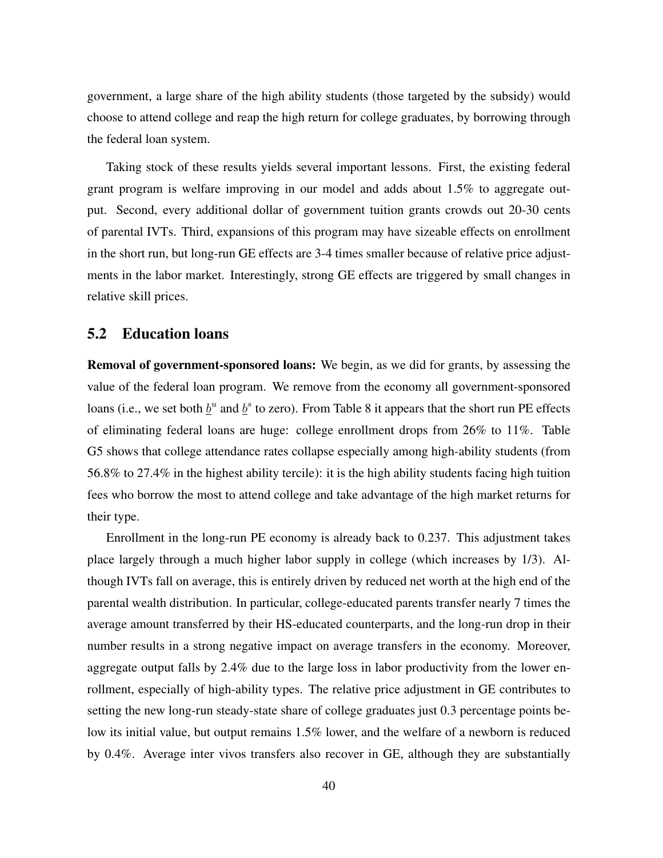government, a large share of the high ability students (those targeted by the subsidy) would choose to attend college and reap the high return for college graduates, by borrowing through the federal loan system.

Taking stock of these results yields several important lessons. First, the existing federal grant program is welfare improving in our model and adds about 1.5% to aggregate output. Second, every additional dollar of government tuition grants crowds out 20-30 cents of parental IVTs. Third, expansions of this program may have sizeable effects on enrollment in the short run, but long-run GE effects are 3-4 times smaller because of relative price adjustments in the labor market. Interestingly, strong GE effects are triggered by small changes in relative skill prices.

### 5.2 Education loans

Removal of government-sponsored loans: We begin, as we did for grants, by assessing the value of the federal loan program. We remove from the economy all government-sponsored loans (i.e., we set both  $\underline{b}^u$  and  $\underline{b}^s$  to zero). From Table 8 it appears that the short run PE effects of eliminating federal loans are huge: college enrollment drops from 26% to 11%. Table G5 shows that college attendance rates collapse especially among high-ability students (from 56.8% to 27.4% in the highest ability tercile): it is the high ability students facing high tuition fees who borrow the most to attend college and take advantage of the high market returns for their type.

Enrollment in the long-run PE economy is already back to 0.237. This adjustment takes place largely through a much higher labor supply in college (which increases by 1/3). Although IVTs fall on average, this is entirely driven by reduced net worth at the high end of the parental wealth distribution. In particular, college-educated parents transfer nearly 7 times the average amount transferred by their HS-educated counterparts, and the long-run drop in their number results in a strong negative impact on average transfers in the economy. Moreover, aggregate output falls by 2.4% due to the large loss in labor productivity from the lower enrollment, especially of high-ability types. The relative price adjustment in GE contributes to setting the new long-run steady-state share of college graduates just 0.3 percentage points below its initial value, but output remains 1.5% lower, and the welfare of a newborn is reduced by 0.4%. Average inter vivos transfers also recover in GE, although they are substantially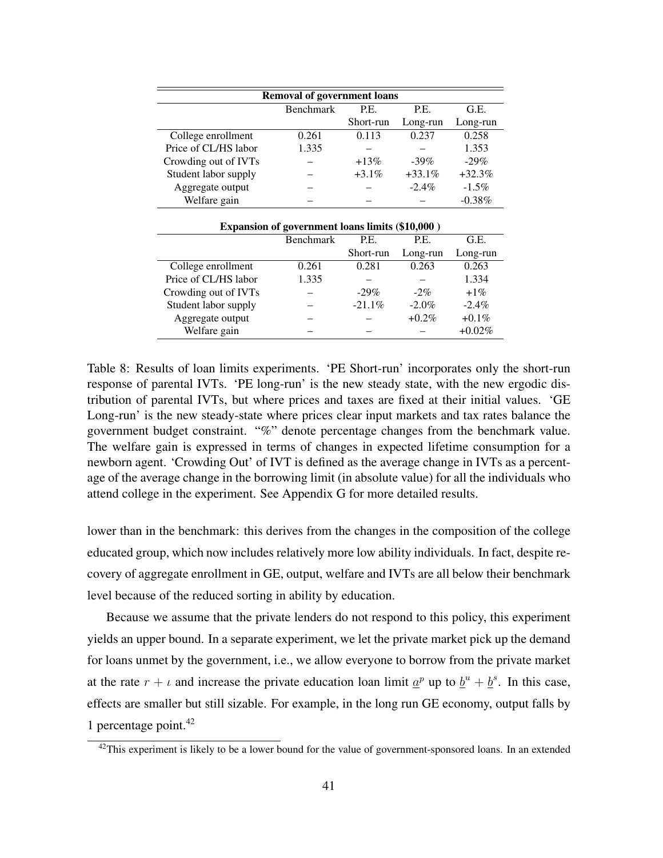| <b>Removal of government loans</b> |                  |           |           |          |  |  |  |  |  |  |
|------------------------------------|------------------|-----------|-----------|----------|--|--|--|--|--|--|
|                                    | <b>Benchmark</b> | P.E.      | P.E.      | G.E.     |  |  |  |  |  |  |
|                                    |                  | Short-run | Long-run  | Long-run |  |  |  |  |  |  |
| College enrollment                 | 0.261            | 0.113     | 0.237     | 0.258    |  |  |  |  |  |  |
| Price of CL/HS labor               | 1.335            |           |           | 1.353    |  |  |  |  |  |  |
| Crowding out of IVTs               |                  | $+13\%$   | $-39\%$   | $-29\%$  |  |  |  |  |  |  |
| Student labor supply               |                  | $+3.1\%$  | $+33.1\%$ | $+32.3%$ |  |  |  |  |  |  |
| Aggregate output                   |                  |           | $-2.4\%$  | $-1.5\%$ |  |  |  |  |  |  |
| Welfare gain                       |                  |           |           | $-0.38%$ |  |  |  |  |  |  |

| Expansion of government loans limits (\$10,000) |                  |           |          |          |  |  |  |  |  |  |
|-------------------------------------------------|------------------|-----------|----------|----------|--|--|--|--|--|--|
|                                                 | <b>Benchmark</b> | PE.       |          | G.E.     |  |  |  |  |  |  |
|                                                 |                  | Short-run | Long-run | Long-run |  |  |  |  |  |  |
| College enrollment                              | 0.261            | 0.281     | 0.263    | 0.263    |  |  |  |  |  |  |
| Price of CL/HS labor                            | 1.335            |           |          | 1.334    |  |  |  |  |  |  |
| Crowding out of IVTs                            |                  | $-29\%$   | $-2%$    | $+1\%$   |  |  |  |  |  |  |
| Student labor supply                            |                  | $-21.1%$  | $-2.0\%$ | $-2.4\%$ |  |  |  |  |  |  |
| Aggregate output                                |                  |           | $+0.2\%$ | $+0.1\%$ |  |  |  |  |  |  |
| Welfare gain                                    |                  |           |          | $+0.02%$ |  |  |  |  |  |  |

Table 8: Results of loan limits experiments. 'PE Short-run' incorporates only the short-run response of parental IVTs. 'PE long-run' is the new steady state, with the new ergodic distribution of parental IVTs, but where prices and taxes are fixed at their initial values. 'GE Long-run' is the new steady-state where prices clear input markets and tax rates balance the government budget constraint. "%" denote percentage changes from the benchmark value. The welfare gain is expressed in terms of changes in expected lifetime consumption for a newborn agent. 'Crowding Out' of IVT is defined as the average change in IVTs as a percentage of the average change in the borrowing limit (in absolute value) for all the individuals who attend college in the experiment. See Appendix G for more detailed results.

lower than in the benchmark: this derives from the changes in the composition of the college educated group, which now includes relatively more low ability individuals. In fact, despite recovery of aggregate enrollment in GE, output, welfare and IVTs are all below their benchmark level because of the reduced sorting in ability by education.

Because we assume that the private lenders do not respond to this policy, this experiment yields an upper bound. In a separate experiment, we let the private market pick up the demand for loans unmet by the government, i.e., we allow everyone to borrow from the private market at the rate  $r + \iota$  and increase the private education loan limit  $\underline{a}^p$  up to  $\underline{b}^u + \underline{b}^s$ . In this case, effects are smaller but still sizable. For example, in the long run GE economy, output falls by 1 percentage point. $42$ 

 $42$ This experiment is likely to be a lower bound for the value of government-sponsored loans. In an extended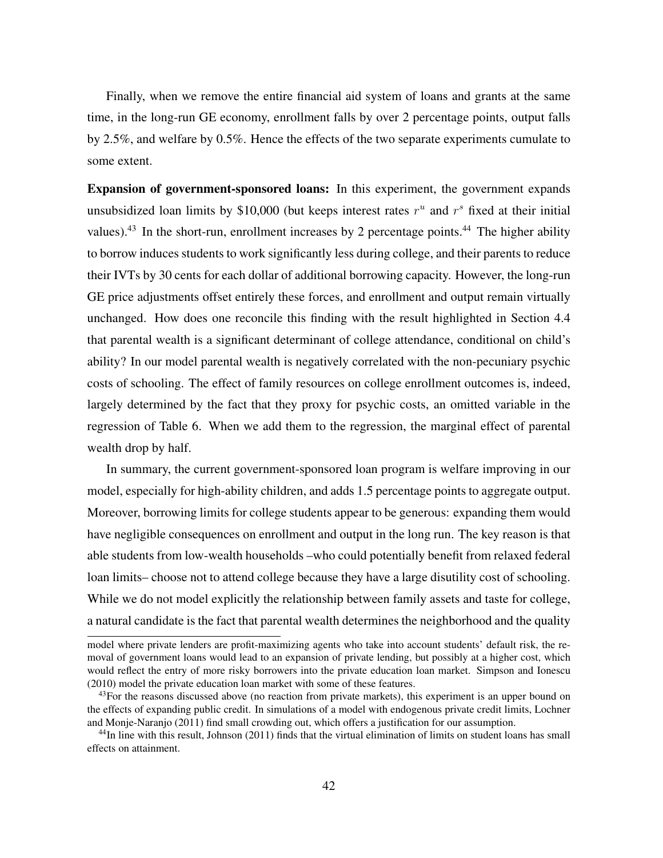Finally, when we remove the entire financial aid system of loans and grants at the same time, in the long-run GE economy, enrollment falls by over 2 percentage points, output falls by 2.5%, and welfare by 0.5%. Hence the effects of the two separate experiments cumulate to some extent.

Expansion of government-sponsored loans: In this experiment, the government expands unsubsidized loan limits by \$10,000 (but keeps interest rates  $r^u$  and  $r^s$  fixed at their initial values).<sup>43</sup> In the short-run, enrollment increases by 2 percentage points.<sup>44</sup> The higher ability to borrow induces students to work significantly less during college, and their parents to reduce their IVTs by 30 cents for each dollar of additional borrowing capacity. However, the long-run GE price adjustments offset entirely these forces, and enrollment and output remain virtually unchanged. How does one reconcile this finding with the result highlighted in Section 4.4 that parental wealth is a significant determinant of college attendance, conditional on child's ability? In our model parental wealth is negatively correlated with the non-pecuniary psychic costs of schooling. The effect of family resources on college enrollment outcomes is, indeed, largely determined by the fact that they proxy for psychic costs, an omitted variable in the regression of Table 6. When we add them to the regression, the marginal effect of parental wealth drop by half.

In summary, the current government-sponsored loan program is welfare improving in our model, especially for high-ability children, and adds 1.5 percentage points to aggregate output. Moreover, borrowing limits for college students appear to be generous: expanding them would have negligible consequences on enrollment and output in the long run. The key reason is that able students from low-wealth households –who could potentially benefit from relaxed federal loan limits– choose not to attend college because they have a large disutility cost of schooling. While we do not model explicitly the relationship between family assets and taste for college, a natural candidate is the fact that parental wealth determines the neighborhood and the quality

model where private lenders are profit-maximizing agents who take into account students' default risk, the removal of government loans would lead to an expansion of private lending, but possibly at a higher cost, which would reflect the entry of more risky borrowers into the private education loan market. Simpson and Ionescu (2010) model the private education loan market with some of these features.

<sup>&</sup>lt;sup>43</sup>For the reasons discussed above (no reaction from private markets), this experiment is an upper bound on the effects of expanding public credit. In simulations of a model with endogenous private credit limits, Lochner and Monje-Naranjo (2011) find small crowding out, which offers a justification for our assumption.

<sup>44</sup>In line with this result, Johnson (2011) finds that the virtual elimination of limits on student loans has small effects on attainment.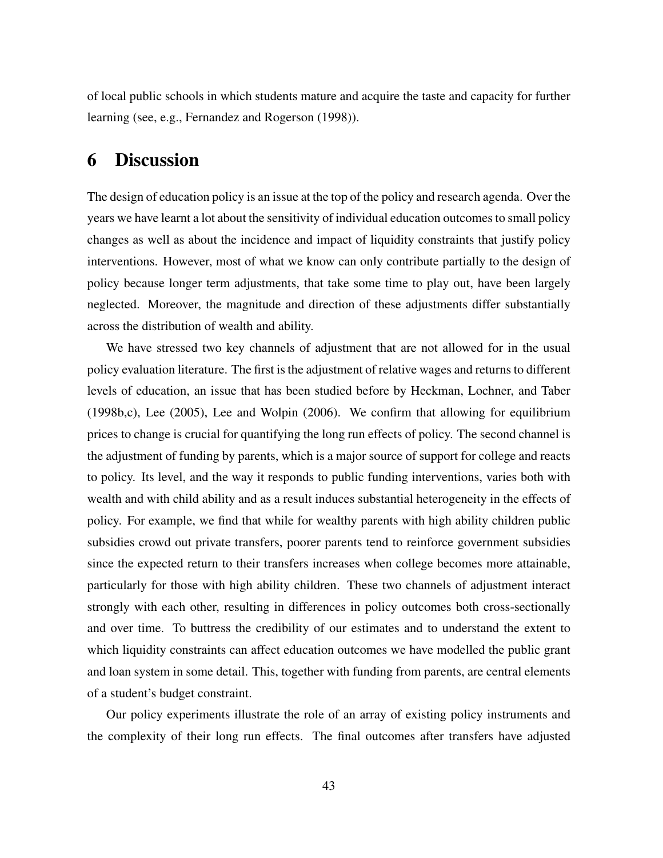of local public schools in which students mature and acquire the taste and capacity for further learning (see, e.g., Fernandez and Rogerson (1998)).

## 6 Discussion

The design of education policy is an issue at the top of the policy and research agenda. Over the years we have learnt a lot about the sensitivity of individual education outcomes to small policy changes as well as about the incidence and impact of liquidity constraints that justify policy interventions. However, most of what we know can only contribute partially to the design of policy because longer term adjustments, that take some time to play out, have been largely neglected. Moreover, the magnitude and direction of these adjustments differ substantially across the distribution of wealth and ability.

We have stressed two key channels of adjustment that are not allowed for in the usual policy evaluation literature. The first is the adjustment of relative wages and returns to different levels of education, an issue that has been studied before by Heckman, Lochner, and Taber (1998b,c), Lee (2005), Lee and Wolpin (2006). We confirm that allowing for equilibrium prices to change is crucial for quantifying the long run effects of policy. The second channel is the adjustment of funding by parents, which is a major source of support for college and reacts to policy. Its level, and the way it responds to public funding interventions, varies both with wealth and with child ability and as a result induces substantial heterogeneity in the effects of policy. For example, we find that while for wealthy parents with high ability children public subsidies crowd out private transfers, poorer parents tend to reinforce government subsidies since the expected return to their transfers increases when college becomes more attainable, particularly for those with high ability children. These two channels of adjustment interact strongly with each other, resulting in differences in policy outcomes both cross-sectionally and over time. To buttress the credibility of our estimates and to understand the extent to which liquidity constraints can affect education outcomes we have modelled the public grant and loan system in some detail. This, together with funding from parents, are central elements of a student's budget constraint.

Our policy experiments illustrate the role of an array of existing policy instruments and the complexity of their long run effects. The final outcomes after transfers have adjusted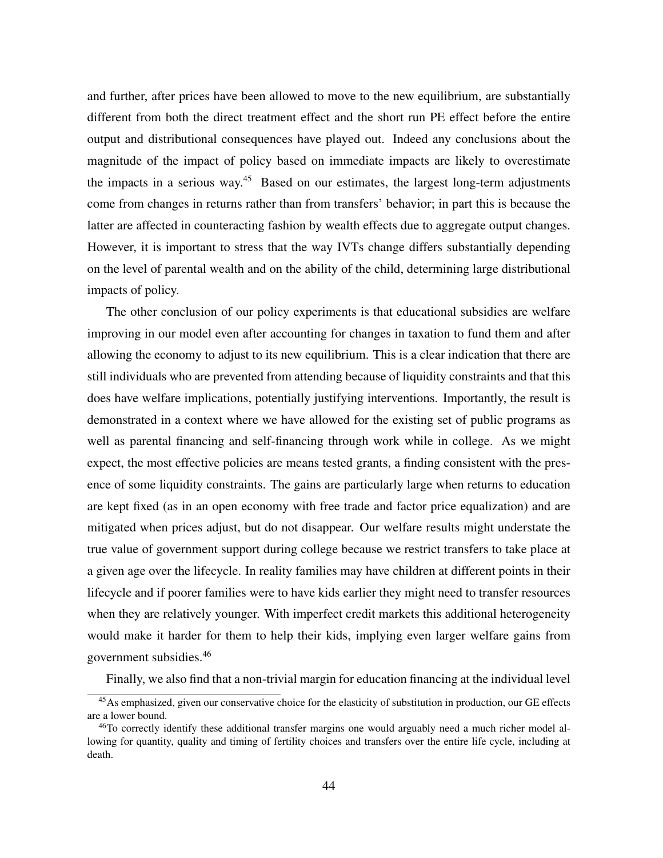and further, after prices have been allowed to move to the new equilibrium, are substantially different from both the direct treatment effect and the short run PE effect before the entire output and distributional consequences have played out. Indeed any conclusions about the magnitude of the impact of policy based on immediate impacts are likely to overestimate the impacts in a serious way.<sup>45</sup> Based on our estimates, the largest long-term adjustments come from changes in returns rather than from transfers' behavior; in part this is because the latter are affected in counteracting fashion by wealth effects due to aggregate output changes. However, it is important to stress that the way IVTs change differs substantially depending on the level of parental wealth and on the ability of the child, determining large distributional impacts of policy.

The other conclusion of our policy experiments is that educational subsidies are welfare improving in our model even after accounting for changes in taxation to fund them and after allowing the economy to adjust to its new equilibrium. This is a clear indication that there are still individuals who are prevented from attending because of liquidity constraints and that this does have welfare implications, potentially justifying interventions. Importantly, the result is demonstrated in a context where we have allowed for the existing set of public programs as well as parental financing and self-financing through work while in college. As we might expect, the most effective policies are means tested grants, a finding consistent with the presence of some liquidity constraints. The gains are particularly large when returns to education are kept fixed (as in an open economy with free trade and factor price equalization) and are mitigated when prices adjust, but do not disappear. Our welfare results might understate the true value of government support during college because we restrict transfers to take place at a given age over the lifecycle. In reality families may have children at different points in their lifecycle and if poorer families were to have kids earlier they might need to transfer resources when they are relatively younger. With imperfect credit markets this additional heterogeneity would make it harder for them to help their kids, implying even larger welfare gains from government subsidies.<sup>46</sup>

Finally, we also find that a non-trivial margin for education financing at the individual level

<sup>&</sup>lt;sup>45</sup>As emphasized, given our conservative choice for the elasticity of substitution in production, our GE effects are a lower bound.

<sup>46</sup>To correctly identify these additional transfer margins one would arguably need a much richer model allowing for quantity, quality and timing of fertility choices and transfers over the entire life cycle, including at death.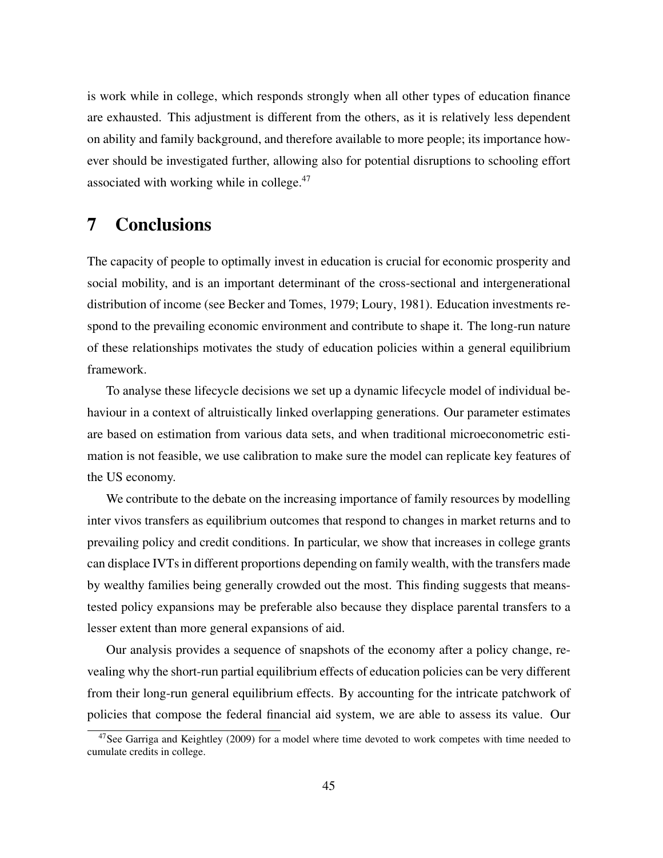is work while in college, which responds strongly when all other types of education finance are exhausted. This adjustment is different from the others, as it is relatively less dependent on ability and family background, and therefore available to more people; its importance however should be investigated further, allowing also for potential disruptions to schooling effort associated with working while in college.<sup>47</sup>

## 7 Conclusions

The capacity of people to optimally invest in education is crucial for economic prosperity and social mobility, and is an important determinant of the cross-sectional and intergenerational distribution of income (see Becker and Tomes, 1979; Loury, 1981). Education investments respond to the prevailing economic environment and contribute to shape it. The long-run nature of these relationships motivates the study of education policies within a general equilibrium framework.

To analyse these lifecycle decisions we set up a dynamic lifecycle model of individual behaviour in a context of altruistically linked overlapping generations. Our parameter estimates are based on estimation from various data sets, and when traditional microeconometric estimation is not feasible, we use calibration to make sure the model can replicate key features of the US economy.

We contribute to the debate on the increasing importance of family resources by modelling inter vivos transfers as equilibrium outcomes that respond to changes in market returns and to prevailing policy and credit conditions. In particular, we show that increases in college grants can displace IVTs in different proportions depending on family wealth, with the transfers made by wealthy families being generally crowded out the most. This finding suggests that meanstested policy expansions may be preferable also because they displace parental transfers to a lesser extent than more general expansions of aid.

Our analysis provides a sequence of snapshots of the economy after a policy change, revealing why the short-run partial equilibrium effects of education policies can be very different from their long-run general equilibrium effects. By accounting for the intricate patchwork of policies that compose the federal financial aid system, we are able to assess its value. Our

 $47$ See Garriga and Keightley (2009) for a model where time devoted to work competes with time needed to cumulate credits in college.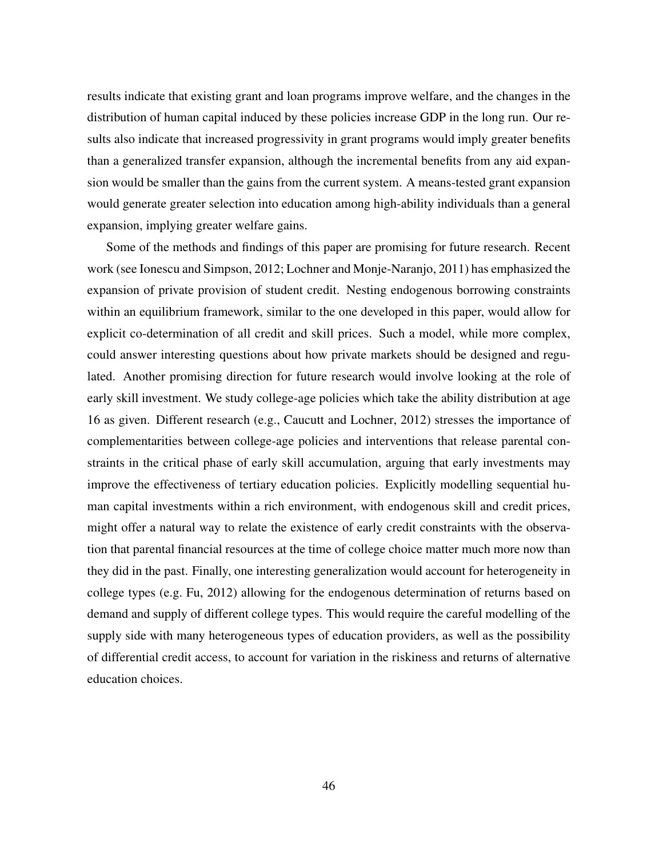results indicate that existing grant and loan programs improve welfare, and the changes in the distribution of human capital induced by these policies increase GDP in the long run. Our results also indicate that increased progressivity in grant programs would imply greater benefits than a generalized transfer expansion, although the incremental benefits from any aid expansion would be smaller than the gains from the current system. A means-tested grant expansion would generate greater selection into education among high-ability individuals than a general expansion, implying greater welfare gains.

Some of the methods and findings of this paper are promising for future research. Recent work (see Ionescu and Simpson, 2012; Lochner and Monje-Naranjo, 2011) has emphasized the expansion of private provision of student credit. Nesting endogenous borrowing constraints within an equilibrium framework, similar to the one developed in this paper, would allow for explicit co-determination of all credit and skill prices. Such a model, while more complex, could answer interesting questions about how private markets should be designed and regulated. Another promising direction for future research would involve looking at the role of early skill investment. We study college-age policies which take the ability distribution at age 16 as given. Different research (e.g., Caucutt and Lochner, 2012) stresses the importance of complementarities between college-age policies and interventions that release parental constraints in the critical phase of early skill accumulation, arguing that early investments may improve the effectiveness of tertiary education policies. Explicitly modelling sequential human capital investments within a rich environment, with endogenous skill and credit prices, might offer a natural way to relate the existence of early credit constraints with the observation that parental financial resources at the time of college choice matter much more now than they did in the past. Finally, one interesting generalization would account for heterogeneity in college types (e.g. Fu, 2012) allowing for the endogenous determination of returns based on demand and supply of different college types. This would require the careful modelling of the supply side with many heterogeneous types of education providers, as well as the possibility of differential credit access, to account for variation in the riskiness and returns of alternative education choices.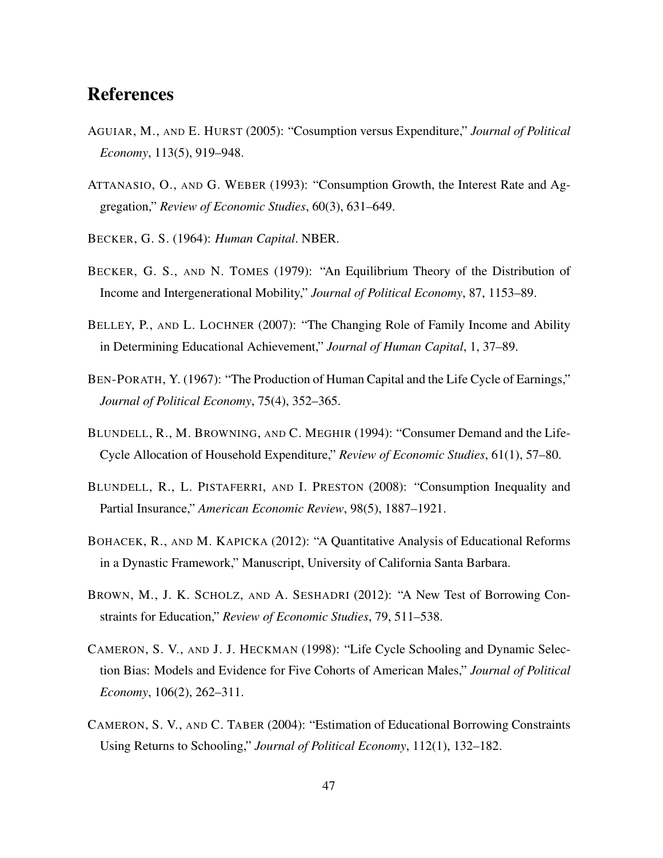# References

- AGUIAR, M., AND E. HURST (2005): "Cosumption versus Expenditure," *Journal of Political Economy*, 113(5), 919–948.
- ATTANASIO, O., AND G. WEBER (1993): "Consumption Growth, the Interest Rate and Aggregation," *Review of Economic Studies*, 60(3), 631–649.
- BECKER, G. S. (1964): *Human Capital*. NBER.
- BECKER, G. S., AND N. TOMES (1979): "An Equilibrium Theory of the Distribution of Income and Intergenerational Mobility," *Journal of Political Economy*, 87, 1153–89.
- BELLEY, P., AND L. LOCHNER (2007): "The Changing Role of Family Income and Ability in Determining Educational Achievement," *Journal of Human Capital*, 1, 37–89.
- BEN-PORATH, Y. (1967): "The Production of Human Capital and the Life Cycle of Earnings," *Journal of Political Economy*, 75(4), 352–365.
- BLUNDELL, R., M. BROWNING, AND C. MEGHIR (1994): "Consumer Demand and the Life-Cycle Allocation of Household Expenditure," *Review of Economic Studies*, 61(1), 57–80.
- BLUNDELL, R., L. PISTAFERRI, AND I. PRESTON (2008): "Consumption Inequality and Partial Insurance," *American Economic Review*, 98(5), 1887–1921.
- BOHACEK, R., AND M. KAPICKA (2012): "A Quantitative Analysis of Educational Reforms in a Dynastic Framework," Manuscript, University of California Santa Barbara.
- BROWN, M., J. K. SCHOLZ, AND A. SESHADRI (2012): "A New Test of Borrowing Constraints for Education," *Review of Economic Studies*, 79, 511–538.
- CAMERON, S. V., AND J. J. HECKMAN (1998): "Life Cycle Schooling and Dynamic Selection Bias: Models and Evidence for Five Cohorts of American Males," *Journal of Political Economy*, 106(2), 262–311.
- CAMERON, S. V., AND C. TABER (2004): "Estimation of Educational Borrowing Constraints Using Returns to Schooling," *Journal of Political Economy*, 112(1), 132–182.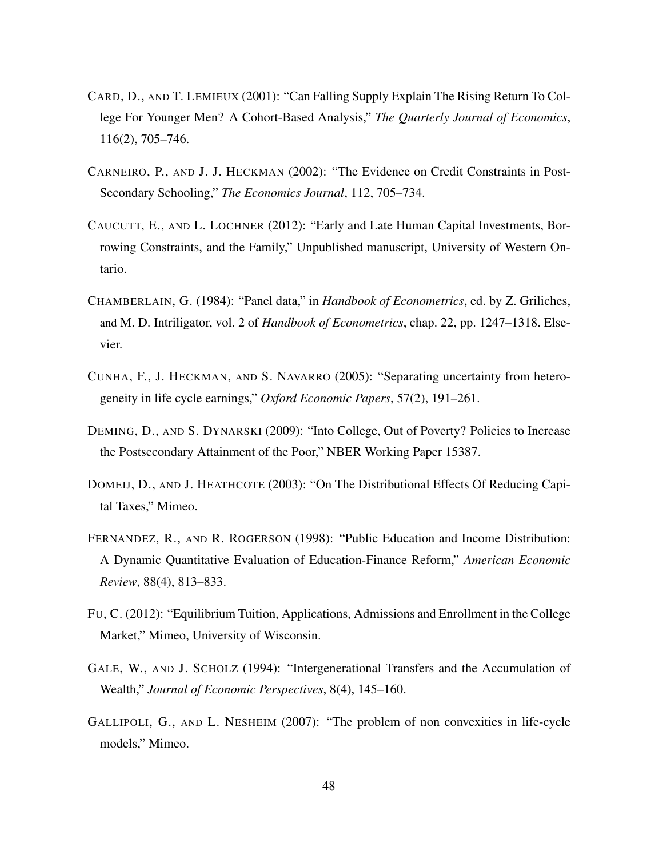- CARD, D., AND T. LEMIEUX (2001): "Can Falling Supply Explain The Rising Return To College For Younger Men? A Cohort-Based Analysis," *The Quarterly Journal of Economics*, 116(2), 705–746.
- CARNEIRO, P., AND J. J. HECKMAN (2002): "The Evidence on Credit Constraints in Post-Secondary Schooling," *The Economics Journal*, 112, 705–734.
- CAUCUTT, E., AND L. LOCHNER (2012): "Early and Late Human Capital Investments, Borrowing Constraints, and the Family," Unpublished manuscript, University of Western Ontario.
- CHAMBERLAIN, G. (1984): "Panel data," in *Handbook of Econometrics*, ed. by Z. Griliches, and M. D. Intriligator, vol. 2 of *Handbook of Econometrics*, chap. 22, pp. 1247–1318. Elsevier.
- CUNHA, F., J. HECKMAN, AND S. NAVARRO (2005): "Separating uncertainty from heterogeneity in life cycle earnings," *Oxford Economic Papers*, 57(2), 191–261.
- DEMING, D., AND S. DYNARSKI (2009): "Into College, Out of Poverty? Policies to Increase the Postsecondary Attainment of the Poor," NBER Working Paper 15387.
- DOMEIJ, D., AND J. HEATHCOTE (2003): "On The Distributional Effects Of Reducing Capital Taxes," Mimeo.
- FERNANDEZ, R., AND R. ROGERSON (1998): "Public Education and Income Distribution: A Dynamic Quantitative Evaluation of Education-Finance Reform," *American Economic Review*, 88(4), 813–833.
- FU, C. (2012): "Equilibrium Tuition, Applications, Admissions and Enrollment in the College Market," Mimeo, University of Wisconsin.
- GALE, W., AND J. SCHOLZ (1994): "Intergenerational Transfers and the Accumulation of Wealth," *Journal of Economic Perspectives*, 8(4), 145–160.
- GALLIPOLI, G., AND L. NESHEIM (2007): "The problem of non convexities in life-cycle models," Mimeo.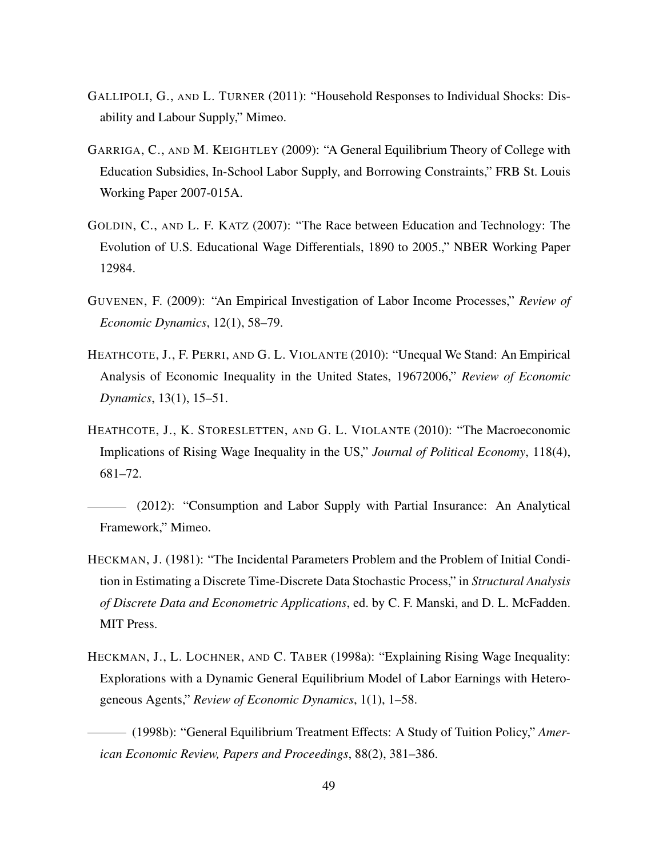- GALLIPOLI, G., AND L. TURNER (2011): "Household Responses to Individual Shocks: Disability and Labour Supply," Mimeo.
- GARRIGA, C., AND M. KEIGHTLEY (2009): "A General Equilibrium Theory of College with Education Subsidies, In-School Labor Supply, and Borrowing Constraints," FRB St. Louis Working Paper 2007-015A.
- GOLDIN, C., AND L. F. KATZ (2007): "The Race between Education and Technology: The Evolution of U.S. Educational Wage Differentials, 1890 to 2005.," NBER Working Paper 12984.
- GUVENEN, F. (2009): "An Empirical Investigation of Labor Income Processes," *Review of Economic Dynamics*, 12(1), 58–79.
- HEATHCOTE, J., F. PERRI, AND G. L. VIOLANTE (2010): "Unequal We Stand: An Empirical Analysis of Economic Inequality in the United States, 19672006," *Review of Economic Dynamics*, 13(1), 15–51.
- HEATHCOTE, J., K. STORESLETTEN, AND G. L. VIOLANTE (2010): "The Macroeconomic Implications of Rising Wage Inequality in the US," *Journal of Political Economy*, 118(4), 681–72.
- (2012): "Consumption and Labor Supply with Partial Insurance: An Analytical Framework," Mimeo.
- HECKMAN, J. (1981): "The Incidental Parameters Problem and the Problem of Initial Condition in Estimating a Discrete Time-Discrete Data Stochastic Process," in *Structural Analysis of Discrete Data and Econometric Applications*, ed. by C. F. Manski, and D. L. McFadden. MIT Press.
- HECKMAN, J., L. LOCHNER, AND C. TABER (1998a): "Explaining Rising Wage Inequality: Explorations with a Dynamic General Equilibrium Model of Labor Earnings with Heterogeneous Agents," *Review of Economic Dynamics*, 1(1), 1–58.

(1998b): "General Equilibrium Treatment Effects: A Study of Tuition Policy," *American Economic Review, Papers and Proceedings*, 88(2), 381–386.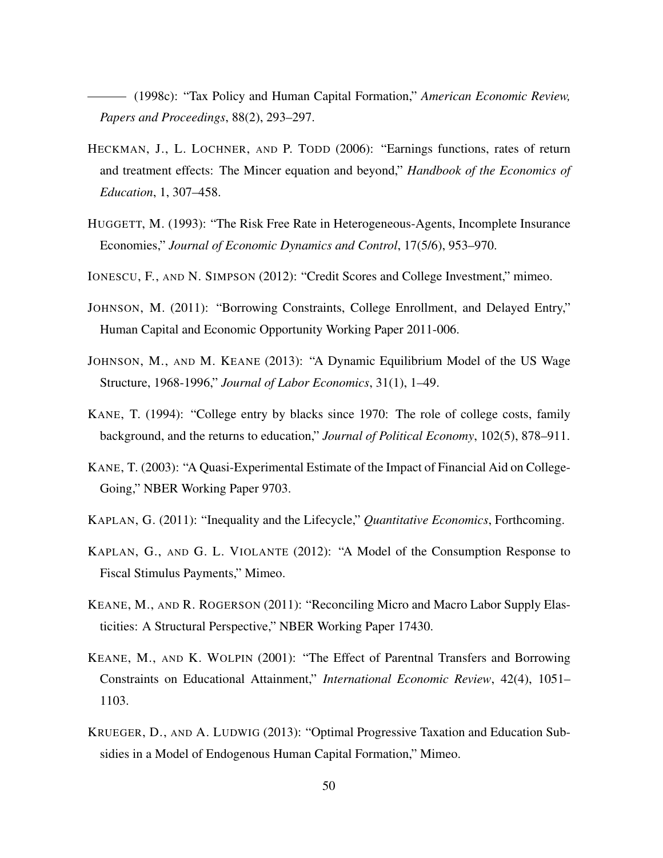(1998c): "Tax Policy and Human Capital Formation," *American Economic Review, Papers and Proceedings*, 88(2), 293–297.

- HECKMAN, J., L. LOCHNER, AND P. TODD (2006): "Earnings functions, rates of return and treatment effects: The Mincer equation and beyond," *Handbook of the Economics of Education*, 1, 307–458.
- HUGGETT, M. (1993): "The Risk Free Rate in Heterogeneous-Agents, Incomplete Insurance Economies," *Journal of Economic Dynamics and Control*, 17(5/6), 953–970.
- IONESCU, F., AND N. SIMPSON (2012): "Credit Scores and College Investment," mimeo.
- JOHNSON, M. (2011): "Borrowing Constraints, College Enrollment, and Delayed Entry," Human Capital and Economic Opportunity Working Paper 2011-006.
- JOHNSON, M., AND M. KEANE (2013): "A Dynamic Equilibrium Model of the US Wage Structure, 1968-1996," *Journal of Labor Economics*, 31(1), 1–49.
- KANE, T. (1994): "College entry by blacks since 1970: The role of college costs, family background, and the returns to education," *Journal of Political Economy*, 102(5), 878–911.
- KANE, T. (2003): "A Quasi-Experimental Estimate of the Impact of Financial Aid on College-Going," NBER Working Paper 9703.
- KAPLAN, G. (2011): "Inequality and the Lifecycle," *Quantitative Economics*, Forthcoming.
- KAPLAN, G., AND G. L. VIOLANTE (2012): "A Model of the Consumption Response to Fiscal Stimulus Payments," Mimeo.
- KEANE, M., AND R. ROGERSON (2011): "Reconciling Micro and Macro Labor Supply Elasticities: A Structural Perspective," NBER Working Paper 17430.
- KEANE, M., AND K. WOLPIN (2001): "The Effect of Parentnal Transfers and Borrowing Constraints on Educational Attainment," *International Economic Review*, 42(4), 1051– 1103.
- KRUEGER, D., AND A. LUDWIG (2013): "Optimal Progressive Taxation and Education Subsidies in a Model of Endogenous Human Capital Formation," Mimeo.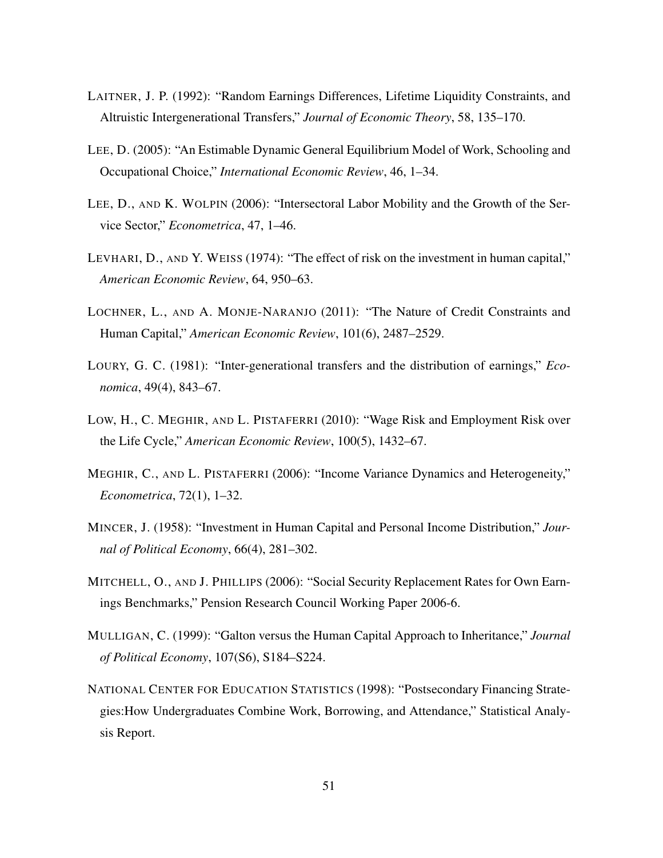- LAITNER, J. P. (1992): "Random Earnings Differences, Lifetime Liquidity Constraints, and Altruistic Intergenerational Transfers," *Journal of Economic Theory*, 58, 135–170.
- LEE, D. (2005): "An Estimable Dynamic General Equilibrium Model of Work, Schooling and Occupational Choice," *International Economic Review*, 46, 1–34.
- LEE, D., AND K. WOLPIN (2006): "Intersectoral Labor Mobility and the Growth of the Service Sector," *Econometrica*, 47, 1–46.
- LEVHARI, D., AND Y. WEISS (1974): "The effect of risk on the investment in human capital," *American Economic Review*, 64, 950–63.
- LOCHNER, L., AND A. MONJE-NARANJO (2011): "The Nature of Credit Constraints and Human Capital," *American Economic Review*, 101(6), 2487–2529.
- LOURY, G. C. (1981): "Inter-generational transfers and the distribution of earnings," *Economica*, 49(4), 843–67.
- LOW, H., C. MEGHIR, AND L. PISTAFERRI (2010): "Wage Risk and Employment Risk over the Life Cycle," *American Economic Review*, 100(5), 1432–67.
- MEGHIR, C., AND L. PISTAFERRI (2006): "Income Variance Dynamics and Heterogeneity," *Econometrica*, 72(1), 1–32.
- MINCER, J. (1958): "Investment in Human Capital and Personal Income Distribution," *Journal of Political Economy*, 66(4), 281–302.
- MITCHELL, O., AND J. PHILLIPS (2006): "Social Security Replacement Rates for Own Earnings Benchmarks," Pension Research Council Working Paper 2006-6.
- MULLIGAN, C. (1999): "Galton versus the Human Capital Approach to Inheritance," *Journal of Political Economy*, 107(S6), S184–S224.
- NATIONAL CENTER FOR EDUCATION STATISTICS (1998): "Postsecondary Financing Strategies:How Undergraduates Combine Work, Borrowing, and Attendance," Statistical Analysis Report.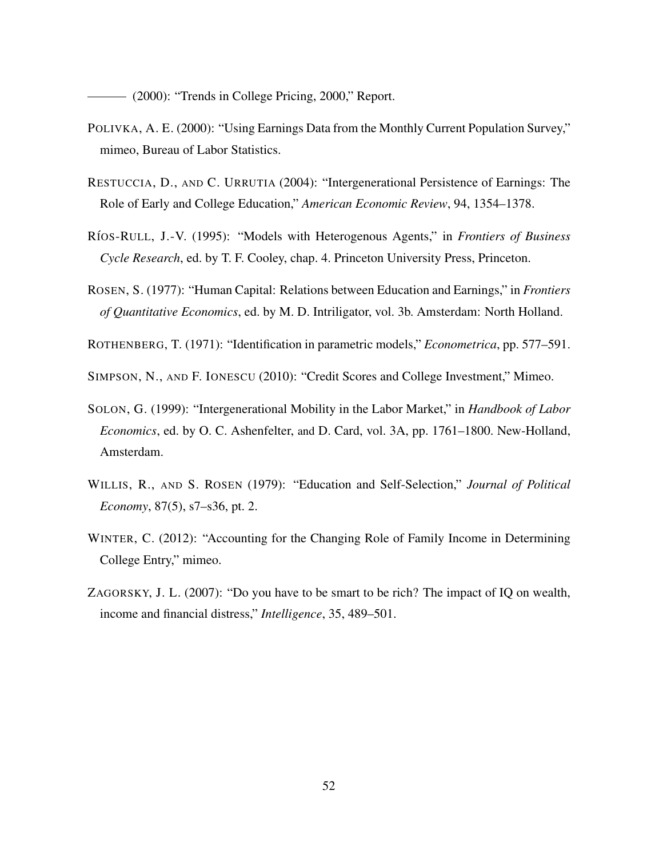(2000): "Trends in College Pricing, 2000," Report.

- POLIVKA, A. E. (2000): "Using Earnings Data from the Monthly Current Population Survey," mimeo, Bureau of Labor Statistics.
- RESTUCCIA, D., AND C. URRUTIA (2004): "Intergenerational Persistence of Earnings: The Role of Early and College Education," *American Economic Review*, 94, 1354–1378.
- RÍOS-RULL, J.-V. (1995): "Models with Heterogenous Agents," in *Frontiers of Business Cycle Research*, ed. by T. F. Cooley, chap. 4. Princeton University Press, Princeton.
- ROSEN, S. (1977): "Human Capital: Relations between Education and Earnings," in *Frontiers of Quantitative Economics*, ed. by M. D. Intriligator, vol. 3b. Amsterdam: North Holland.
- ROTHENBERG, T. (1971): "Identification in parametric models," *Econometrica*, pp. 577–591.

SIMPSON, N., AND F. IONESCU (2010): "Credit Scores and College Investment," Mimeo.

- SOLON, G. (1999): "Intergenerational Mobility in the Labor Market," in *Handbook of Labor Economics*, ed. by O. C. Ashenfelter, and D. Card, vol. 3A, pp. 1761–1800. New-Holland, Amsterdam.
- WILLIS, R., AND S. ROSEN (1979): "Education and Self-Selection," *Journal of Political Economy*, 87(5), s7–s36, pt. 2.
- WINTER, C. (2012): "Accounting for the Changing Role of Family Income in Determining College Entry," mimeo.
- ZAGORSKY, J. L. (2007): "Do you have to be smart to be rich? The impact of IQ on wealth, income and financial distress," *Intelligence*, 35, 489–501.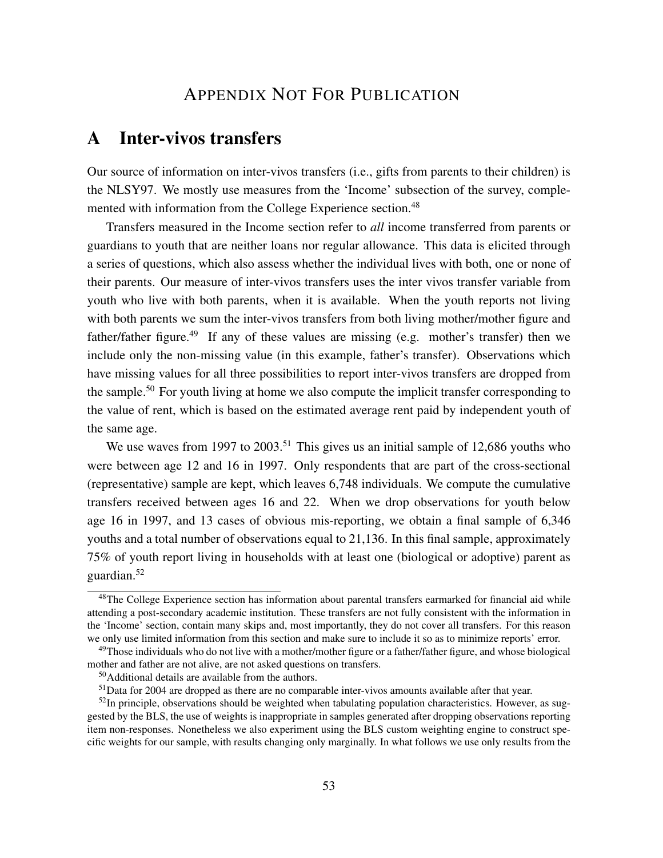## APPENDIX NOT FOR PUBLICATION

## A Inter-vivos transfers

Our source of information on inter-vivos transfers (i.e., gifts from parents to their children) is the NLSY97. We mostly use measures from the 'Income' subsection of the survey, complemented with information from the College Experience section.<sup>48</sup>

Transfers measured in the Income section refer to *all* income transferred from parents or guardians to youth that are neither loans nor regular allowance. This data is elicited through a series of questions, which also assess whether the individual lives with both, one or none of their parents. Our measure of inter-vivos transfers uses the inter vivos transfer variable from youth who live with both parents, when it is available. When the youth reports not living with both parents we sum the inter-vivos transfers from both living mother/mother figure and father/father figure.<sup>49</sup> If any of these values are missing (e.g. mother's transfer) then we include only the non-missing value (in this example, father's transfer). Observations which have missing values for all three possibilities to report inter-vivos transfers are dropped from the sample.<sup>50</sup> For youth living at home we also compute the implicit transfer corresponding to the value of rent, which is based on the estimated average rent paid by independent youth of the same age.

We use waves from 1997 to 2003.<sup>51</sup> This gives us an initial sample of 12,686 youths who were between age 12 and 16 in 1997. Only respondents that are part of the cross-sectional (representative) sample are kept, which leaves 6,748 individuals. We compute the cumulative transfers received between ages 16 and 22. When we drop observations for youth below age 16 in 1997, and 13 cases of obvious mis-reporting, we obtain a final sample of 6,346 youths and a total number of observations equal to 21,136. In this final sample, approximately 75% of youth report living in households with at least one (biological or adoptive) parent as guardian.<sup>52</sup>

<sup>&</sup>lt;sup>48</sup>The College Experience section has information about parental transfers earmarked for financial aid while attending a post-secondary academic institution. These transfers are not fully consistent with the information in the 'Income' section, contain many skips and, most importantly, they do not cover all transfers. For this reason we only use limited information from this section and make sure to include it so as to minimize reports' error.

<sup>&</sup>lt;sup>49</sup>Those individuals who do not live with a mother/mother figure or a father/father figure, and whose biological mother and father are not alive, are not asked questions on transfers.

<sup>50</sup>Additional details are available from the authors.

<sup>&</sup>lt;sup>51</sup>Data for 2004 are dropped as there are no comparable inter-vivos amounts available after that year.

 $52$ In principle, observations should be weighted when tabulating population characteristics. However, as suggested by the BLS, the use of weights is inappropriate in samples generated after dropping observations reporting item non-responses. Nonetheless we also experiment using the BLS custom weighting engine to construct specific weights for our sample, with results changing only marginally. In what follows we use only results from the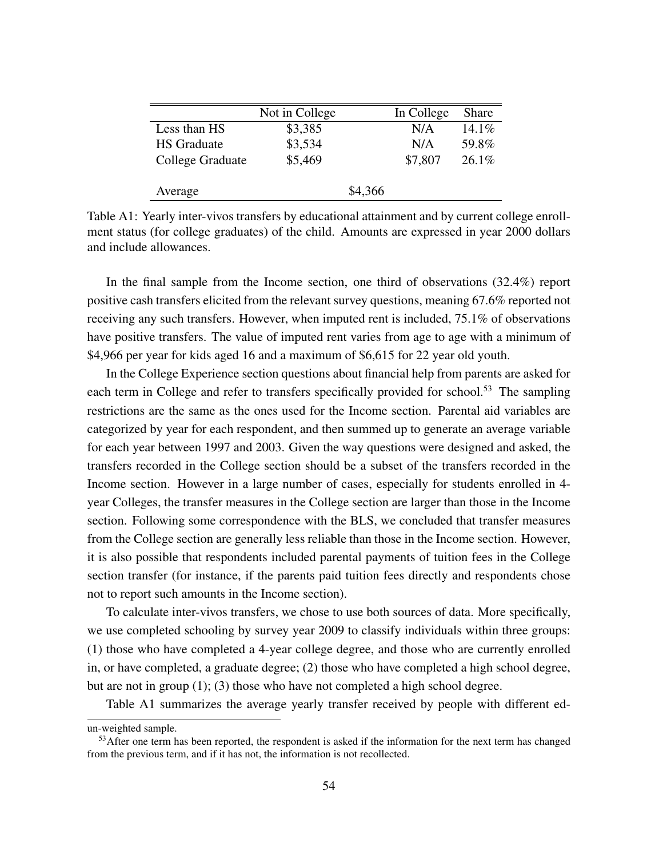|                    | Not in College | In College | <b>Share</b> |
|--------------------|----------------|------------|--------------|
| Less than HS       | \$3,385        | N/A        | $14.1\%$     |
| <b>HS</b> Graduate | \$3,534        | N/A        | 59.8%        |
| College Graduate   | \$5,469        | \$7,807    | $26.1\%$     |
|                    |                |            |              |
| Average            |                | \$4,366    |              |

Table A1: Yearly inter-vivos transfers by educational attainment and by current college enrollment status (for college graduates) of the child. Amounts are expressed in year 2000 dollars and include allowances.

In the final sample from the Income section, one third of observations (32.4%) report positive cash transfers elicited from the relevant survey questions, meaning 67.6% reported not receiving any such transfers. However, when imputed rent is included, 75.1% of observations have positive transfers. The value of imputed rent varies from age to age with a minimum of \$4,966 per year for kids aged 16 and a maximum of \$6,615 for 22 year old youth.

In the College Experience section questions about financial help from parents are asked for each term in College and refer to transfers specifically provided for school.<sup>53</sup> The sampling restrictions are the same as the ones used for the Income section. Parental aid variables are categorized by year for each respondent, and then summed up to generate an average variable for each year between 1997 and 2003. Given the way questions were designed and asked, the transfers recorded in the College section should be a subset of the transfers recorded in the Income section. However in a large number of cases, especially for students enrolled in 4 year Colleges, the transfer measures in the College section are larger than those in the Income section. Following some correspondence with the BLS, we concluded that transfer measures from the College section are generally less reliable than those in the Income section. However, it is also possible that respondents included parental payments of tuition fees in the College section transfer (for instance, if the parents paid tuition fees directly and respondents chose not to report such amounts in the Income section).

To calculate inter-vivos transfers, we chose to use both sources of data. More specifically, we use completed schooling by survey year 2009 to classify individuals within three groups: (1) those who have completed a 4-year college degree, and those who are currently enrolled in, or have completed, a graduate degree; (2) those who have completed a high school degree, but are not in group (1); (3) those who have not completed a high school degree.

Table A1 summarizes the average yearly transfer received by people with different ed-

un-weighted sample.

<sup>&</sup>lt;sup>53</sup>After one term has been reported, the respondent is asked if the information for the next term has changed from the previous term, and if it has not, the information is not recollected.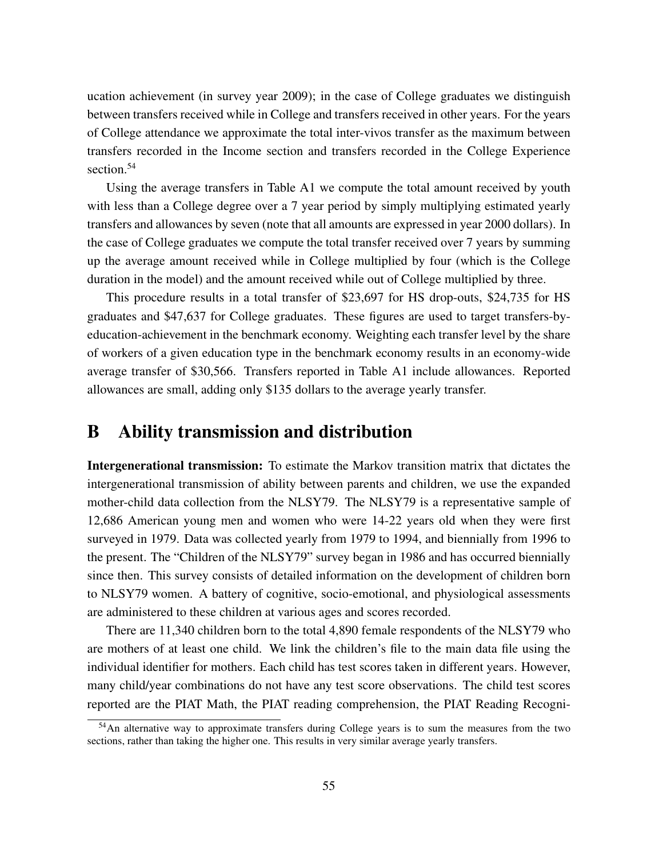ucation achievement (in survey year 2009); in the case of College graduates we distinguish between transfers received while in College and transfers received in other years. For the years of College attendance we approximate the total inter-vivos transfer as the maximum between transfers recorded in the Income section and transfers recorded in the College Experience section.<sup>54</sup>

Using the average transfers in Table A1 we compute the total amount received by youth with less than a College degree over a 7 year period by simply multiplying estimated yearly transfers and allowances by seven (note that all amounts are expressed in year 2000 dollars). In the case of College graduates we compute the total transfer received over 7 years by summing up the average amount received while in College multiplied by four (which is the College duration in the model) and the amount received while out of College multiplied by three.

This procedure results in a total transfer of \$23,697 for HS drop-outs, \$24,735 for HS graduates and \$47,637 for College graduates. These figures are used to target transfers-byeducation-achievement in the benchmark economy. Weighting each transfer level by the share of workers of a given education type in the benchmark economy results in an economy-wide average transfer of \$30,566. Transfers reported in Table A1 include allowances. Reported allowances are small, adding only \$135 dollars to the average yearly transfer.

## B Ability transmission and distribution

Intergenerational transmission: To estimate the Markov transition matrix that dictates the intergenerational transmission of ability between parents and children, we use the expanded mother-child data collection from the NLSY79. The NLSY79 is a representative sample of 12,686 American young men and women who were 14-22 years old when they were first surveyed in 1979. Data was collected yearly from 1979 to 1994, and biennially from 1996 to the present. The "Children of the NLSY79" survey began in 1986 and has occurred biennially since then. This survey consists of detailed information on the development of children born to NLSY79 women. A battery of cognitive, socio-emotional, and physiological assessments are administered to these children at various ages and scores recorded.

There are 11,340 children born to the total 4,890 female respondents of the NLSY79 who are mothers of at least one child. We link the children's file to the main data file using the individual identifier for mothers. Each child has test scores taken in different years. However, many child/year combinations do not have any test score observations. The child test scores reported are the PIAT Math, the PIAT reading comprehension, the PIAT Reading Recogni-

<sup>54</sup>An alternative way to approximate transfers during College years is to sum the measures from the two sections, rather than taking the higher one. This results in very similar average yearly transfers.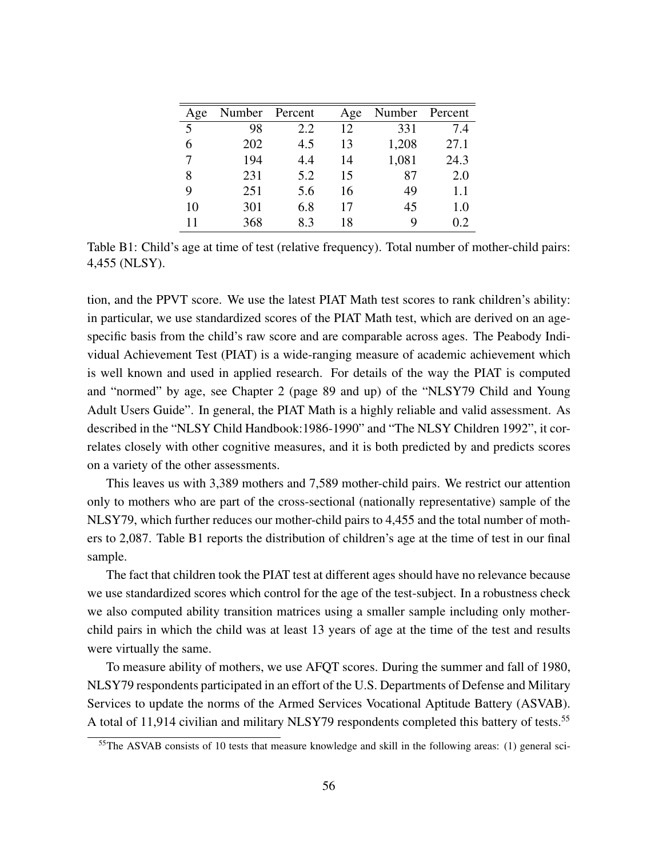| Age | Number Percent |     | Age | Number Percent |      |
|-----|----------------|-----|-----|----------------|------|
| 5   | 98             | 2.2 | 12  | 331            | 7.4  |
| 6   | 202            | 4.5 | 13  | 1,208          | 27.1 |
|     | 194            | 4.4 | 14  | 1,081          | 24.3 |
| 8   | 231            | 5.2 | 15  | 87             | 2.0  |
| 9   | 251            | 5.6 | 16  | 49             | 1.1  |
| 10  | 301            | 6.8 | 17  | 45             | 1.0  |
| 11  | 368            | 83  | 18  | Q              | 0.2  |

Table B1: Child's age at time of test (relative frequency). Total number of mother-child pairs: 4,455 (NLSY).

tion, and the PPVT score. We use the latest PIAT Math test scores to rank children's ability: in particular, we use standardized scores of the PIAT Math test, which are derived on an agespecific basis from the child's raw score and are comparable across ages. The Peabody Individual Achievement Test (PIAT) is a wide-ranging measure of academic achievement which is well known and used in applied research. For details of the way the PIAT is computed and "normed" by age, see Chapter 2 (page 89 and up) of the "NLSY79 Child and Young Adult Users Guide". In general, the PIAT Math is a highly reliable and valid assessment. As described in the "NLSY Child Handbook:1986-1990" and "The NLSY Children 1992", it correlates closely with other cognitive measures, and it is both predicted by and predicts scores on a variety of the other assessments.

This leaves us with 3,389 mothers and 7,589 mother-child pairs. We restrict our attention only to mothers who are part of the cross-sectional (nationally representative) sample of the NLSY79, which further reduces our mother-child pairs to 4,455 and the total number of mothers to 2,087. Table B1 reports the distribution of children's age at the time of test in our final sample.

The fact that children took the PIAT test at different ages should have no relevance because we use standardized scores which control for the age of the test-subject. In a robustness check we also computed ability transition matrices using a smaller sample including only motherchild pairs in which the child was at least 13 years of age at the time of the test and results were virtually the same.

To measure ability of mothers, we use AFQT scores. During the summer and fall of 1980, NLSY79 respondents participated in an effort of the U.S. Departments of Defense and Military Services to update the norms of the Armed Services Vocational Aptitude Battery (ASVAB). A total of 11,914 civilian and military NLSY79 respondents completed this battery of tests.<sup>55</sup>

<sup>&</sup>lt;sup>55</sup>The ASVAB consists of 10 tests that measure knowledge and skill in the following areas: (1) general sci-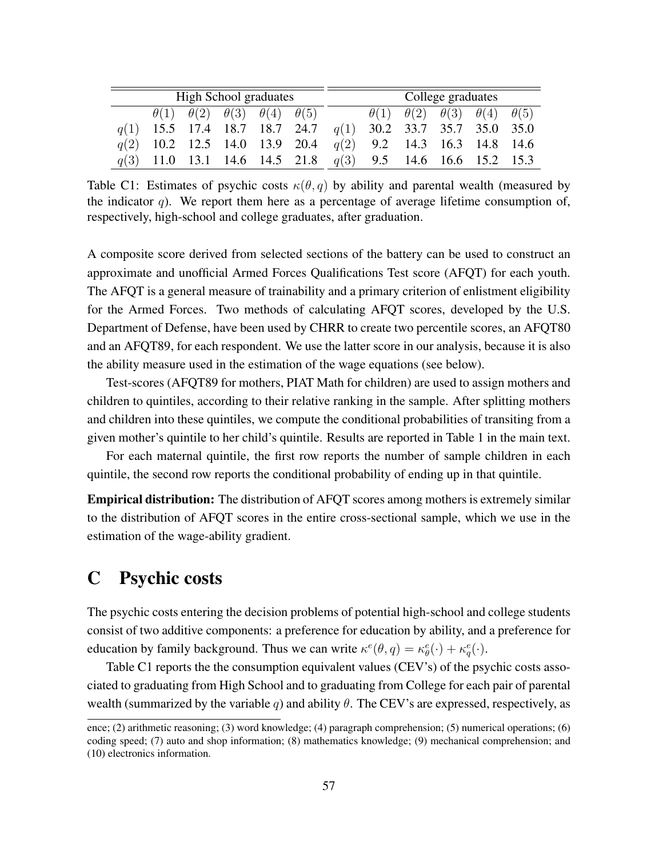| <b>High School graduates</b> |  |  |                                                             |  | College graduates                                               |  |                                                             |  |
|------------------------------|--|--|-------------------------------------------------------------|--|-----------------------------------------------------------------|--|-------------------------------------------------------------|--|
|                              |  |  | $\theta(1)$ $\theta(2)$ $\theta(3)$ $\theta(4)$ $\theta(5)$ |  |                                                                 |  | $\theta(1)$ $\theta(2)$ $\theta(3)$ $\theta(4)$ $\theta(5)$ |  |
|                              |  |  |                                                             |  | $q(1)$ 15.5 17.4 18.7 18.7 24.7 $q(1)$ 30.2 33.7 35.7 35.0 35.0 |  |                                                             |  |
|                              |  |  |                                                             |  | $q(2)$ 10.2 12.5 14.0 13.9 20.4 $q(2)$ 9.2 14.3 16.3 14.8 14.6  |  |                                                             |  |
|                              |  |  |                                                             |  | $q(3)$ 11.0 13.1 14.6 14.5 21.8 $q(3)$ 9.5 14.6 16.6 15.2 15.3  |  |                                                             |  |

Table C1: Estimates of psychic costs  $\kappa(\theta, q)$  by ability and parental wealth (measured by the indicator  $q$ ). We report them here as a percentage of average lifetime consumption of, respectively, high-school and college graduates, after graduation.

A composite score derived from selected sections of the battery can be used to construct an approximate and unofficial Armed Forces Qualifications Test score (AFQT) for each youth. The AFQT is a general measure of trainability and a primary criterion of enlistment eligibility for the Armed Forces. Two methods of calculating AFQT scores, developed by the U.S. Department of Defense, have been used by CHRR to create two percentile scores, an AFQT80 and an AFQT89, for each respondent. We use the latter score in our analysis, because it is also the ability measure used in the estimation of the wage equations (see below).

Test-scores (AFQT89 for mothers, PIAT Math for children) are used to assign mothers and children to quintiles, according to their relative ranking in the sample. After splitting mothers and children into these quintiles, we compute the conditional probabilities of transiting from a given mother's quintile to her child's quintile. Results are reported in Table 1 in the main text.

For each maternal quintile, the first row reports the number of sample children in each quintile, the second row reports the conditional probability of ending up in that quintile.

Empirical distribution: The distribution of AFQT scores among mothers is extremely similar to the distribution of AFQT scores in the entire cross-sectional sample, which we use in the estimation of the wage-ability gradient.

## C Psychic costs

The psychic costs entering the decision problems of potential high-school and college students consist of two additive components: a preference for education by ability, and a preference for education by family background. Thus we can write  $\kappa^e(\theta, q) = \kappa^e_{\theta}(\cdot) + \kappa^e_{q}(\cdot)$ .

Table C1 reports the the consumption equivalent values (CEV's) of the psychic costs associated to graduating from High School and to graduating from College for each pair of parental wealth (summarized by the variable q) and ability  $\theta$ . The CEV's are expressed, respectively, as

ence; (2) arithmetic reasoning; (3) word knowledge; (4) paragraph comprehension; (5) numerical operations; (6) coding speed; (7) auto and shop information; (8) mathematics knowledge; (9) mechanical comprehension; and (10) electronics information.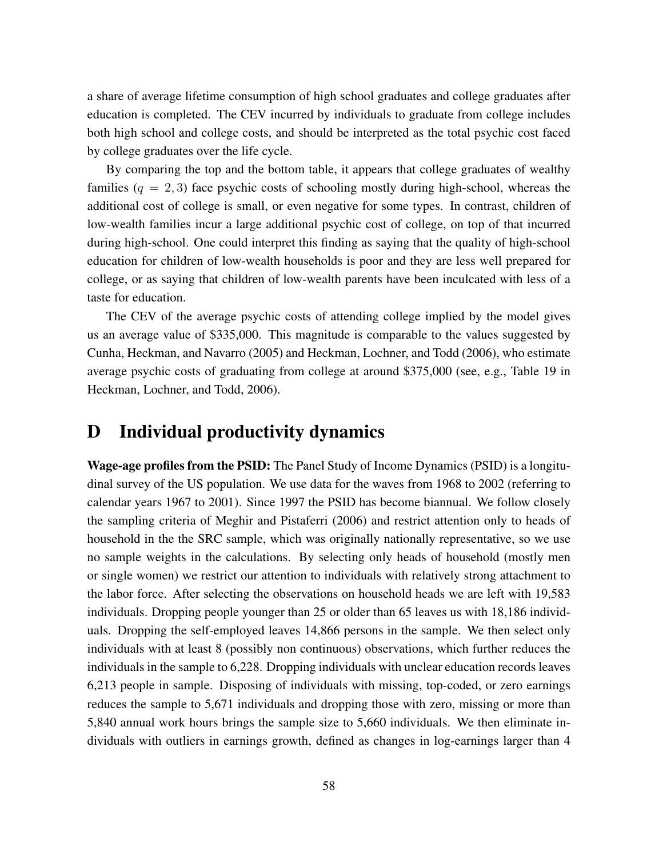a share of average lifetime consumption of high school graduates and college graduates after education is completed. The CEV incurred by individuals to graduate from college includes both high school and college costs, and should be interpreted as the total psychic cost faced by college graduates over the life cycle.

By comparing the top and the bottom table, it appears that college graduates of wealthy families  $(q = 2, 3)$  face psychic costs of schooling mostly during high-school, whereas the additional cost of college is small, or even negative for some types. In contrast, children of low-wealth families incur a large additional psychic cost of college, on top of that incurred during high-school. One could interpret this finding as saying that the quality of high-school education for children of low-wealth households is poor and they are less well prepared for college, or as saying that children of low-wealth parents have been inculcated with less of a taste for education.

The CEV of the average psychic costs of attending college implied by the model gives us an average value of \$335,000. This magnitude is comparable to the values suggested by Cunha, Heckman, and Navarro (2005) and Heckman, Lochner, and Todd (2006), who estimate average psychic costs of graduating from college at around \$375,000 (see, e.g., Table 19 in Heckman, Lochner, and Todd, 2006).

# D Individual productivity dynamics

Wage-age profiles from the PSID: The Panel Study of Income Dynamics (PSID) is a longitudinal survey of the US population. We use data for the waves from 1968 to 2002 (referring to calendar years 1967 to 2001). Since 1997 the PSID has become biannual. We follow closely the sampling criteria of Meghir and Pistaferri (2006) and restrict attention only to heads of household in the the SRC sample, which was originally nationally representative, so we use no sample weights in the calculations. By selecting only heads of household (mostly men or single women) we restrict our attention to individuals with relatively strong attachment to the labor force. After selecting the observations on household heads we are left with 19,583 individuals. Dropping people younger than 25 or older than 65 leaves us with 18,186 individuals. Dropping the self-employed leaves 14,866 persons in the sample. We then select only individuals with at least 8 (possibly non continuous) observations, which further reduces the individuals in the sample to 6,228. Dropping individuals with unclear education records leaves 6,213 people in sample. Disposing of individuals with missing, top-coded, or zero earnings reduces the sample to 5,671 individuals and dropping those with zero, missing or more than 5,840 annual work hours brings the sample size to 5,660 individuals. We then eliminate individuals with outliers in earnings growth, defined as changes in log-earnings larger than 4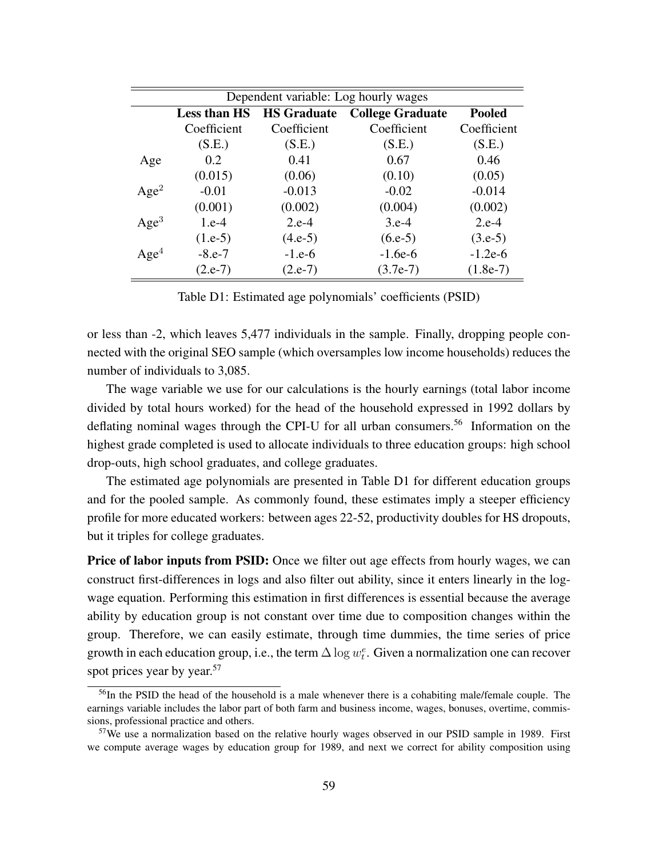| Dependent variable: Log hourly wages |                     |                    |                         |               |  |  |  |  |  |
|--------------------------------------|---------------------|--------------------|-------------------------|---------------|--|--|--|--|--|
|                                      | <b>Less than HS</b> | <b>HS</b> Graduate | <b>College Graduate</b> | <b>Pooled</b> |  |  |  |  |  |
|                                      | Coefficient         | Coefficient        | Coefficient             | Coefficient   |  |  |  |  |  |
|                                      | (S.E.)              | (S.E.)             | (S.E.)                  | (S.E.)        |  |  |  |  |  |
| Age                                  | 0.2                 | 0.41               | 0.67                    | 0.46          |  |  |  |  |  |
|                                      | (0.015)             | (0.06)             | (0.10)                  | (0.05)        |  |  |  |  |  |
| Age <sup>2</sup>                     | $-0.01$             | $-0.013$           | $-0.02$                 | $-0.014$      |  |  |  |  |  |
|                                      | (0.001)             | (0.002)            | (0.004)                 | (0.002)       |  |  |  |  |  |
| Age <sup>3</sup>                     | $1.e-4$             | $2.e-4$            | $3.e-4$                 | $2.e-4$       |  |  |  |  |  |
|                                      | $(1.e-5)$           | $(4.e-5)$          | $(6.e-5)$               | $(3.e-5)$     |  |  |  |  |  |
| Age <sup>4</sup>                     | $-8.e-7$            | $-1.e-6$           | $-1.6e-6$               | $-1.2e-6$     |  |  |  |  |  |
|                                      | $(2.e-7)$           | $(2.e-7)$          | $(3.7e-7)$              | $(1.8e-7)$    |  |  |  |  |  |

Table D1: Estimated age polynomials' coefficients (PSID)

or less than -2, which leaves 5,477 individuals in the sample. Finally, dropping people connected with the original SEO sample (which oversamples low income households) reduces the number of individuals to 3,085.

The wage variable we use for our calculations is the hourly earnings (total labor income divided by total hours worked) for the head of the household expressed in 1992 dollars by deflating nominal wages through the CPI-U for all urban consumers.<sup>56</sup> Information on the highest grade completed is used to allocate individuals to three education groups: high school drop-outs, high school graduates, and college graduates.

The estimated age polynomials are presented in Table D1 for different education groups and for the pooled sample. As commonly found, these estimates imply a steeper efficiency profile for more educated workers: between ages 22-52, productivity doubles for HS dropouts, but it triples for college graduates.

Price of labor inputs from PSID: Once we filter out age effects from hourly wages, we can construct first-differences in logs and also filter out ability, since it enters linearly in the logwage equation. Performing this estimation in first differences is essential because the average ability by education group is not constant over time due to composition changes within the group. Therefore, we can easily estimate, through time dummies, the time series of price growth in each education group, i.e., the term  $\Delta \log w_t^e$ . Given a normalization one can recover spot prices year by year.<sup>57</sup>

<sup>&</sup>lt;sup>56</sup>In the PSID the head of the household is a male whenever there is a cohabiting male/female couple. The earnings variable includes the labor part of both farm and business income, wages, bonuses, overtime, commissions, professional practice and others.

<sup>57</sup>We use a normalization based on the relative hourly wages observed in our PSID sample in 1989. First we compute average wages by education group for 1989, and next we correct for ability composition using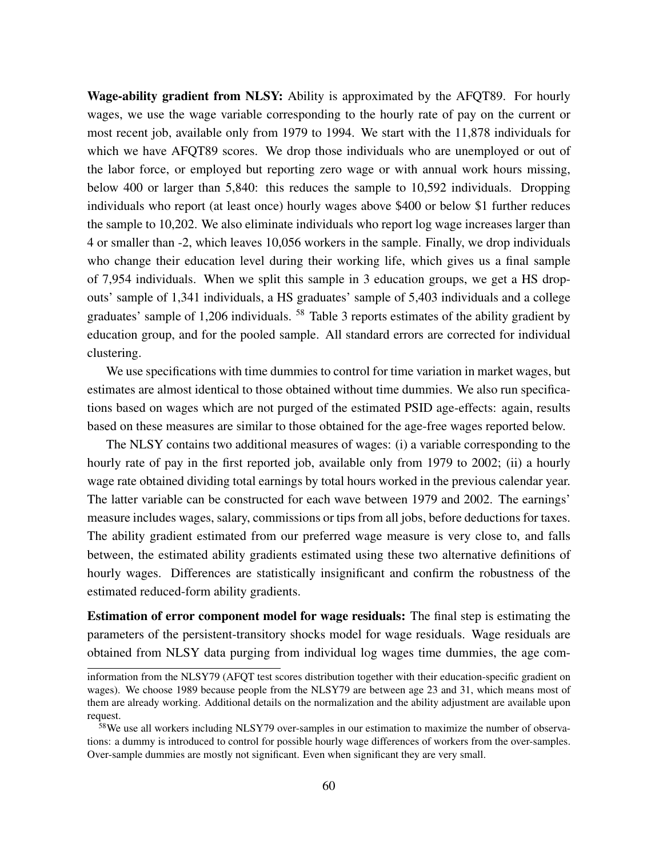Wage-ability gradient from NLSY: Ability is approximated by the AFOT89. For hourly wages, we use the wage variable corresponding to the hourly rate of pay on the current or most recent job, available only from 1979 to 1994. We start with the 11,878 individuals for which we have AFQT89 scores. We drop those individuals who are unemployed or out of the labor force, or employed but reporting zero wage or with annual work hours missing, below 400 or larger than 5,840: this reduces the sample to 10,592 individuals. Dropping individuals who report (at least once) hourly wages above \$400 or below \$1 further reduces the sample to 10,202. We also eliminate individuals who report log wage increases larger than 4 or smaller than -2, which leaves 10,056 workers in the sample. Finally, we drop individuals who change their education level during their working life, which gives us a final sample of 7,954 individuals. When we split this sample in 3 education groups, we get a HS dropouts' sample of 1,341 individuals, a HS graduates' sample of 5,403 individuals and a college graduates' sample of 1,206 individuals. <sup>58</sup> Table 3 reports estimates of the ability gradient by education group, and for the pooled sample. All standard errors are corrected for individual clustering.

We use specifications with time dummies to control for time variation in market wages, but estimates are almost identical to those obtained without time dummies. We also run specifications based on wages which are not purged of the estimated PSID age-effects: again, results based on these measures are similar to those obtained for the age-free wages reported below.

The NLSY contains two additional measures of wages: (i) a variable corresponding to the hourly rate of pay in the first reported job, available only from 1979 to 2002; (ii) a hourly wage rate obtained dividing total earnings by total hours worked in the previous calendar year. The latter variable can be constructed for each wave between 1979 and 2002. The earnings' measure includes wages, salary, commissions or tips from all jobs, before deductions for taxes. The ability gradient estimated from our preferred wage measure is very close to, and falls between, the estimated ability gradients estimated using these two alternative definitions of hourly wages. Differences are statistically insignificant and confirm the robustness of the estimated reduced-form ability gradients.

Estimation of error component model for wage residuals: The final step is estimating the parameters of the persistent-transitory shocks model for wage residuals. Wage residuals are obtained from NLSY data purging from individual log wages time dummies, the age com-

information from the NLSY79 (AFQT test scores distribution together with their education-specific gradient on wages). We choose 1989 because people from the NLSY79 are between age 23 and 31, which means most of them are already working. Additional details on the normalization and the ability adjustment are available upon request.

<sup>58</sup>We use all workers including NLSY79 over-samples in our estimation to maximize the number of observations: a dummy is introduced to control for possible hourly wage differences of workers from the over-samples. Over-sample dummies are mostly not significant. Even when significant they are very small.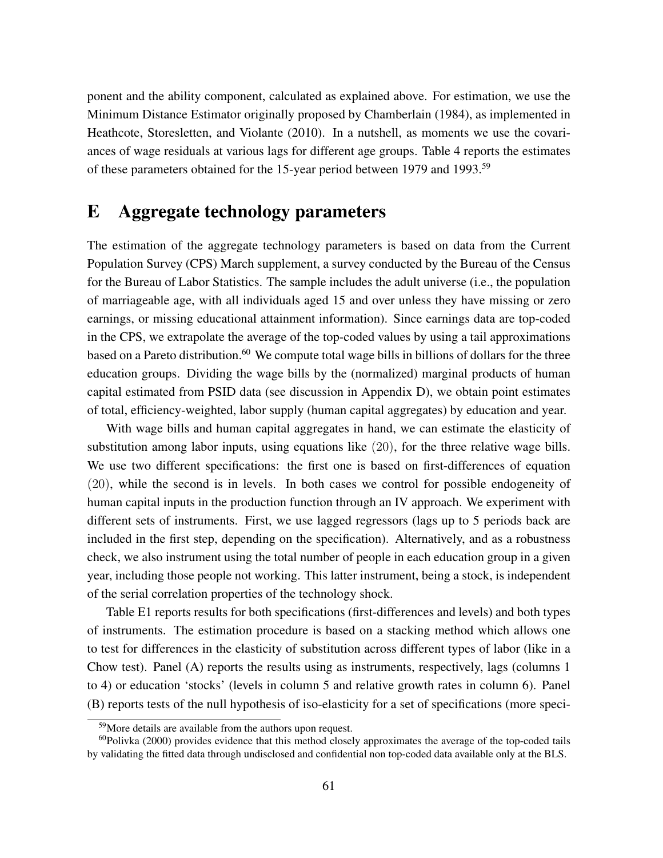ponent and the ability component, calculated as explained above. For estimation, we use the Minimum Distance Estimator originally proposed by Chamberlain (1984), as implemented in Heathcote, Storesletten, and Violante (2010). In a nutshell, as moments we use the covariances of wage residuals at various lags for different age groups. Table 4 reports the estimates of these parameters obtained for the 15-year period between 1979 and 1993.<sup>59</sup>

## E Aggregate technology parameters

The estimation of the aggregate technology parameters is based on data from the Current Population Survey (CPS) March supplement, a survey conducted by the Bureau of the Census for the Bureau of Labor Statistics. The sample includes the adult universe (i.e., the population of marriageable age, with all individuals aged 15 and over unless they have missing or zero earnings, or missing educational attainment information). Since earnings data are top-coded in the CPS, we extrapolate the average of the top-coded values by using a tail approximations based on a Pareto distribution.<sup>60</sup> We compute total wage bills in billions of dollars for the three education groups. Dividing the wage bills by the (normalized) marginal products of human capital estimated from PSID data (see discussion in Appendix D), we obtain point estimates of total, efficiency-weighted, labor supply (human capital aggregates) by education and year.

With wage bills and human capital aggregates in hand, we can estimate the elasticity of substitution among labor inputs, using equations like (20), for the three relative wage bills. We use two different specifications: the first one is based on first-differences of equation (20), while the second is in levels. In both cases we control for possible endogeneity of human capital inputs in the production function through an IV approach. We experiment with different sets of instruments. First, we use lagged regressors (lags up to 5 periods back are included in the first step, depending on the specification). Alternatively, and as a robustness check, we also instrument using the total number of people in each education group in a given year, including those people not working. This latter instrument, being a stock, is independent of the serial correlation properties of the technology shock.

Table E1 reports results for both specifications (first-differences and levels) and both types of instruments. The estimation procedure is based on a stacking method which allows one to test for differences in the elasticity of substitution across different types of labor (like in a Chow test). Panel (A) reports the results using as instruments, respectively, lags (columns 1 to 4) or education 'stocks' (levels in column 5 and relative growth rates in column 6). Panel (B) reports tests of the null hypothesis of iso-elasticity for a set of specifications (more speci-

<sup>59</sup>More details are available from the authors upon request.

 $^{60}$ Polivka (2000) provides evidence that this method closely approximates the average of the top-coded tails by validating the fitted data through undisclosed and confidential non top-coded data available only at the BLS.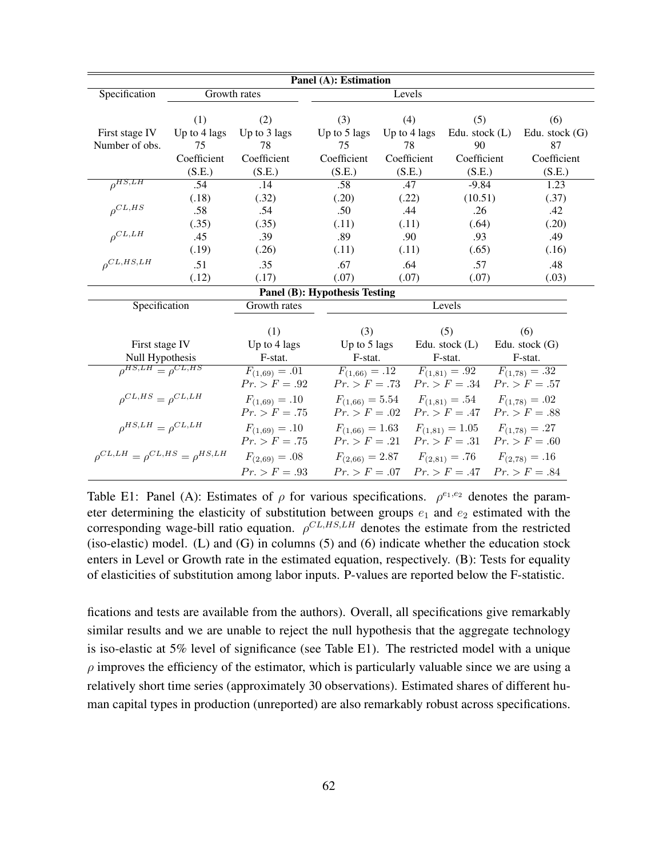| Panel (A): Estimation                        |                        |                                       |                                        |                        |                                                                             |                  |  |  |  |  |
|----------------------------------------------|------------------------|---------------------------------------|----------------------------------------|------------------------|-----------------------------------------------------------------------------|------------------|--|--|--|--|
| Specification                                | Growth rates<br>Levels |                                       |                                        |                        |                                                                             |                  |  |  |  |  |
|                                              | (1)                    | (2)                                   | (3)                                    | (4)                    | (5)                                                                         | (6)              |  |  |  |  |
| First stage IV                               | Up to 4 lags           | Up to 3 lags                          | Up to $5 \text{ lags}$                 | Up to $4 \text{ lags}$ | Edu. stock $(L)$                                                            | Edu. stock $(G)$ |  |  |  |  |
| Number of obs.                               | 75                     | 78                                    | 75                                     | 78                     | 90                                                                          | 87               |  |  |  |  |
|                                              | Coefficient            | Coefficient                           | Coefficient                            | Coefficient            | Coefficient                                                                 | Coefficient      |  |  |  |  |
|                                              | (S.E.)                 | (S.E.)                                | (S.E.)                                 | (S.E.)                 | (S.E.)                                                                      | (S.E.)           |  |  |  |  |
| $\rho^{HS,LH}$                               | .54                    | .14                                   | .58                                    | .47                    | $-9.84$                                                                     | 1.23             |  |  |  |  |
|                                              | (.18)                  | (.32)                                 | (.20)                                  | (.22)                  | (10.51)                                                                     | (.37)            |  |  |  |  |
| $\rho^{CL,HS}$                               | .58                    | .54                                   | .50                                    | .44                    | .26                                                                         | .42              |  |  |  |  |
|                                              | (.35)                  | (.35)                                 | (.11)                                  | (.11)                  | (.64)                                                                       | (.20)            |  |  |  |  |
| $\rho^{CL, LH}$                              | .45                    | .39                                   | .89                                    | .90                    | .93                                                                         | .49              |  |  |  |  |
|                                              | (.19)                  | (.26)                                 | (.11)                                  | (.11)                  | (.65)                                                                       | (.16)            |  |  |  |  |
| $\rho^{CL,HS,LH}$                            | .51                    | .35                                   | .67                                    | .64                    | .57                                                                         | .48              |  |  |  |  |
|                                              | (.12)                  | (.17)                                 | (.07)                                  | (.07)                  | (.07)                                                                       | (.03)            |  |  |  |  |
|                                              |                        |                                       | <b>Panel (B): Hypothesis Testing</b>   |                        |                                                                             |                  |  |  |  |  |
| Specification                                |                        | Growth rates                          | Levels                                 |                        |                                                                             |                  |  |  |  |  |
|                                              |                        | (1)                                   | (3)                                    |                        | (5)                                                                         | (6)              |  |  |  |  |
| First stage IV                               |                        | Up to 4 lags                          | Up to $5 \text{ lags}$                 |                        | Edu. stock $(L)$                                                            | Edu. stock $(G)$ |  |  |  |  |
| Null Hypothesis                              |                        | F-stat.                               | F-stat.                                |                        | F-stat.                                                                     | F-stat.          |  |  |  |  |
| $\rho^{HS,LH} = \rho^{CL,HS}$                |                        | $F_{(1,69)} = .01$<br>$Pr. > F = .92$ | $Pr. > F = .73$                        |                        | $F_{(1,66)} = .12$ $F_{(1,81)} = .92$ $F_{(1,78)} = .32$<br>$Pr. > F = .34$ | $Pr. > F = .57$  |  |  |  |  |
| $\rho^{CL,HS} = \rho^{CL,LH}$                |                        | $F_{(1,69)} = .10$<br>$Pr. > F = .75$ | $F_{(1,66)}=5.54$<br>$Pr. > F = .02$   |                        | $F_{(1,81)} = .54$ $F_{(1,78)} = .02$<br>$Pr. > F = .47$                    | $Pr. > F = .88$  |  |  |  |  |
| $\rho^{HS, LH} = \rho^{CL, LH}$              |                        | $F_{(1,69)} = .10$<br>$Pr. > F = .75$ | $F_{(1,66)} = 1.63$<br>$Pr. > F = .21$ |                        | $F_{(1,81)} = 1.05$ $F_{(1,78)} = .27$<br>$Pr. > F = .31$ $Pr. > F = .60$   |                  |  |  |  |  |
| $\rho^{CL,LH} = \rho^{CL,HS} = \rho^{HS,LH}$ |                        | $F_{(2,69)} = .08$                    |                                        |                        | $F_{(2,66)} = 2.87$ $F_{(2,81)} = .76$ $F_{(2,78)} = .16$                   |                  |  |  |  |  |
|                                              |                        | $Pr. > F = .93$                       | $Pr. > F = .07$                        |                        | $Pr. > F = .47$                                                             | $Pr. > F = .84$  |  |  |  |  |

Table E1: Panel (A): Estimates of  $\rho$  for various specifications.  $\rho^{e_1,e_2}$  denotes the parameter determining the elasticity of substitution between groups  $e_1$  and  $e_2$  estimated with the corresponding wage-bill ratio equation.  $\rho^{CL,HS,LH}$  denotes the estimate from the restricted (iso-elastic) model. (L) and (G) in columns (5) and (6) indicate whether the education stock enters in Level or Growth rate in the estimated equation, respectively. (B): Tests for equality of elasticities of substitution among labor inputs. P-values are reported below the F-statistic.

fications and tests are available from the authors). Overall, all specifications give remarkably similar results and we are unable to reject the null hypothesis that the aggregate technology is iso-elastic at 5% level of significance (see Table E1). The restricted model with a unique  $\rho$  improves the efficiency of the estimator, which is particularly valuable since we are using a relatively short time series (approximately 30 observations). Estimated shares of different human capital types in production (unreported) are also remarkably robust across specifications.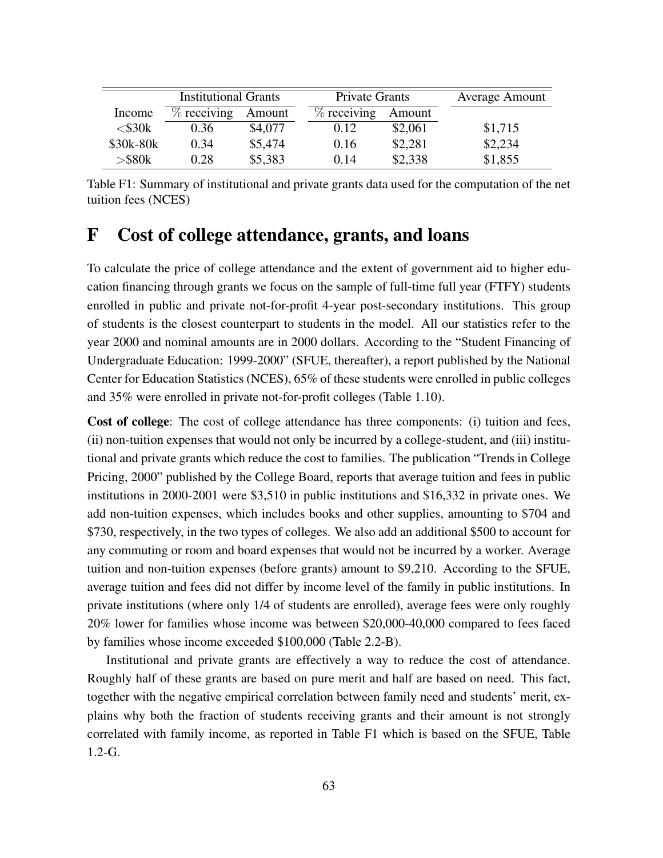|              | <b>Institutional Grants</b> |         | <b>Private Grants</b> |                |         | <b>Average Amount</b> |
|--------------|-----------------------------|---------|-----------------------|----------------|---------|-----------------------|
| Income       | $\%$ receiving              | Amount  |                       | $\%$ receiving | Amount  |                       |
| $<$ \$30 $k$ | 0.36                        | \$4,077 |                       | 0.12           | \$2,061 | \$1,715               |
| \$30k-80k    | 0.34                        | \$5,474 |                       | 0.16           | \$2,281 | \$2,234               |
| $>$ \$80 $k$ | 0.28                        | \$5,383 |                       | 0.14           | \$2,338 | \$1,855               |

Table F1: Summary of institutional and private grants data used for the computation of the net tuition fees (NCES)

# F Cost of college attendance, grants, and loans

To calculate the price of college attendance and the extent of government aid to higher education financing through grants we focus on the sample of full-time full year (FTFY) students enrolled in public and private not-for-profit 4-year post-secondary institutions. This group of students is the closest counterpart to students in the model. All our statistics refer to the year 2000 and nominal amounts are in 2000 dollars. According to the "Student Financing of Undergraduate Education: 1999-2000" (SFUE, thereafter), a report published by the National Center for Education Statistics (NCES), 65% of these students were enrolled in public colleges and 35% were enrolled in private not-for-profit colleges (Table 1.10).

Cost of college: The cost of college attendance has three components: (i) tuition and fees, (ii) non-tuition expenses that would not only be incurred by a college-student, and (iii) institutional and private grants which reduce the cost to families. The publication "Trends in College Pricing, 2000" published by the College Board, reports that average tuition and fees in public institutions in 2000-2001 were \$3,510 in public institutions and \$16,332 in private ones. We add non-tuition expenses, which includes books and other supplies, amounting to \$704 and \$730, respectively, in the two types of colleges. We also add an additional \$500 to account for any commuting or room and board expenses that would not be incurred by a worker. Average tuition and non-tuition expenses (before grants) amount to \$9,210. According to the SFUE, average tuition and fees did not differ by income level of the family in public institutions. In private institutions (where only 1/4 of students are enrolled), average fees were only roughly 20% lower for families whose income was between \$20,000-40,000 compared to fees faced by families whose income exceeded \$100,000 (Table 2.2-B).

Institutional and private grants are effectively a way to reduce the cost of attendance. Roughly half of these grants are based on pure merit and half are based on need. This fact, together with the negative empirical correlation between family need and students' merit, explains why both the fraction of students receiving grants and their amount is not strongly correlated with family income, as reported in Table F1 which is based on the SFUE, Table 1.2-G.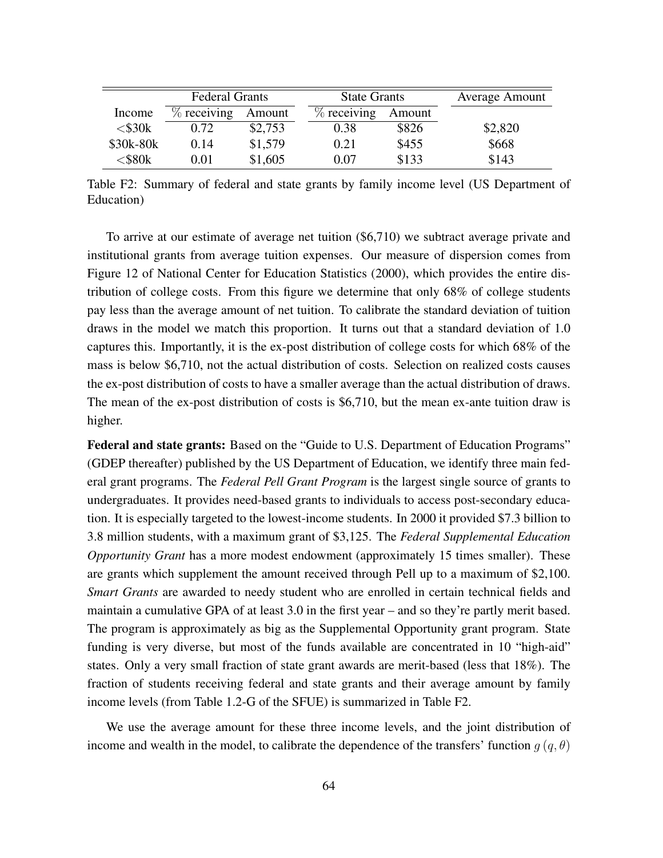|              | <b>Federal Grants</b> |         | <b>State Grants</b> |        | <b>Average Amount</b> |
|--------------|-----------------------|---------|---------------------|--------|-----------------------|
| Income       | $\%$ receiving        | Amount  | $\%$ receiving      | Amount |                       |
| $<$ \$30 $k$ | 0.72                  | \$2,753 | 0.38                | \$826  | \$2,820               |
| \$30k-80k    | 0.14                  | \$1,579 | 0.21                | \$455  | \$668                 |
| $<$ \$80 $k$ | 0.01                  | \$1,605 | 0.07                | \$133  | \$143                 |

Table F2: Summary of federal and state grants by family income level (US Department of Education)

To arrive at our estimate of average net tuition (\$6,710) we subtract average private and institutional grants from average tuition expenses. Our measure of dispersion comes from Figure 12 of National Center for Education Statistics (2000), which provides the entire distribution of college costs. From this figure we determine that only 68% of college students pay less than the average amount of net tuition. To calibrate the standard deviation of tuition draws in the model we match this proportion. It turns out that a standard deviation of 1.0 captures this. Importantly, it is the ex-post distribution of college costs for which 68% of the mass is below \$6,710, not the actual distribution of costs. Selection on realized costs causes the ex-post distribution of costs to have a smaller average than the actual distribution of draws. The mean of the ex-post distribution of costs is \$6,710, but the mean ex-ante tuition draw is higher.

Federal and state grants: Based on the "Guide to U.S. Department of Education Programs" (GDEP thereafter) published by the US Department of Education, we identify three main federal grant programs. The *Federal Pell Grant Program* is the largest single source of grants to undergraduates. It provides need-based grants to individuals to access post-secondary education. It is especially targeted to the lowest-income students. In 2000 it provided \$7.3 billion to 3.8 million students, with a maximum grant of \$3,125. The *Federal Supplemental Education Opportunity Grant* has a more modest endowment (approximately 15 times smaller). These are grants which supplement the amount received through Pell up to a maximum of \$2,100. *Smart Grants* are awarded to needy student who are enrolled in certain technical fields and maintain a cumulative GPA of at least 3.0 in the first year – and so they're partly merit based. The program is approximately as big as the Supplemental Opportunity grant program. State funding is very diverse, but most of the funds available are concentrated in 10 "high-aid" states. Only a very small fraction of state grant awards are merit-based (less that 18%). The fraction of students receiving federal and state grants and their average amount by family income levels (from Table 1.2-G of the SFUE) is summarized in Table F2.

We use the average amount for these three income levels, and the joint distribution of income and wealth in the model, to calibrate the dependence of the transfers' function  $q(q, \theta)$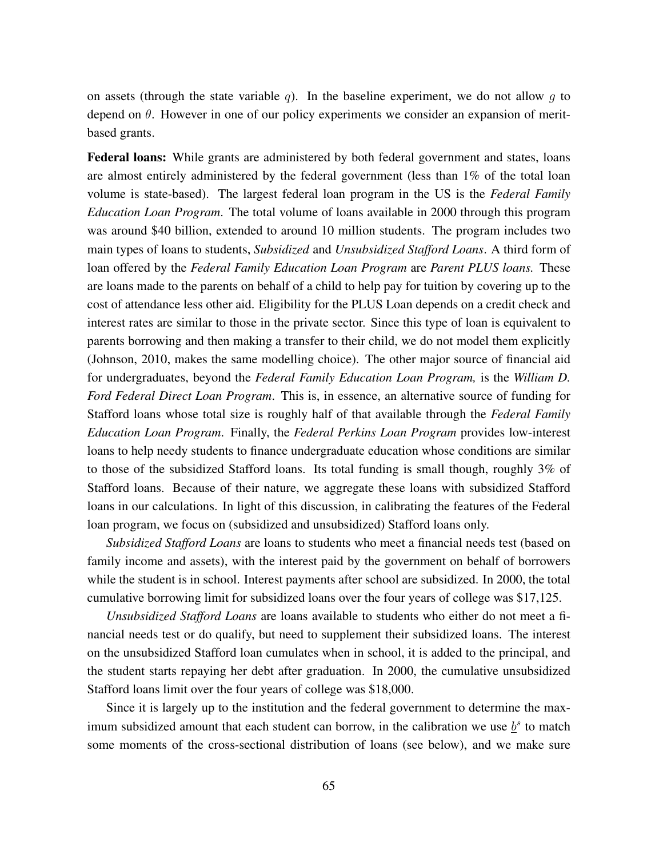on assets (through the state variable q). In the baseline experiment, we do not allow q to depend on  $\theta$ . However in one of our policy experiments we consider an expansion of meritbased grants.

Federal loans: While grants are administered by both federal government and states, loans are almost entirely administered by the federal government (less than 1% of the total loan volume is state-based). The largest federal loan program in the US is the *Federal Family Education Loan Program*. The total volume of loans available in 2000 through this program was around \$40 billion, extended to around 10 million students. The program includes two main types of loans to students, *Subsidized* and *Unsubsidized Stafford Loans*. A third form of loan offered by the *Federal Family Education Loan Program* are *Parent PLUS loans.* These are loans made to the parents on behalf of a child to help pay for tuition by covering up to the cost of attendance less other aid. Eligibility for the PLUS Loan depends on a credit check and interest rates are similar to those in the private sector. Since this type of loan is equivalent to parents borrowing and then making a transfer to their child, we do not model them explicitly (Johnson, 2010, makes the same modelling choice). The other major source of financial aid for undergraduates, beyond the *Federal Family Education Loan Program,* is the *William D. Ford Federal Direct Loan Program*. This is, in essence, an alternative source of funding for Stafford loans whose total size is roughly half of that available through the *Federal Family Education Loan Program*. Finally, the *Federal Perkins Loan Program* provides low-interest loans to help needy students to finance undergraduate education whose conditions are similar to those of the subsidized Stafford loans. Its total funding is small though, roughly 3% of Stafford loans. Because of their nature, we aggregate these loans with subsidized Stafford loans in our calculations. In light of this discussion, in calibrating the features of the Federal loan program, we focus on (subsidized and unsubsidized) Stafford loans only.

*Subsidized Stafford Loans* are loans to students who meet a financial needs test (based on family income and assets), with the interest paid by the government on behalf of borrowers while the student is in school. Interest payments after school are subsidized. In 2000, the total cumulative borrowing limit for subsidized loans over the four years of college was \$17,125.

*Unsubsidized Stafford Loans* are loans available to students who either do not meet a financial needs test or do qualify, but need to supplement their subsidized loans. The interest on the unsubsidized Stafford loan cumulates when in school, it is added to the principal, and the student starts repaying her debt after graduation. In 2000, the cumulative unsubsidized Stafford loans limit over the four years of college was \$18,000.

Since it is largely up to the institution and the federal government to determine the maximum subsidized amount that each student can borrow, in the calibration we use  $\underline{b}^s$  to match some moments of the cross-sectional distribution of loans (see below), and we make sure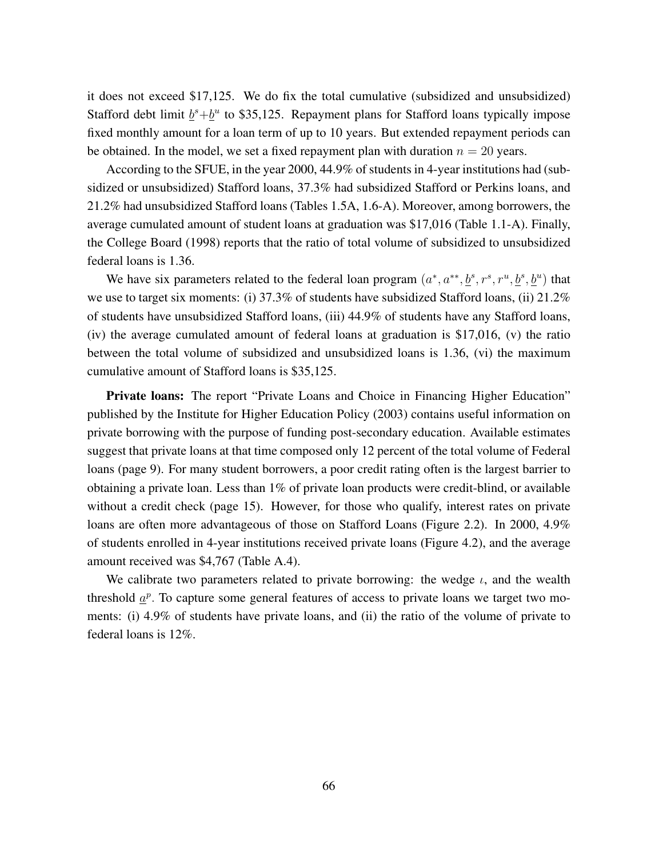it does not exceed \$17,125. We do fix the total cumulative (subsidized and unsubsidized) Stafford debt limit  $\underline{b}^s + \underline{b}^u$  to \$35,125. Repayment plans for Stafford loans typically impose fixed monthly amount for a loan term of up to 10 years. But extended repayment periods can be obtained. In the model, we set a fixed repayment plan with duration  $n = 20$  years.

According to the SFUE, in the year 2000, 44.9% of students in 4-year institutions had (subsidized or unsubsidized) Stafford loans, 37.3% had subsidized Stafford or Perkins loans, and 21.2% had unsubsidized Stafford loans (Tables 1.5A, 1.6-A). Moreover, among borrowers, the average cumulated amount of student loans at graduation was \$17,016 (Table 1.1-A). Finally, the College Board (1998) reports that the ratio of total volume of subsidized to unsubsidized federal loans is 1.36.

We have six parameters related to the federal loan program  $(a^*, a^{**}, \underline{b}^s, r^s, r^u, \underline{b}^s, \underline{b}^u)$  that we use to target six moments: (i) 37.3% of students have subsidized Stafford loans, (ii) 21.2% of students have unsubsidized Stafford loans, (iii) 44.9% of students have any Stafford loans, (iv) the average cumulated amount of federal loans at graduation is \$17,016, (v) the ratio between the total volume of subsidized and unsubsidized loans is 1.36, (vi) the maximum cumulative amount of Stafford loans is \$35,125.

Private loans: The report "Private Loans and Choice in Financing Higher Education" published by the Institute for Higher Education Policy (2003) contains useful information on private borrowing with the purpose of funding post-secondary education. Available estimates suggest that private loans at that time composed only 12 percent of the total volume of Federal loans (page 9). For many student borrowers, a poor credit rating often is the largest barrier to obtaining a private loan. Less than 1% of private loan products were credit-blind, or available without a credit check (page 15). However, for those who qualify, interest rates on private loans are often more advantageous of those on Stafford Loans (Figure 2.2). In 2000, 4.9% of students enrolled in 4-year institutions received private loans (Figure 4.2), and the average amount received was \$4,767 (Table A.4).

We calibrate two parameters related to private borrowing: the wedge  $\iota$ , and the wealth threshold  $\underline{a}^p$ . To capture some general features of access to private loans we target two moments: (i) 4.9% of students have private loans, and (ii) the ratio of the volume of private to federal loans is 12%.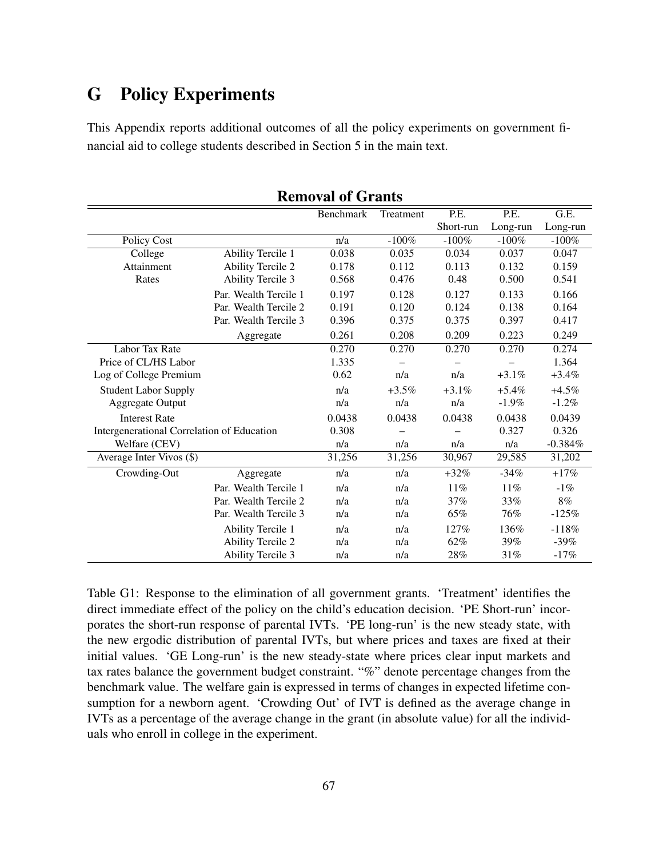# G Policy Experiments

This Appendix reports additional outcomes of all the policy experiments on government financial aid to college students described in Section 5 in the main text.

| Removal of Grants                          |                          |                  |           |           |          |           |  |
|--------------------------------------------|--------------------------|------------------|-----------|-----------|----------|-----------|--|
|                                            |                          | <b>Benchmark</b> | Treatment | P.E.      | P.E.     | G.E.      |  |
|                                            |                          |                  |           | Short-run | Long-run | Long-run  |  |
| Policy Cost                                |                          | n/a              | $-100%$   | $-100%$   | $-100%$  | $-100%$   |  |
| College                                    | <b>Ability Tercile 1</b> | 0.038            | 0.035     | 0.034     | 0.037    | 0.047     |  |
| Attainment                                 | <b>Ability Tercile 2</b> | 0.178            | 0.112     | 0.113     | 0.132    | 0.159     |  |
| Rates                                      | <b>Ability Tercile 3</b> | 0.568            | 0.476     | 0.48      | 0.500    | 0.541     |  |
|                                            | Par. Wealth Tercile 1    | 0.197            | 0.128     | 0.127     | 0.133    | 0.166     |  |
|                                            | Par. Wealth Tercile 2    | 0.191            | 0.120     | 0.124     | 0.138    | 0.164     |  |
|                                            | Par. Wealth Tercile 3    | 0.396            | 0.375     | 0.375     | 0.397    | 0.417     |  |
|                                            | Aggregate                | 0.261            | 0.208     | 0.209     | 0.223    | 0.249     |  |
| Labor Tax Rate                             |                          | 0.270            | 0.270     | 0.270     | 0.270    | 0.274     |  |
| Price of CL/HS Labor                       |                          | 1.335            |           |           |          | 1.364     |  |
| Log of College Premium                     |                          | 0.62             | n/a       | n/a       | $+3.1\%$ | $+3.4\%$  |  |
| <b>Student Labor Supply</b>                |                          | n/a              | $+3.5\%$  | $+3.1\%$  | $+5.4\%$ | $+4.5\%$  |  |
| <b>Aggregate Output</b>                    |                          | n/a              | n/a       | n/a       | $-1.9\%$ | $-1.2\%$  |  |
| <b>Interest Rate</b>                       |                          | 0.0438           | 0.0438    | 0.0438    | 0.0438   | 0.0439    |  |
| Intergenerational Correlation of Education |                          | 0.308            |           |           | 0.327    | 0.326     |  |
| Welfare (CEV)                              |                          | n/a              | n/a       | n/a       | n/a      | $-0.384%$ |  |
| Average Inter Vivos (\$)                   |                          | 31,256           | 31,256    | 30,967    | 29,585   | 31,202    |  |
| Crowding-Out                               | Aggregate                | n/a              | n/a       | $+32%$    | $-34\%$  | $+17%$    |  |
|                                            | Par. Wealth Tercile 1    | n/a              | n/a       | $11\%$    | 11%      | $-1\%$    |  |
|                                            | Par. Wealth Tercile 2    | n/a              | n/a       | 37%       | 33%      | $8\%$     |  |
|                                            | Par. Wealth Tercile 3    | n/a              | n/a       | 65%       | 76%      | $-125%$   |  |
|                                            | <b>Ability Tercile 1</b> | n/a              | n/a       | 127%      | 136%     | $-118%$   |  |
|                                            | <b>Ability Tercile 2</b> | n/a              | n/a       | 62%       | 39%      | $-39\%$   |  |
|                                            | <b>Ability Tercile 3</b> | n/a              | n/a       | 28%       | 31%      | $-17%$    |  |

 $\mathbf{D}$  and are  $\mathbf{R}$   $\mathbf{C}$  we set

Table G1: Response to the elimination of all government grants. 'Treatment' identifies the direct immediate effect of the policy on the child's education decision. 'PE Short-run' incorporates the short-run response of parental IVTs. 'PE long-run' is the new steady state, with the new ergodic distribution of parental IVTs, but where prices and taxes are fixed at their initial values. 'GE Long-run' is the new steady-state where prices clear input markets and tax rates balance the government budget constraint. "%" denote percentage changes from the benchmark value. The welfare gain is expressed in terms of changes in expected lifetime consumption for a newborn agent. 'Crowding Out' of IVT is defined as the average change in IVTs as a percentage of the average change in the grant (in absolute value) for all the individuals who enroll in college in the experiment.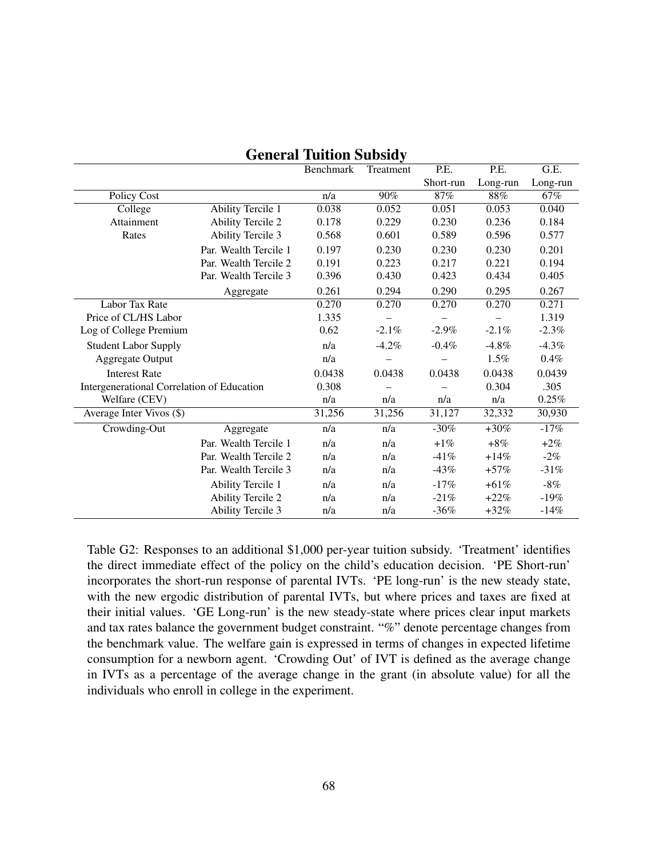|                                            |                          | Benchmark | Treatment | P.E.      | P.E.     | G.E.     |
|--------------------------------------------|--------------------------|-----------|-----------|-----------|----------|----------|
|                                            |                          |           |           | Short-run | Long-run | Long-run |
| Policy Cost                                |                          | n/a       | 90%       | 87%       | 88%      | $67\%$   |
| College                                    | <b>Ability Tercile 1</b> | 0.038     | 0.052     | 0.051     | 0.053    | 0.040    |
| Attainment                                 | <b>Ability Tercile 2</b> | 0.178     | 0.229     | 0.230     | 0.236    | 0.184    |
| Rates                                      | <b>Ability Tercile 3</b> | 0.568     | 0.601     | 0.589     | 0.596    | 0.577    |
|                                            | Par. Wealth Tercile 1    | 0.197     | 0.230     | 0.230     | 0.230    | 0.201    |
|                                            | Par. Wealth Tercile 2    | 0.191     | 0.223     | 0.217     | 0.221    | 0.194    |
|                                            | Par. Wealth Tercile 3    | 0.396     | 0.430     | 0.423     | 0.434    | 0.405    |
|                                            | Aggregate                | 0.261     | 0.294     | 0.290     | 0.295    | 0.267    |
| <b>Labor Tax Rate</b>                      |                          | 0.270     | 0.270     | 0.270     | 0.270    | 0.271    |
| Price of CL/HS Labor                       |                          | 1.335     |           |           |          | 1.319    |
| Log of College Premium                     |                          | 0.62      | $-2.1\%$  | $-2.9\%$  | $-2.1\%$ | $-2.3\%$ |
| <b>Student Labor Supply</b>                |                          | n/a       | $-4.2\%$  | $-0.4\%$  | $-4.8\%$ | $-4.3\%$ |
| <b>Aggregate Output</b>                    |                          | n/a       |           |           | 1.5%     | 0.4%     |
| <b>Interest Rate</b>                       |                          | 0.0438    | 0.0438    | 0.0438    | 0.0438   | 0.0439   |
| Intergenerational Correlation of Education |                          | 0.308     |           |           | 0.304    | .305     |
| Welfare (CEV)                              |                          | n/a       | n/a       | n/a       | n/a      | 0.25%    |
| Average Inter Vivos (\$)                   |                          | 31,256    | 31,256    | 31,127    | 32,332   | 30,930   |
| Crowding-Out                               | Aggregate                | n/a       | n/a       | $-30%$    | $+30\%$  | $-17%$   |
|                                            | Par. Wealth Tercile 1    | n/a       | n/a       | $+1\%$    | $+8\%$   | $+2\%$   |
|                                            | Par. Wealth Tercile 2    | n/a       | n/a       | $-41%$    | $+14\%$  | $-2%$    |
|                                            | Par. Wealth Tercile 3    | n/a       | n/a       | $-43%$    | $+57%$   | $-31%$   |
|                                            | <b>Ability Tercile 1</b> | n/a       | n/a       | $-17%$    | $+61%$   | $-8\%$   |
|                                            | <b>Ability Tercile 2</b> | n/a       | n/a       | $-21%$    | $+22%$   | $-19%$   |
|                                            | <b>Ability Tercile 3</b> | n/a       | n/a       | $-36\%$   | $+32\%$  | $-14\%$  |

## General Tuition Subsidy

Table G2: Responses to an additional \$1,000 per-year tuition subsidy. 'Treatment' identifies the direct immediate effect of the policy on the child's education decision. 'PE Short-run' incorporates the short-run response of parental IVTs. 'PE long-run' is the new steady state, with the new ergodic distribution of parental IVTs, but where prices and taxes are fixed at their initial values. 'GE Long-run' is the new steady-state where prices clear input markets and tax rates balance the government budget constraint. "%" denote percentage changes from the benchmark value. The welfare gain is expressed in terms of changes in expected lifetime consumption for a newborn agent. 'Crowding Out' of IVT is defined as the average change in IVTs as a percentage of the average change in the grant (in absolute value) for all the individuals who enroll in college in the experiment.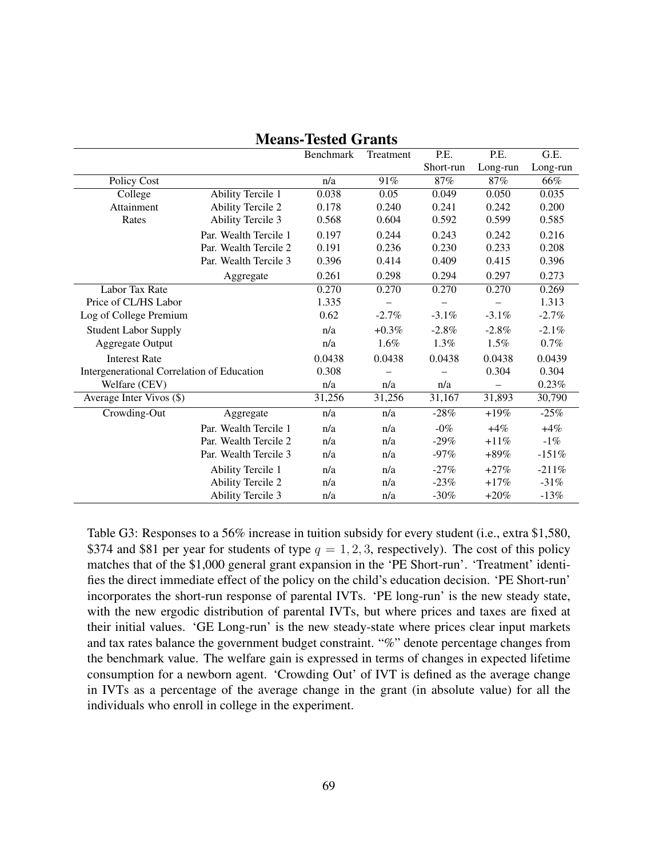|                                            |                          | Benchmark | Treatment | P.E.      | P.E.     | G.E.     |
|--------------------------------------------|--------------------------|-----------|-----------|-----------|----------|----------|
|                                            |                          |           |           | Short-run | Long-run | Long-run |
| Policy Cost                                |                          | n/a       | 91%       | 87%       | 87%      | 66%      |
| College                                    | <b>Ability Tercile 1</b> | 0.038     | 0.05      | 0.049     | 0.050    | 0.035    |
| Attainment                                 | <b>Ability Tercile 2</b> | 0.178     | 0.240     | 0.241     | 0.242    | 0.200    |
| Rates                                      | <b>Ability Tercile 3</b> | 0.568     | 0.604     | 0.592     | 0.599    | 0.585    |
|                                            | Par. Wealth Tercile 1    | 0.197     | 0.244     | 0.243     | 0.242    | 0.216    |
|                                            | Par. Wealth Tercile 2    | 0.191     | 0.236     | 0.230     | 0.233    | 0.208    |
|                                            | Par. Wealth Tercile 3    | 0.396     | 0.414     | 0.409     | 0.415    | 0.396    |
|                                            | Aggregate                | 0.261     | 0.298     | 0.294     | 0.297    | 0.273    |
| Labor Tax Rate                             |                          | 0.270     | 0.270     | 0.270     | 0.270    | 0.269    |
| Price of CL/HS Labor                       |                          | 1.335     |           |           |          | 1.313    |
| Log of College Premium                     |                          | 0.62      | $-2.7%$   | $-3.1\%$  | $-3.1\%$ | $-2.7%$  |
| <b>Student Labor Supply</b>                |                          | n/a       | $+0.3\%$  | $-2.8%$   | $-2.8%$  | $-2.1%$  |
| <b>Aggregate Output</b>                    |                          | n/a       | 1.6%      | 1.3%      | 1.5%     | 0.7%     |
| <b>Interest Rate</b>                       |                          | 0.0438    | 0.0438    | 0.0438    | 0.0438   | 0.0439   |
| Intergenerational Correlation of Education |                          | 0.308     |           |           | 0.304    | 0.304    |
| Welfare (CEV)                              |                          | n/a       | n/a       | n/a       |          | 0.23%    |
| Average Inter Vivos (\$)                   |                          | 31,256    | 31,256    | 31,167    | 31,893   | 30,790   |
| Crowding-Out                               | Aggregate                | n/a       | n/a       | $-28%$    | $+19%$   | $-25%$   |
|                                            | Par. Wealth Tercile 1    | n/a       | n/a       | $-0\%$    | $+4\%$   | $+4%$    |
|                                            | Par. Wealth Tercile 2    | n/a       | n/a       | $-29%$    | $+11%$   | $-1\%$   |
|                                            | Par. Wealth Tercile 3    | n/a       | n/a       | $-97%$    | $+89\%$  | $-151%$  |
|                                            | <b>Ability Tercile 1</b> | n/a       | n/a       | $-27%$    | $+27%$   | $-211%$  |
|                                            | <b>Ability Tercile 2</b> | n/a       | n/a       | $-23%$    | $+17%$   | $-31%$   |
|                                            | <b>Ability Tercile 3</b> | n/a       | n/a       | $-30\%$   | $+20%$   | $-13%$   |

#### Means-Tested Grants

Table G3: Responses to a 56% increase in tuition subsidy for every student (i.e., extra \$1,580, \$374 and \$81 per year for students of type  $q = 1, 2, 3$ , respectively). The cost of this policy matches that of the \$1,000 general grant expansion in the 'PE Short-run'. 'Treatment' identifies the direct immediate effect of the policy on the child's education decision. 'PE Short-run' incorporates the short-run response of parental IVTs. 'PE long-run' is the new steady state, with the new ergodic distribution of parental IVTs, but where prices and taxes are fixed at their initial values. 'GE Long-run' is the new steady-state where prices clear input markets and tax rates balance the government budget constraint. "%" denote percentage changes from the benchmark value. The welfare gain is expressed in terms of changes in expected lifetime consumption for a newborn agent. 'Crowding Out' of IVT is defined as the average change in IVTs as a percentage of the average change in the grant (in absolute value) for all the individuals who enroll in college in the experiment.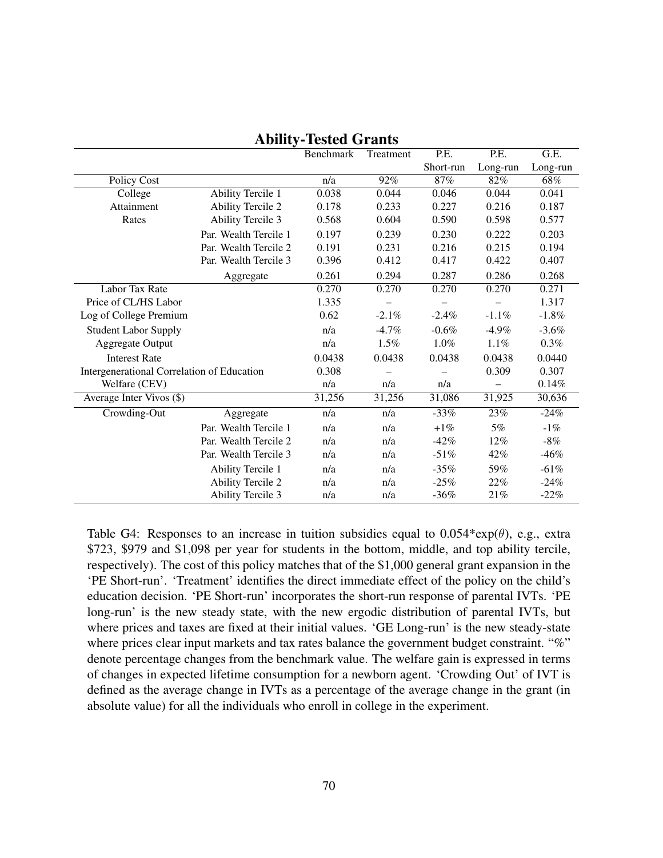|                                            |                          | Benchmark | Treatment | $\overline{PE}$ . | $\overline{PE}$ . | $\overline{G.E.}$ |
|--------------------------------------------|--------------------------|-----------|-----------|-------------------|-------------------|-------------------|
|                                            |                          |           |           | Short-run         | Long-run          | Long-run          |
| Policy Cost                                |                          | n/a       | 92%       | 87%               | 82%               | 68%               |
| College                                    | <b>Ability Tercile 1</b> | 0.038     | 0.044     | 0.046             | 0.044             | 0.041             |
| Attainment                                 | <b>Ability Tercile 2</b> | 0.178     | 0.233     | 0.227             | 0.216             | 0.187             |
| Rates                                      | <b>Ability Tercile 3</b> | 0.568     | 0.604     | 0.590             | 0.598             | 0.577             |
|                                            | Par. Wealth Tercile 1    | 0.197     | 0.239     | 0.230             | 0.222             | 0.203             |
|                                            | Par. Wealth Tercile 2    | 0.191     | 0.231     | 0.216             | 0.215             | 0.194             |
|                                            | Par. Wealth Tercile 3    | 0.396     | 0.412     | 0.417             | 0.422             | 0.407             |
|                                            | Aggregate                | 0.261     | 0.294     | 0.287             | 0.286             | 0.268             |
| Labor Tax Rate                             |                          | 0.270     | 0.270     | 0.270             | 0.270             | 0.271             |
| Price of CL/HS Labor                       |                          | 1.335     |           |                   |                   | 1.317             |
| Log of College Premium                     |                          | 0.62      | $-2.1\%$  | $-2.4%$           | $-1.1\%$          | $-1.8%$           |
| <b>Student Labor Supply</b>                |                          | n/a       | $-4.7%$   | $-0.6%$           | $-4.9\%$          | $-3.6%$           |
| <b>Aggregate Output</b>                    |                          | n/a       | 1.5%      | $1.0\%$           | $1.1\%$           | 0.3%              |
| <b>Interest Rate</b>                       |                          | 0.0438    | 0.0438    | 0.0438            | 0.0438            | 0.0440            |
| Intergenerational Correlation of Education |                          | 0.308     |           |                   | 0.309             | 0.307             |
| Welfare (CEV)                              |                          | n/a       | n/a       | n/a               |                   | 0.14%             |
| Average Inter Vivos (\$)                   |                          | 31,256    | 31,256    | 31,086            | 31,925            | 30,636            |
| Crowding-Out                               | Aggregate                | n/a       | n/a       | $-33%$            | 23%               | $-24%$            |
|                                            | Par. Wealth Tercile 1    | n/a       | n/a       | $+1\%$            | $5\%$             | $-1\%$            |
|                                            | Par. Wealth Tercile 2    | n/a       | n/a       | $-42%$            | 12%               | $-8\%$            |
|                                            | Par. Wealth Tercile 3    | n/a       | n/a       | $-51%$            | 42%               | $-46%$            |
|                                            | <b>Ability Tercile 1</b> | n/a       | n/a       | $-35%$            | 59%               | $-61%$            |
|                                            | <b>Ability Tercile 2</b> | n/a       | n/a       | $-25%$            | 22%               | $-24%$            |
|                                            | <b>Ability Tercile 3</b> | n/a       | n/a       | $-36%$            | 21%               | $-22%$            |

### Ability-Tested Grants

Table G4: Responses to an increase in tuition subsidies equal to  $0.054*exp(\theta)$ , e.g., extra \$723, \$979 and \$1,098 per year for students in the bottom, middle, and top ability tercile, respectively). The cost of this policy matches that of the \$1,000 general grant expansion in the 'PE Short-run'. 'Treatment' identifies the direct immediate effect of the policy on the child's education decision. 'PE Short-run' incorporates the short-run response of parental IVTs. 'PE long-run' is the new steady state, with the new ergodic distribution of parental IVTs, but where prices and taxes are fixed at their initial values. 'GE Long-run' is the new steady-state where prices clear input markets and tax rates balance the government budget constraint. "%" denote percentage changes from the benchmark value. The welfare gain is expressed in terms of changes in expected lifetime consumption for a newborn agent. 'Crowding Out' of IVT is defined as the average change in IVTs as a percentage of the average change in the grant (in absolute value) for all the individuals who enroll in college in the experiment.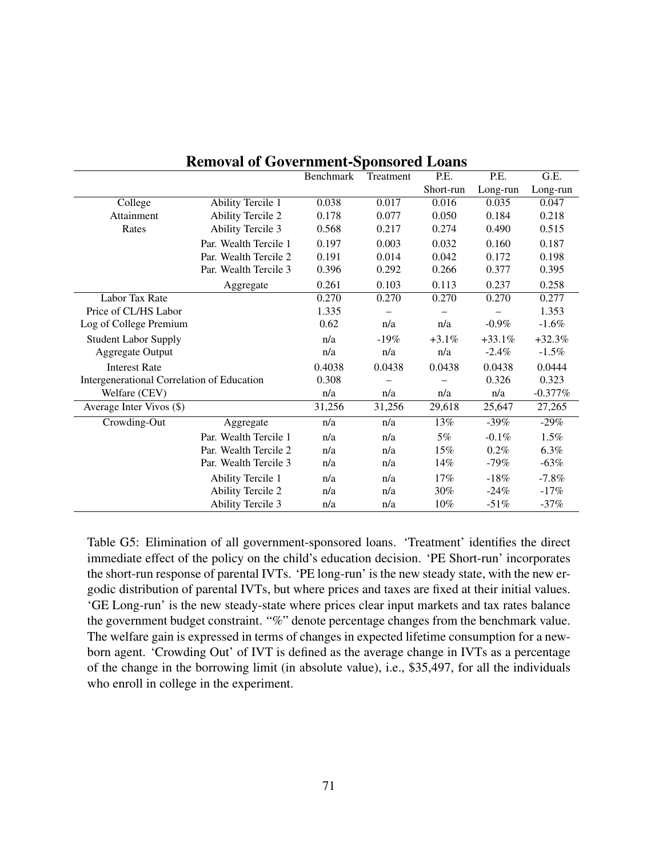|                                            |                          | Benchmark | Treatment | P.E.      | P.E.     | G.E.      |
|--------------------------------------------|--------------------------|-----------|-----------|-----------|----------|-----------|
|                                            |                          |           |           | Short-run | Long-run | Long-run  |
| College                                    | <b>Ability Tercile 1</b> | 0.038     | 0.017     | 0.016     | 0.035    | 0.047     |
| Attainment                                 | <b>Ability Tercile 2</b> | 0.178     | 0.077     | 0.050     | 0.184    | 0.218     |
| Rates                                      | <b>Ability Tercile 3</b> | 0.568     | 0.217     | 0.274     | 0.490    | 0.515     |
|                                            | Par. Wealth Tercile 1    | 0.197     | 0.003     | 0.032     | 0.160    | 0.187     |
|                                            | Par. Wealth Tercile 2    | 0.191     | 0.014     | 0.042     | 0.172    | 0.198     |
|                                            | Par. Wealth Tercile 3    | 0.396     | 0.292     | 0.266     | 0.377    | 0.395     |
|                                            | Aggregate                | 0.261     | 0.103     | 0.113     | 0.237    | 0.258     |
| Labor Tax Rate                             |                          | 0.270     | 0.270     | 0.270     | 0.270    | 0.277     |
| Price of CL/HS Labor                       |                          | 1.335     |           |           |          | 1.353     |
| Log of College Premium                     |                          | 0.62      | n/a       | n/a       | $-0.9\%$ | $-1.6%$   |
| <b>Student Labor Supply</b>                |                          | n/a       | $-19%$    | $+3.1\%$  | $+33.1%$ | $+32.3%$  |
| <b>Aggregate Output</b>                    |                          | n/a       | n/a       | n/a       | $-2.4%$  | $-1.5\%$  |
| <b>Interest Rate</b>                       |                          | 0.4038    | 0.0438    | 0.0438    | 0.0438   | 0.0444    |
| Intergenerational Correlation of Education |                          | 0.308     |           |           | 0.326    | 0.323     |
| Welfare (CEV)                              |                          | n/a       | n/a       | n/a       | n/a      | $-0.377%$ |
| Average Inter Vivos (\$)                   |                          | 31,256    | 31,256    | 29,618    | 25,647   | 27,265    |
| Crowding-Out                               | Aggregate                | n/a       | n/a       | 13%       | $-39%$   | $-29%$    |
|                                            | Par. Wealth Tercile 1    | n/a       | n/a       | 5%        | $-0.1\%$ | 1.5%      |
|                                            | Par. Wealth Tercile 2    | n/a       | n/a       | 15%       | $0.2\%$  | 6.3%      |
|                                            | Par. Wealth Tercile 3    | n/a       | n/a       | 14%       | $-79%$   | $-63%$    |
|                                            | <b>Ability Tercile 1</b> | n/a       | n/a       | 17%       | $-18%$   | $-7.8%$   |
|                                            | <b>Ability Tercile 2</b> | n/a       | n/a       | 30%       | $-24\%$  | $-17%$    |
|                                            | <b>Ability Tercile 3</b> | n/a       | n/a       | 10%       | $-51%$   | $-37%$    |

## Removal of Government-Sponsored Loans

Table G5: Elimination of all government-sponsored loans. 'Treatment' identifies the direct immediate effect of the policy on the child's education decision. 'PE Short-run' incorporates the short-run response of parental IVTs. 'PE long-run' is the new steady state, with the new ergodic distribution of parental IVTs, but where prices and taxes are fixed at their initial values. 'GE Long-run' is the new steady-state where prices clear input markets and tax rates balance the government budget constraint. "%" denote percentage changes from the benchmark value. The welfare gain is expressed in terms of changes in expected lifetime consumption for a newborn agent. 'Crowding Out' of IVT is defined as the average change in IVTs as a percentage of the change in the borrowing limit (in absolute value), i.e., \$35,497, for all the individuals who enroll in college in the experiment.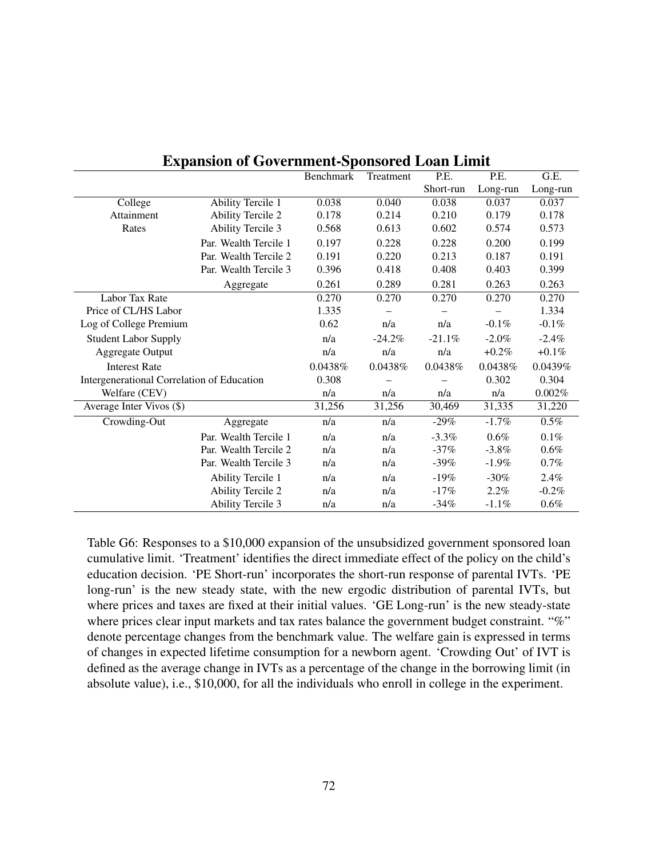|                                            |                          | Benchmark | Treatment | P.E.      | P.E.     | G.E.     |
|--------------------------------------------|--------------------------|-----------|-----------|-----------|----------|----------|
|                                            |                          |           |           | Short-run | Long-run | Long-run |
| College                                    | <b>Ability Tercile 1</b> | 0.038     | 0.040     | 0.038     | 0.037    | 0.037    |
| Attainment                                 | <b>Ability Tercile 2</b> | 0.178     | 0.214     | 0.210     | 0.179    | 0.178    |
| Rates                                      | <b>Ability Tercile 3</b> | 0.568     | 0.613     | 0.602     | 0.574    | 0.573    |
|                                            | Par. Wealth Tercile 1    | 0.197     | 0.228     | 0.228     | 0.200    | 0.199    |
|                                            | Par. Wealth Tercile 2    | 0.191     | 0.220     | 0.213     | 0.187    | 0.191    |
|                                            | Par. Wealth Tercile 3    | 0.396     | 0.418     | 0.408     | 0.403    | 0.399    |
|                                            | Aggregate                | 0.261     | 0.289     | 0.281     | 0.263    | 0.263    |
| Labor Tax Rate                             |                          | 0.270     | 0.270     | 0.270     | 0.270    | 0.270    |
| Price of CL/HS Labor                       |                          | 1.335     |           |           |          | 1.334    |
| Log of College Premium                     |                          | 0.62      | n/a       | n/a       | $-0.1\%$ | $-0.1%$  |
| <b>Student Labor Supply</b>                |                          | n/a       | $-24.2\%$ | $-21.1\%$ | $-2.0\%$ | $-2.4%$  |
| <b>Aggregate Output</b>                    |                          | n/a       | n/a       | n/a       | $+0.2\%$ | $+0.1\%$ |
| <b>Interest Rate</b>                       |                          | 0.0438%   | 0.0438%   | 0.0438%   | 0.0438%  | 0.0439%  |
| Intergenerational Correlation of Education |                          | 0.308     |           |           | 0.302    | 0.304    |
| Welfare (CEV)                              |                          | n/a       | n/a       | n/a       | n/a      | 0.002%   |
| Average Inter Vivos (\$)                   |                          | 31,256    | 31,256    | 30,469    | 31,335   | 31,220   |
| Crowding-Out                               | Aggregate                | n/a       | n/a       | $-29\%$   | $-1.7%$  | 0.5%     |
|                                            | Par. Wealth Tercile 1    | n/a       | n/a       | $-3.3\%$  | $0.6\%$  | $0.1\%$  |
|                                            | Par. Wealth Tercile 2    | n/a       | n/a       | $-37\%$   | $-3.8\%$ | 0.6%     |
|                                            | Par. Wealth Tercile 3    | n/a       | n/a       | $-39\%$   | $-1.9%$  | 0.7%     |
|                                            | <b>Ability Tercile 1</b> | n/a       | n/a       | $-19%$    | $-30\%$  | 2.4%     |
|                                            | <b>Ability Tercile 2</b> | n/a       | n/a       | $-17%$    | 2.2%     | $-0.2\%$ |
|                                            | <b>Ability Tercile 3</b> | n/a       | n/a       | $-34%$    | $-1.1%$  | $0.6\%$  |

## Expansion of Government-Sponsored Loan Limit

Table G6: Responses to a \$10,000 expansion of the unsubsidized government sponsored loan cumulative limit. 'Treatment' identifies the direct immediate effect of the policy on the child's education decision. 'PE Short-run' incorporates the short-run response of parental IVTs. 'PE long-run' is the new steady state, with the new ergodic distribution of parental IVTs, but where prices and taxes are fixed at their initial values. 'GE Long-run' is the new steady-state where prices clear input markets and tax rates balance the government budget constraint. "%" denote percentage changes from the benchmark value. The welfare gain is expressed in terms of changes in expected lifetime consumption for a newborn agent. 'Crowding Out' of IVT is defined as the average change in IVTs as a percentage of the change in the borrowing limit (in absolute value), i.e., \$10,000, for all the individuals who enroll in college in the experiment.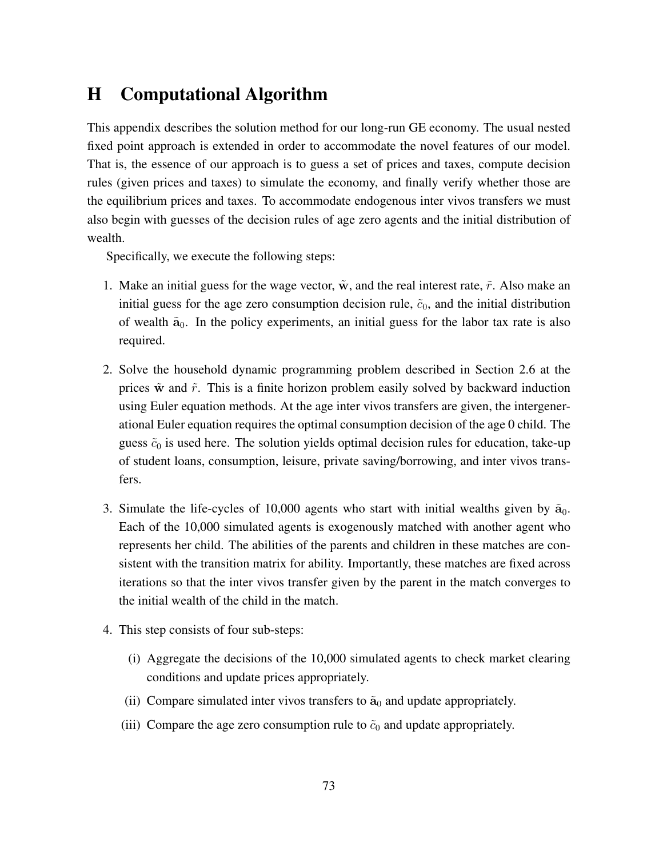## H Computational Algorithm

This appendix describes the solution method for our long-run GE economy. The usual nested fixed point approach is extended in order to accommodate the novel features of our model. That is, the essence of our approach is to guess a set of prices and taxes, compute decision rules (given prices and taxes) to simulate the economy, and finally verify whether those are the equilibrium prices and taxes. To accommodate endogenous inter vivos transfers we must also begin with guesses of the decision rules of age zero agents and the initial distribution of wealth.

Specifically, we execute the following steps:

- 1. Make an initial guess for the wage vector,  $\tilde{w}$ , and the real interest rate,  $\tilde{r}$ . Also make an initial guess for the age zero consumption decision rule,  $\tilde{c}_0$ , and the initial distribution of wealth  $\tilde{a}_0$ . In the policy experiments, an initial guess for the labor tax rate is also required.
- 2. Solve the household dynamic programming problem described in Section 2.6 at the prices  $\tilde{\mathbf{w}}$  and  $\tilde{r}$ . This is a finite horizon problem easily solved by backward induction using Euler equation methods. At the age inter vivos transfers are given, the intergenerational Euler equation requires the optimal consumption decision of the age 0 child. The guess  $\tilde{c}_0$  is used here. The solution yields optimal decision rules for education, take-up of student loans, consumption, leisure, private saving/borrowing, and inter vivos transfers.
- 3. Simulate the life-cycles of 10,000 agents who start with initial wealths given by  $\tilde{a}_0$ . Each of the 10,000 simulated agents is exogenously matched with another agent who represents her child. The abilities of the parents and children in these matches are consistent with the transition matrix for ability. Importantly, these matches are fixed across iterations so that the inter vivos transfer given by the parent in the match converges to the initial wealth of the child in the match.
- 4. This step consists of four sub-steps:
	- (i) Aggregate the decisions of the 10,000 simulated agents to check market clearing conditions and update prices appropriately.
	- (ii) Compare simulated inter vivos transfers to  $\tilde{a}_0$  and update appropriately.
	- (iii) Compare the age zero consumption rule to  $\tilde{c}_0$  and update appropriately.